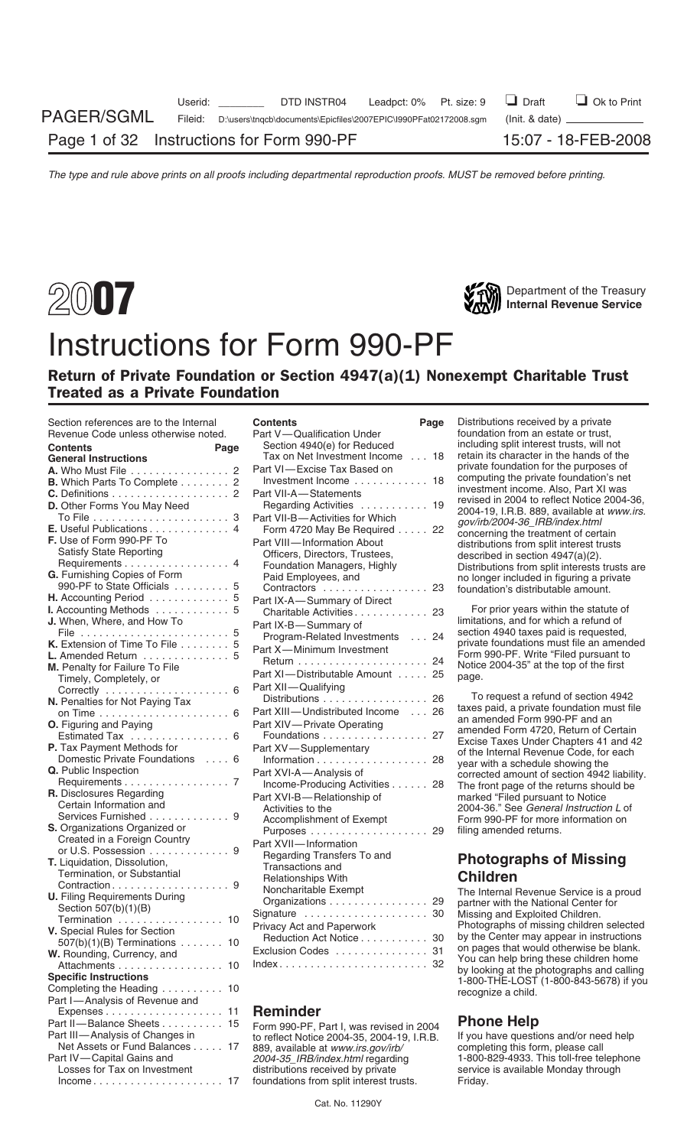# Instructions for Form 990-PF

# Return of Private Foundation or Section 4947(a)(1) Nonexempt Charitable Trust Treated as a Private Foundation

| Secuoli references are to the internal<br>Revenue Code unless otherwise noted. | Contents<br>raye<br>Part V-Qualification Under                                         | Distributions received by a private<br>foundation from an estate or trust,       |
|--------------------------------------------------------------------------------|----------------------------------------------------------------------------------------|----------------------------------------------------------------------------------|
| Contents                                                                       | Section 4940(e) for Reduced                                                            | including split interest trusts, will not                                        |
| Page<br><b>General Instructions</b>                                            | Tax on Net Investment Income 18                                                        | retain its character in the hands of the                                         |
| <b>A.</b> Who Must File 2                                                      | Part VI-Excise Tax Based on                                                            | private foundation for the purposes of                                           |
| <b>B.</b> Which Parts To Complete 2                                            | Investment Income  18                                                                  | computing the private foundation's net                                           |
|                                                                                |                                                                                        | investment income. Also, Part XI was                                             |
|                                                                                | Part VII-A-Statements                                                                  | revised in 2004 to reflect Notice 2004-36,                                       |
| D. Other Forms You May Need                                                    | Regarding Activities  19                                                               | 2004-19, I.R.B. 889, available at www.irs.                                       |
|                                                                                | Part VII-B-Activities for Which                                                        | gov/irb/2004-36_IRB/index.html                                                   |
| E. Useful Publications 4                                                       | Form 4720 May Be Required 22                                                           | concerning the treatment of certain                                              |
| F. Use of Form 990-PF To                                                       | Part VIII-Information About                                                            | distributions from split interest trusts                                         |
| <b>Satisfy State Reporting</b>                                                 | Officers, Directors, Trustees,                                                         | described in section $4947(a)(2)$ .                                              |
| Requirements 4                                                                 | Foundation Managers, Highly                                                            | Distributions from split interests trusts are                                    |
| G. Furnishing Copies of Form                                                   | Paid Employees, and                                                                    | no longer included in figuring a private                                         |
| 990-PF to State Officials 5                                                    | Contractors  23                                                                        | foundation's distributable amount.                                               |
| H. Accounting Period 5                                                         | Part IX-A-Summary of Direct                                                            |                                                                                  |
| I. Accounting Methods 5                                                        | Charitable Activities 23                                                               | For prior years within the statute of                                            |
| J. When, Where, and How To                                                     | Part IX-B-Summary of                                                                   | limitations, and for which a refund of                                           |
|                                                                                | Program-Related Investments  24                                                        | section 4940 taxes paid is requested,                                            |
| K. Extension of Time To File 5                                                 | Part X-Minimum Investment                                                              | private foundations must file an amended                                         |
| L. Amended Return 5                                                            |                                                                                        | Form 990-PF. Write "Filed pursuant to<br>Notice 2004-35" at the top of the first |
| M. Penalty for Failure To File                                                 | Part XI-Distributable Amount 25                                                        | page.                                                                            |
| Timely, Completely, or                                                         | Part XII-Qualifying                                                                    |                                                                                  |
|                                                                                | Distributions 26                                                                       | To request a refund of section 4942                                              |
| N. Penalties for Not Paying Tax                                                | Part XIII-Undistributed Income  26                                                     | taxes paid, a private foundation must file                                       |
|                                                                                |                                                                                        | an amended Form 990-PF and an                                                    |
| O. Figuring and Paying                                                         | Part XIV-Private Operating                                                             | amended Form 4720, Return of Certain                                             |
| Estimated Tax  6                                                               | Foundations 27                                                                         | Excise Taxes Under Chapters 41 and 42                                            |
| P. Tax Payment Methods for                                                     | Part XV-Supplementary                                                                  | of the Internal Revenue Code, for each                                           |
| Domestic Private Foundations  6                                                | Information 28                                                                         | year with a schedule showing the                                                 |
| Q. Public Inspection                                                           | Part XVI-A—Analysis of                                                                 | corrected amount of section 4942 liability.                                      |
| Requirements 7                                                                 | Income-Producing Activities 28                                                         | The front page of the returns should be                                          |
| <b>R.</b> Disclosures Regarding                                                | Part XVI-B-Relationship of                                                             | marked "Filed pursuant to Notice                                                 |
| Certain Information and                                                        | Activities to the                                                                      | 2004-36." See General Instruction L of                                           |
| Services Furnished 9                                                           | Accomplishment of Exempt                                                               | Form 990-PF for more information on                                              |
| <b>S.</b> Organizations Organized or<br>Created in a Foreign Country           |                                                                                        | filing amended returns.                                                          |
| or U.S. Possession 9                                                           | Part XVII-Information                                                                  |                                                                                  |
| <b>T.</b> Liquidation, Dissolution,                                            | Regarding Transfers To and                                                             | <b>Photographs of Missing</b>                                                    |
| Termination, or Substantial                                                    | Transactions and                                                                       |                                                                                  |
|                                                                                | <b>Relationships With</b>                                                              | <b>Children</b>                                                                  |
| <b>U.</b> Filing Requirements During                                           | Noncharitable Exempt                                                                   | The Internal Revenue Service is a proud                                          |
| Section 507(b)(1)(B)                                                           | Organizations 29                                                                       | partner with the National Center for                                             |
| Termination 10                                                                 | Signature  30                                                                          | Missing and Exploited Children.                                                  |
| V. Special Rules for Section                                                   | Privacy Act and Paperwork                                                              | Photographs of missing children selected                                         |
| $507(b)(1)(B)$ Terminations 10                                                 | Reduction Act Notice 30                                                                | by the Center may appear in instructions                                         |
| W. Rounding, Currency, and                                                     | Exclusion Codes  31                                                                    | on pages that would otherwise be blank.                                          |
| Attachments 10                                                                 | $Index \ldots \ldots \ldots \ldots \ldots \ldots \ldots \ldots 32$                     | You can help bring these children home                                           |
| <b>Specific Instructions</b>                                                   |                                                                                        | by looking at the photographs and calling                                        |
| Completing the Heading 10                                                      |                                                                                        | 1-800-THE-LOST (1-800-843-5678) if you                                           |
| Part I-Analysis of Revenue and                                                 |                                                                                        | recognize a child.                                                               |
| Expenses 11                                                                    | <b>Reminder</b>                                                                        |                                                                                  |
| Part II-Balance Sheets 15                                                      |                                                                                        | <b>Phone Help</b>                                                                |
| Part III—Analysis of Changes in                                                | Form 990-PF, Part I, was revised in 2004<br>to reflect Notice 2004-35, 2004-19, I.R.B. | If you have questions and/or need help                                           |
| Net Assets or Fund Balances 17                                                 | 889, available at www.irs.gov/irb/                                                     | completing this form, please call                                                |
| Part IV-Capital Gains and                                                      | 2004-35 IRB/index.html regarding                                                       | 1-800-829-4933. This toll-free telephone                                         |
| Losses for Tax on Investment                                                   | distributions received by private                                                      | service is available Monday through                                              |
| $income \ldots \ldots \ldots \ldots \ldots \ldots \ldots 17$                   | foundations from split interest trusts.                                                | Friday.                                                                          |
|                                                                                |                                                                                        |                                                                                  |

| Section references are to the Internal<br>Revenue Code unless otherwise noted. | <b>Contents</b><br>Page<br>Part V-Qualification Under                     | Distributions received by a private<br>foundation from an estate or trust,      |
|--------------------------------------------------------------------------------|---------------------------------------------------------------------------|---------------------------------------------------------------------------------|
| <b>Contents</b><br>Page                                                        | Section 4940(e) for Reduced                                               | including split interest trusts, will not                                       |
| <b>General Instructions</b>                                                    | Tax on Net Investment Income  18                                          | retain its character in the hands of the                                        |
| A. Who Must File 2                                                             | Part VI-Excise Tax Based on                                               | private foundation for the purposes of                                          |
| B. Which Parts To Complete 2                                                   | Investment Income 18                                                      | computing the private foundation's net                                          |
|                                                                                | Part VII-A-Statements                                                     | investment income. Also, Part XI was                                            |
| D. Other Forms You May Need                                                    | Regarding Activities  19                                                  | revised in 2004 to reflect Notice 2004-36,                                      |
|                                                                                | Part VII-B-Activities for Which                                           | 2004-19, I.R.B. 889, available at www.irs.                                      |
| E. Useful Publications 4                                                       |                                                                           | gov/irb/2004-36_IRB/index.html                                                  |
| F. Use of Form 990-PF To                                                       | Form 4720 May Be Required 22                                              | concerning the treatment of certain                                             |
| <b>Satisfy State Reporting</b>                                                 | Part VIII-Information About                                               | distributions from split interest trusts                                        |
| Requirements 4                                                                 | Officers, Directors, Trustees,                                            | described in section 4947(a)(2).                                                |
| G. Furnishing Copies of Form                                                   | Foundation Managers, Highly                                               | Distributions from split interests trusts are                                   |
| 990-PF to State Officials 5                                                    | Paid Employees, and                                                       | no longer included in figuring a private                                        |
| H. Accounting Period 5                                                         | Contractors  23                                                           | foundation's distributable amount.                                              |
|                                                                                | Part IX-A-Summary of Direct                                               |                                                                                 |
| I. Accounting Methods 5<br>J. When, Where, and How To                          | Charitable Activities 23                                                  | For prior years within the statute of<br>limitations, and for which a refund of |
|                                                                                | Part IX-B-Summary of                                                      | section 4940 taxes paid is requested,                                           |
| K. Extension of Time To File 5                                                 | Program-Related Investments  24                                           | private foundations must file an amended                                        |
|                                                                                | Part X-Minimum Investment                                                 | Form 990-PF. Write "Filed pursuant to                                           |
| L. Amended Return 5                                                            |                                                                           | Notice 2004-35" at the top of the first                                         |
| M. Penalty for Failure To File                                                 | Part XI-Distributable Amount  25                                          | page.                                                                           |
| Timely, Completely, or                                                         | Part XII-Qualifying                                                       |                                                                                 |
| Correctly  6<br>N. Penalties for Not Paying Tax                                | Distributions 26                                                          | To request a refund of section 4942                                             |
|                                                                                | Part XIII-Undistributed Income  26                                        | taxes paid, a private foundation must file                                      |
| <b>O.</b> Figuring and Paying                                                  | Part XIV-Private Operating                                                | an amended Form 990-PF and an                                                   |
| Estimated Tax 6                                                                | Foundations 27                                                            | amended Form 4720, Return of Certain                                            |
|                                                                                |                                                                           | Excise Taxes Under Chapters 41 and 42                                           |
| P. Tax Payment Methods for<br>Domestic Private Foundations  6                  | Part XV-Supplementary                                                     | of the Internal Revenue Code, for each                                          |
|                                                                                | Information 28                                                            | year with a schedule showing the                                                |
| Q. Public Inspection<br>Requirements 7                                         | Part XVI-A-Analysis of                                                    | corrected amount of section 4942 liability.                                     |
| R. Disclosures Regarding                                                       | Income-Producing Activities 28                                            | The front page of the returns should be                                         |
| Certain Information and                                                        | Part XVI-B-Relationship of                                                | marked "Filed pursuant to Notice                                                |
| Services Furnished 9                                                           | Activities to the                                                         | 2004-36." See General Instruction L of                                          |
|                                                                                | Accomplishment of Exempt                                                  | Form 990-PF for more information on                                             |
| S. Organizations Organized or<br>Created in a Foreign Country                  |                                                                           | filing amended returns.                                                         |
| or U.S. Possession 9                                                           | Part XVII-Information                                                     |                                                                                 |
| T. Liquidation, Dissolution,                                                   | Regarding Transfers To and                                                | <b>Photographs of Missing</b>                                                   |
| Termination, or Substantial                                                    | Transactions and                                                          |                                                                                 |
|                                                                                | Relationships With                                                        | <b>Children</b>                                                                 |
| <b>U.</b> Filing Requirements During                                           | Noncharitable Exempt                                                      | The Internal Revenue Service is a proud                                         |
| Section 507(b)(1)(B)                                                           | Organizations 29                                                          | partner with the National Center for                                            |
| Termination  10                                                                | Signature  30                                                             | Missing and Exploited Children.                                                 |
| V. Special Rules for Section                                                   | Privacy Act and Paperwork                                                 | Photographs of missing children selected                                        |
| $507(b)(1)(B)$ Terminations  10                                                | Reduction Act Notice 30                                                   | by the Center may appear in instructions                                        |
| W. Rounding, Currency, and                                                     | Exclusion Codes  31                                                       | on pages that would otherwise be blank.                                         |
| Attachments 10                                                                 | $Index \ldots \ldots \ldots \ldots \ldots \ldots \ldots \ldots \ldots 32$ | You can help bring these children home                                          |
|                                                                                |                                                                           | by looking at the photographs and calling                                       |

# Expenses . . . . . . . . . . . . . . . . . . . 11 **Reminder**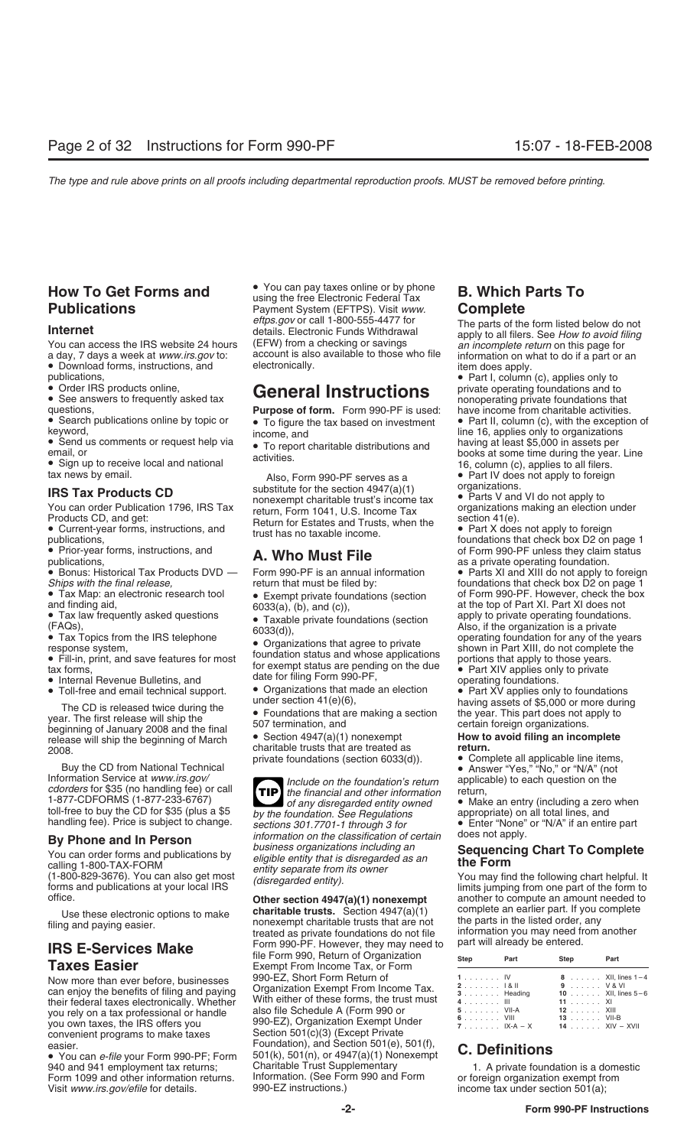- 
- 

• Bonus: Historical Tax Products DVD — Form 990-PF is an annual in Ships with the final release,

- 
- 

• Toll-free and email technical support.<br>
The CD is released twice during the<br>
year. The first release will ship the<br>
beginning of January 2008 and the final<br>
release will ship the beginning of March<br>
2008.<br>
2008.<br>
<br>
2008.

Buy the CD from National Technical<br>
Information Service at *www.irs.gov*<br>
Information Service at *www.irs.gov*<br>
Information Service at *www.irs.gov*<br>
Include on the foundation's return applicable) to each question on the<br>

you own taxes, the IRS offers you <br>
convenient programs to make taxes Section 501(c)(3) (Except Private<br>
easier Foundation), and Section 501(e),

940 and 941 employment tax returns; Charitable Trust Supplementary and Exercic computation is a dome<br>Form 1099 and other information returns. Information. (See Form 990 and Form cor foreign organization exempt from Form 1099 and other information returns. Information. (See Form 990 and Form or foreign organization exempt from the Visit www.irs.gov/efile for details. 990-EZ instructions.) income tax under section 501(a); Visit www.irs.gov/efile for details.

**From To Get Forms and Community of State And Archa Pay taxes online or by phone B. Which Parts To Publications**<br>Payment System (EFTPS). Visit *www.* Complete Payment System (EFTPS). Visit *www.*<br>eftps.gov or call 1-800-555-4477 for *eftps.gov* or call 1-800-555-4477 for The parts of the form listed below do not details. Electronic Funds Withdrawal apply to all filers. See *How to avoid filing*<br>You can access the IRS website 24 hours (EFW) from a chec You can access the IRS website 24 hours (EFW) from a checking or savings<br>a day, 7 days a week at *www.irs.gov* to: account is also available to those who file

• Sign up to receive local and national and substitute of the section 4947(a)(1) and a rews by email.<br>
tax news by email. Also, Form 990-PF serves as a external examply to foreign substitute for the section 4947(a)(1) orga **IRS Tax Products CD**<br>
You can order Publication 1796, IRS Tax<br>
Products CD, and get:<br>
Products CD, and get:<br>
Products CD, and get:<br>
Products CD, and get:<br>
Products CD, and get:<br>
Products CD, and get:<br>
Products CD, and get

**TIP** 1-877-CDFORMS (1-877-233-6767)<br>
to any disregarded entity owned<br>
toll-free to buy the CD for \$35 (plus a \$5<br>
by the foundation. See Regulations<br>
by the foundation. See Regulations<br>
sections 301.7701-1 through 3 for<br>
Enter **By Phone and In Person**<br>
You can order forms and publications by<br>
calling 1-800-TAX-FORM<br>
(1-800-829-3676). You can also get most<br>
forms and publications at your local IRS<br>
disregarded entity).<br>
(disregarded entity).<br>
(di

Use these electronic options to make **charitable trusts.** Section  $4947(a)(1)$  complete an earlier part. If you complete<br>filing and paying easier. the monexempt charitable trusts that are not the parts in the listed order, **IRS E-Services Make** Form 990-PF. However, they may need to part will already be entered.<br>**Taxes Easier Exempt From Income Tax, or Form** Step Part Step Part Foundation), and Section 501(e), 501(f), Fouridation), and Section 501(e), 501(i),<br>• You can *e-file* your Form 990-PF; Form 501(k), 501(n), or 4947(a)(1) Nonexempt **C. Definitions**<br>940 and 941 employment tax returns; Charitable Trust Supplementary 1. A private f

a day, 7 days a week at *www.irs.gov* to: account is also available to those who file information on what to do if a part or an <br>• Download forms, instructions, and electronically. <br>• Part I, column (c), applies only to **p** 

**Publications, • Part I, Column (c), applies online,** • Order IRS products online, **General Instructions** private operating foundations and to *nonoperating private foundations that* questions, **Purpose of form.** Form 990-

● Search publications online by topic or • To figure the tax based on investment • Part II, column (c), with the exception of keyword,<br>keyword, income and **income and** integrations integrations All income, and<br>
• Send us comments or request help via<br>
• To report charitable distributions and<br>
• Sign up to receive local and national<br>
• Sign up to receive local and national<br>
• Sign up to receive local and national<br>

• Prior-year forms, instructions, and **A. Who Must File** of Form 990-PF unless they claim status publications,<br>• Bonus: Historical Tax Products DVD — Form 990-PF is an annual information • Parts XI and XIII do not apply to

*Ships with the final release,* return that must be filed by: foundations that check box D2 on page 1<br>Tax Map: an electronic research tool **Company on the System of Form 990-PF.** However, check the box • Tax Map: an electronic research tool • Exempt private foundations (section of Form 990-PF. However, check the box and finding aid, 6033(a), (b), and (c)), and (c) and the top of Part XI. Part XI does not and finding aid,<br>• Tax law frequently asked questions  $\bullet$  Taxable private foundations (section apply to private operating foundations. • Tax law frequently asked questions<br>
• Taxable private foundations (section<br>
• Taxable private foundations (section<br>
• Tax Topics from the IRS telephone<br>
• Criganizations that agree to private<br>
• Fill-in, print, and save

office.<br> **Other section 4947(a)(1) nonexempt** another to compute an amount needed to<br>
Lise these electronic ontions to make **charitable trusts.** Section 4947(a)(1) complete an earlier part. If you complete

| <b>Taxes Easier</b>                                                                        | THE FORM 990, RETURN OF ORGANIZATION<br>Exempt From Income Tax, or Form | Step                           | Part                        | Step                      | Part                       |
|--------------------------------------------------------------------------------------------|-------------------------------------------------------------------------|--------------------------------|-----------------------------|---------------------------|----------------------------|
|                                                                                            | 990-EZ, Short Form Return of                                            |                                | 1. IV                       |                           | 8 XII, lines 1-4           |
| Now more than ever before, businesses                                                      | Organization Exempt From Income Tax.                                    | $2 \ldots \ldots \ldots$ 1& II |                             | 9 V&VI                    |                            |
| can enjoy the benefits of filing and paying<br>their federal taxes electronically. Whether | With either of these forms, the trust must                              | 4. III                         | $3 \ldots \ldots$ . Heading | 11 XI                     | <b>10</b> XII, lines $5-6$ |
| you rely on a tax professional or handle                                                   | also file Schedule A (Form 990 or                                       | 5. VII-A                       |                             | 12 XIII                   |                            |
| you own taxes, the IRS offers you                                                          | 990-EZ), Organization Exempt Under                                      |                                | 6. VIII<br>7. IX-A $-$ X    | 13 VII-B<br>14 XIV – XVII |                            |
|                                                                                            | Cootian E01(a)(0) (Expant Drivato                                       |                                |                             |                           |                            |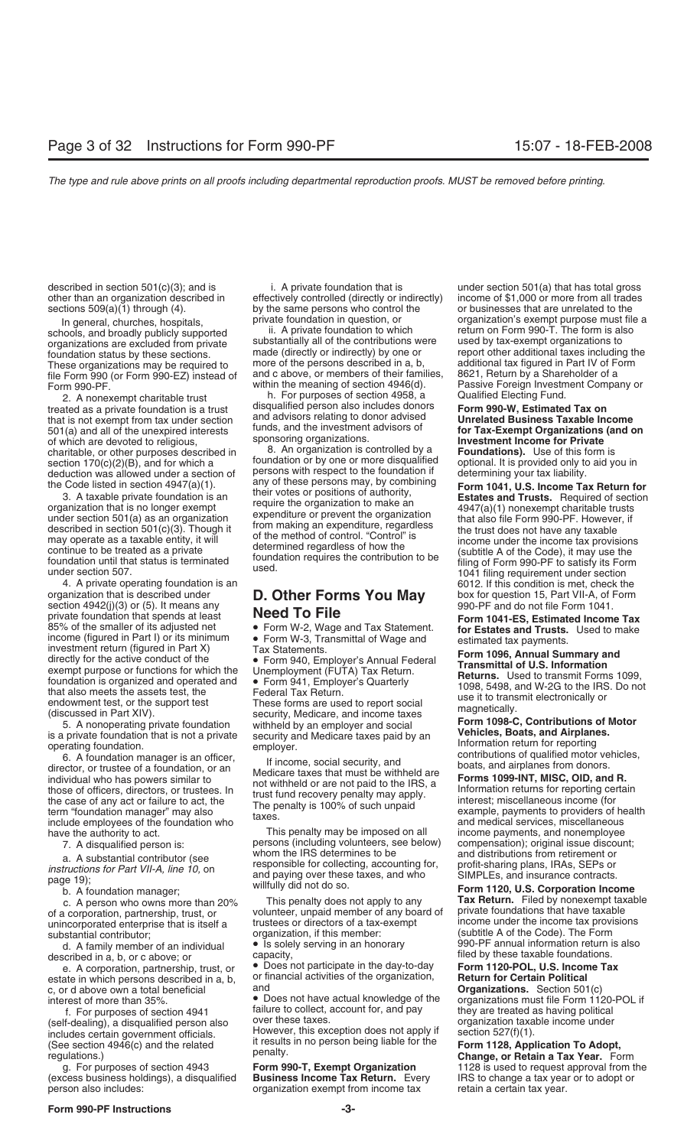organizations are excluded from private substantially all of the contributions were discussed by these sections. file Form 990 (or Form 990-EZ) instead of and c above, or members of their families<br>Form 990-PF<br>Within the meaning of section 4946(d).

treated as a private foundation is a trust disqualified person also includes donors<br>that is not exampt from tax under section and advisors relating to donor advised that is not exempt from tax under section and advisors relating to donor advised **Unrelated Business Taxable Income**<br>501(a) and all of the unexpired interests funds, and the investment advisors of **for Tax-Exempt Organizat** funds, and the investment advisors of **12x-Exempt Organizations (and interesty** the unexpired interests sponsoring organizations. **Investment Income for Private**<br>
charitable, or other purposes described in **Example 1988**. charitable, or other purposes described in  $\sigma$ . An organization is controlled by a **Foundations).** Use of this form is section 170(c)(2)(B), and for which a foundation or by one or more disqualified optional. It is provid section  $170(c)(2)(B)$ , and for which a foundation or by one or more disqualified deduction was allowed under a section of persons with respect to the foundation if

may operate as a taxable entity, it will<br>come under the income under the income under the income tax provisions<br>foundation until that status is terminated<br>foundation requires the contribution to be<br>under section 507.<br>Incom

4. A private operating foundation is an 6012. If this condition is met, check the organization that is described under **D. Other Forms You May** box for question 15, Part VII-A, of Form organization that is described under **D. Other Forms You May** section 4942(j)(3) or (5). It means any Section that spends and the square of this adjusted in the spending that the results of the small of the small of the spending in Party. We are Form W-3, Transmittal of Wage and Tax Statement. **form statement** income (figu

d. A family member of an individual **Capacity, Also described in a, b, or c above; or** described in a, b, or c above; or capacity, filed by these taxable foundations.<br>**Example foundations** of the Does not participate in th

estate in which persons described in a, b, or financial activities of the organization, **Return for Certain Political** c, or d above own a total beneficial and and **and and sellon of the Streamizations.** Section 501(c)<br>interest of more than 35%. **••** Does not have actual knowledge of the organizations must file Form 1120-POL if

Get above than 35%.<br>
interest of more than 35%.<br>
Interest of more than 35%.<br>
Interest of more than 35%.<br>
Interest of more than 35%.<br>
Interest of more than 35%.<br>
Interest of more than 35%.<br>
Interest of more than 35%.<br>
Inter

(excess business holdings), a disqualified person also includes: organization exempt from income tax retain a certain tax year.

described in section 501(c)(3); and is i. A private foundation that is under section 501(a) that has total gross other than an organization described in effectively controlled (directly or indirectly) income of \$1,000 or more from all trades sections 509(a)(1) through (4). by the same persons who control the or businesses that are unrelated to the

schools, and broadly publicly supported ii. A private foundation to which return on Form 990-T. The form is al<br>organizations are excluded from private substantially all of the contributions were used by tax-exempt organiza foundation status by these sections. The made (directly or indirectly) by one or report other additional taxes including the<br>These organizations may be required to more of the persons described in a, b, additional tax figu These organizations may be required to more of the persons described in a, b, additional tax figured in Part IV of F<br>file Form 990 (or Form 990-FZ) instead of and c above, or members of their families, 8621, Return by a Sh

2. A nonexempt charitable trust h. For purposes of section 4958, a Qualified Electing Fund.<br>2. A nonexempt charitable trust disqualified person also includes donors **Form 990-W, Estimated Tax on** 

deduction was allowed under a section of persons with respect to the foundation if<br>the Code listed in section 4947(a)(1). any of these persons may, by combining<br>3. A taxable private foundation is an their votes or position

# $\frac{1}{2}$  or  $\frac{1}{2}$  or  $\frac{1}{2}$ . It means a 990-PF and do not file Form 1041.

7. A disqualified person is: persons (including volunteers, see below) compensation); original issue disco<br>mbom the IRS determines to be and distributions from retirement or a. A substantial contributor (see the collecting, accounting for, and distinguious from returement of<br>instructions for Part VII-A, line 10, on and paying over these taxes, and who<br>b. A foundation manager; willfully did not

c. A person who owns more than 20% This penalty does not apply to any **Tax Return.** Filed by nonexempt tax<br>a corporation, partnership, trust, or **Notable 2016** volunteer, unpaid member of any board of private foundations t of a corporation, partnership, trust, or volunteer, unpaid member of any board of unincorporated enterprise that is itself a trustees or directors of a tax-exempt unincorporated enterprise that is itself a trustees or directors of a tax-exempt income under the income tax provisions substantial contributor: organization, if this member: (subtitle A of the Code). The Form

e. A corporation, partnership, trust, or **•** Does not participate in the day-to-day **Form 1120-POL, U.S. Incon**<br>ate in which persons described in a, b, or financial activities of the organization, **Return for Certain Polit** 

In general, churches, hospitals, private foundation in question, or organization's exempt purpose must file a<br>hools and broadly publicly supported ii. A private foundation to which return on Form 990-T. The form is also Form 990-PF.<br>Form 990-PF. within the meaning of section 4946(d). Passive Foreign Investment Company or<br>2. A nonexempt charitable trust by the Form purposes of section 4958, a Qualified Electing Fund.

include employees of the foundation who<br>have the authority to act. This penalty may be imposed on all income payments, and nonemployee<br>7. A disqualified person is: persons (including volunteers, see below) compensation); o

substantial contributor; and the code organization, if this member: (subtitle A of the Code). The Form<br>
d. A family member of an individual <br>
d. A family member of an individual <br>
d. A family member of an individual <br>
d. A

g. For purposes of section 4943 **Form 990-T, Exempt Organization** 1128 is used to request approval from the cess business holdings), a disqualified **Business Income Tax Return.** Every IRS to change a tax year or to adopt o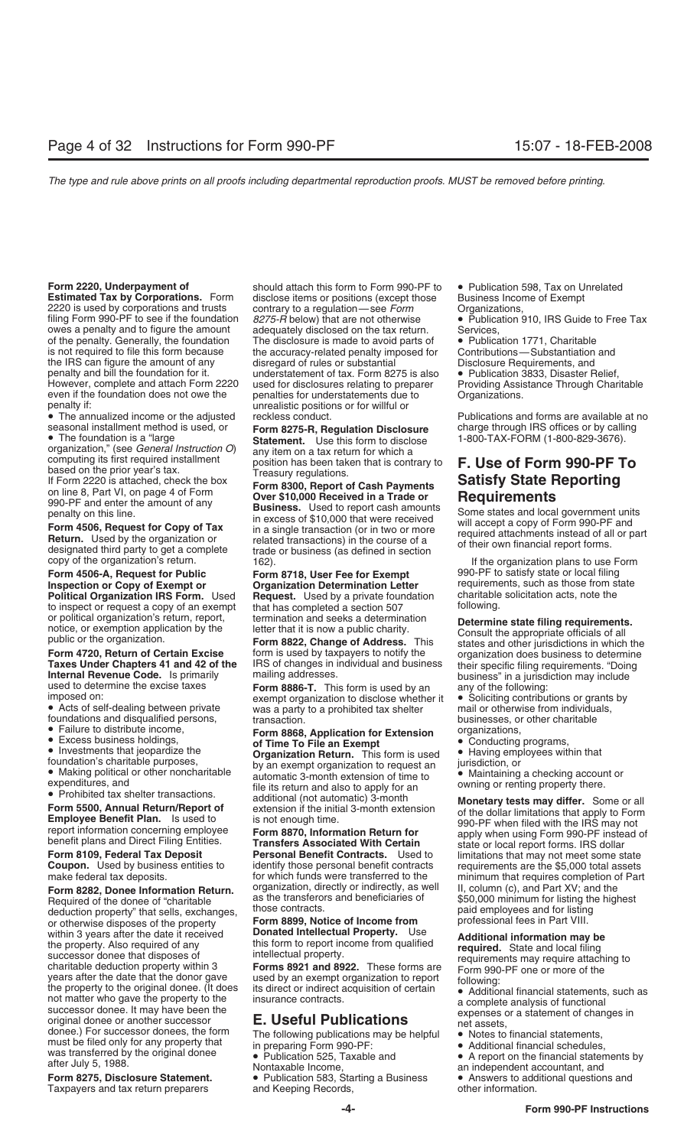2220 is used by corporations and trusts contrary to a regulation—see *Form* Organizations, filing Form 990-PF to see if the foundation *8275-R* below) that are not otherwise • Publication 910, IRS Guide to Free Tax owes a penalty and to figure the amount adequately disclosed on the tax return. Services, of the penalty. Generally, the foundation The disclosure is made to avoid parts of  $\bullet$  Publication 1771, Charitable is not required to file this form because the accuracy-related penalty imposed for Contributions—Substant the IRS can figure the amount of any penalty and bill the foundation for it. understatement of tax. Form 8275 is also • Publication 3833, Disaster Relief,<br>However, complete and attach Form 2220 used for disclosures relating to preparer Providing Assistance Th However, complete and attach Form 2220 used for disclosures relating to preparer Providing Assistance Providing Assistance Through Charitable Charitable Charitable Charitable Charitable Charitable Charitable Charitable Cha penalty if: unrealistic positions or for willful or

organization," (see *General Instruction O*) any item on a tax return for which a<br>computing its first required installment position has been taken that is contrary to **F. Use of Form 990-PF To**<br>If Form 2220 is attached, ch

**Form 4506-A, Request for Public Form 8718, User Fee for Exempt** 990-PF to satisfy state or local filing **Inspection or Copy of Exempt or Consection Determination Letter** requirements, such as those from st **Political Organization IRS Form.** Used **Request.** Used by a private foundation charitable to inspect or request a copy of an exempt that has completed a section 507 to inspect or request a copy of an exempt<br>or political organization's return, report,

- 
- 

**Form 8282, Donee Information Return.** organization, directly or indirectly, as well II, column (c), and Part XV; and the high Required of the dones of "charitable" as the transferors and beneficiaries of \$50,000 minimum f Required of the donee of "charitable as the transferors and beneficiaries of \$50,000 minimum for listing the highest<br>deduction property" that sells exchanges those contracts. deduction property" that sells, exchanges, and those contracts.<br>The paid employees and for listing or otherwise disposes of the property. **Form 8899. Notice of Income from** professional fees in Part VIII. or otherwise disposes of the property **Form 8899, Notice of Income from** within 3 years after the date it received **Donated Intellectual Property.** Use within 3 years after the date it received<br>
successor done that disposes of<br>
successor done that disposes of<br>
successor done that disposes of<br>
charitable deduction property within 3<br>
successor done that disposes of<br>
the pro

Taxpayers and tax return preparers

**Form 2220, Underpayment of** should attach this form to Form 990-PF to • Publication 598, Tax on Unrelated Estimated Tax by Corporations. Form disclose items or positions (except those Business Income of Exempt disclose items or positions (except those Business Income of Exempt a dequately disclosed on the tax return. the accuracy-related penalty imposed for Contributions—Substantiation<br>disregard of rules or substantial and Disclosure Requirements, and penalties for understatements due to

seasonal installment method is used, or<br>
• The foundation is a "large statement. Use this form to disclose through IRS offices or by calling<br>
organization," (see General Instruction O) any item on a tax return for which a<br>

on line 8, Part VI, on page 4 of Form<br>
990-PF and enter the amount of any<br>
penalty on this line.<br> **Form 4506, Request for Copy of Tax**<br> **Exerced**<br> **Exerced**<br> **Exerced**<br> **Exerced**<br> **Exerced**<br> **Exerced**<br> **Exerced**<br> **Exerced** 

# **Organization Determination Letter** requirements, such as those from state<br>**Request.** Used by a private foundation charitable solicitation acts, note the

used to determine the excise taxes **Form 8886-T**. This form is used by an any of the following:<br>imposed on: exempt organization to disclose whether it • Soliciting contributions or grants by<br>• Acts of self-dealing between

foundations and disqualified persons,<br>
• Falter to distribute income,<br>
• Excess businesse holdings,<br>
• Excess businesse holdings,<br>
• Excess businesse holdings,<br>
• Investments that jeopardize the<br> **or Time To File an Exemp** 

**Form 8109, Federal Tax Deposit Personal Benefit Contracts.** Used to limitations that may not meet some state<br> **Form 8109, Federal Tax Deposit Personal Benefit Contracts.** Used to limitations that may not meet some sta

**Form 8275, Disclosure Statement.** • Publication 583, Starting a Business • Answers to additional questions and Taxpayers and tax return preparers and Keeping Records, by the information.

- 
- 
- 

• The annualized income or the adjusted reckless conduct. The recommendations and forms are available at no

or political organization's return, report,<br>
notice, or exemption application by the letter that it is now a public charity.<br>
public or the organization.<br> **Form 4720, Return of Certain Excise**<br> **Form 4720, Return of Certai** 

- 
- 
- 
- 

**Coupon.** Used by business entities to identify those personal benefit contracts requirements are the \$5,000 total assets make federal tax deposits.  $\blacksquare$  for which funds were transferred to the minimum that requires comp minimum that requires completion of Part

- 
- 
- 
-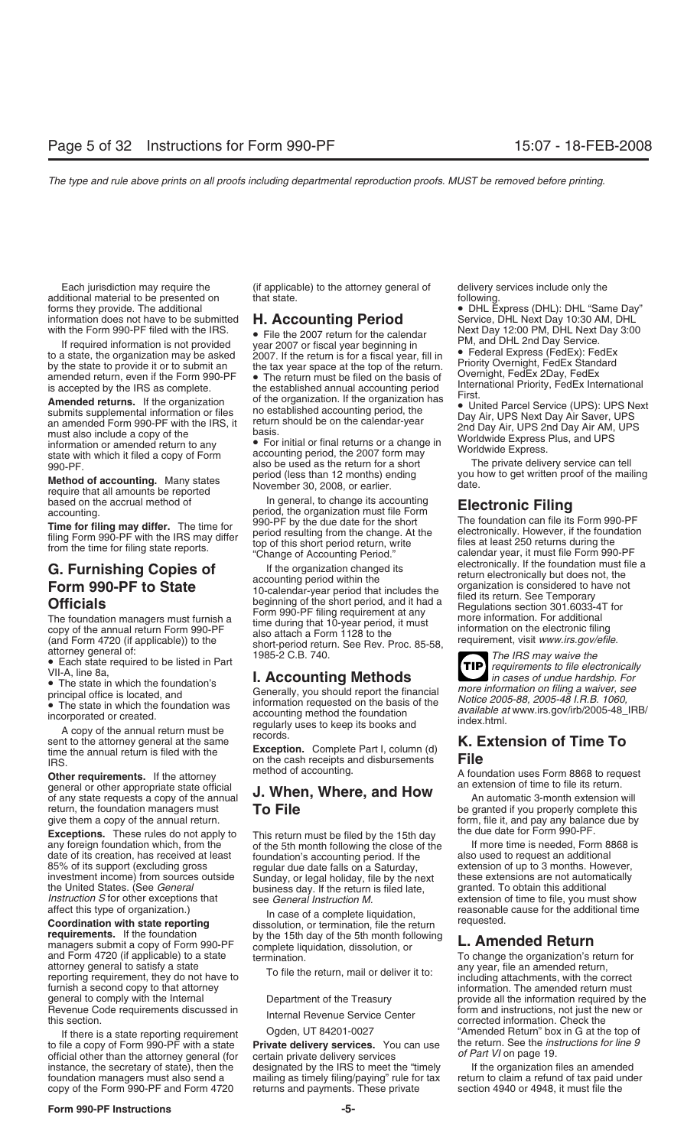Each jurisdiction may require the (if applicable) to the attorney general of delivery services include only the<br>ditional material to be presented on that state. In the attorney general of following. additional material to be presented on forms they provide. The additional forms they provide. The additional • DHL Express (DHL): DHL "Same Day"

**Method of accounting.** Many states with the mail is months) ending you have require that all amounts be reported November 30, 2008, or earlier. date.

• The state in which the foundation's principal office is located, and

general or other appropriate state official of any state requests a copy of the annual **J. When, Where, and How** An automatic 3-month extension will return, the foundation managers must **To File** be granted if you properly complete this return, the foundation managers must<br>give them a copy of the annual return.<br>by **To File** be grant to the granted if you properly complete this give them a copy of the annual return.

**Exceptions.** These rules do not apply to<br>any foreign foundation which, from the sth month following the close of the sthe state for the state of its creation, has received at least foundation's accounting period. If the a date of its creation, has received at least foundation's accounting period. If the also used to request an additional of the also negative to request and to request and the also parameters and the also negative to request the United States. (See *General* business day. If the return is filed late, *Instruction S* for other exceptions that see *General Instruction M. Instruction S* for other exceptions that see *General Instruction M.* extension of time to file, you must show affect this type of organization.) **In case of a complete liquidation** reasonable cause for the additional tim

managers submit a copy of Form 990-PF complete liquidation, dissolution, or **To change the organization's return for**<br>and Form 4720 (if applicable) to a state termination.<br>To file the return moil or deliver it to: any year attorney general to satisfy a state<br>reporting requirement, they do not have to including attachments, with the correct<br>furnish a second copy to that attorney<br>information. The amended return must furnish a second copy to that attorney<br>General to comply with the Internal information of the Treasury information. The amended return must

If there is a state reporting requirement<br>to file a copy of Form 990-PF with a state<br>of Finity at the Attorney dense and the attorney dense of Fart VI on page 19. *official other than the attorney general (for certain private delivery services* instance, the secretary of state), then the designated by the IRS to meet the "timely If the organization files an amended<br>
foundation managers must also send a mailing as timely filing/paying" rule for tax return to claim

information does not have to be submitted **H. Accounting Period** Service, DHL Next Day 10:30 AM, DHL<br>with the Form 990-PF filed with the IRS. <br>
If required information is not provided over 2007 or fiscal year beginning in<br>

state with which it filed a copy of Form accounting period, the 2007 form may<br>
ggo-PF.<br>
Mathod of coopunting Many states period (less than 12 months) ending you how to get written proof of the mailing

based on the accrual method of **In general, to change its accounting**<br>accounting.<br> **In general, to change its accounting** based on the accrual method of the species of the organization must file Form<br>accounting.<br>**Time for filing may differ.** The time for the species of the species of the short<br>filing Form 990-PF with the IRS may differ a peri

**G. Furnishing Copies of**<br> **Form 990-PF to State**<br> **Form 990-PF to State**<br> **Form 990-PF to State**<br> **Collectronically** the foundation must file accounting period within the<br>
the short period, and it had a<br>
filled its retur

Generally, you should report the financial *more information on filing a waiver, see* principal office is located, and *Notice 2005-88, 2005-48 I.R.B. 1060,* • The state in which the foundation was information requested on the basis of the *available at* www.irs.gov/irb/2005-48\_IRB/ incorporated or created. accounting method the foundation index.html*.* regularly uses to keep its books and A copy of the annual return must be records. sent to the attorney general at the same **K. Extension of Time To Exception.** Complete Part I, column (d) time the annual return is filed with the

IRS. The the annual return is filed with the<br>
IRS. **Exception.** Complete Part I, column (d)<br>
IRS. **Characteristics File**<br> **Characteristics File** 

regular due date falls on a Saturday, extension of up to 3 months. However,<br>Sunday, or legal holiday, file by the next these extensions are not automatically investment income) from sources outside Sunday, or legal holiday, file by the next these extensions are not automatically the United States. (See General business day. If the return is filed late. granted. To obtain this a

affect this type of organization.)<br> **Coordination with state reporting** dissolution, or termination, file the return<br> **Coordination with state reporting** dissolution, or termination, file the return<br>
requirements. If the f

mailing as timely filing/paying" rule for tax copy of the Form 990-PF and Form 4720 returns and payments. These private section 4940 or 4948, it must file the

**TIP**

**Other requirements.** If the attorney method of accounting. A foundation uses Form 8868 to request an extension of time to file its return.

form, file it, and pay any balance due by

provide all the information required by the Revenue Code requirements discussed in form and instructions, not just the new or this section.<br>If there is a state reporting requirement Ogden, UT 84201-0027 (If there is a state reporting requirement Ogden, UT 84201-0027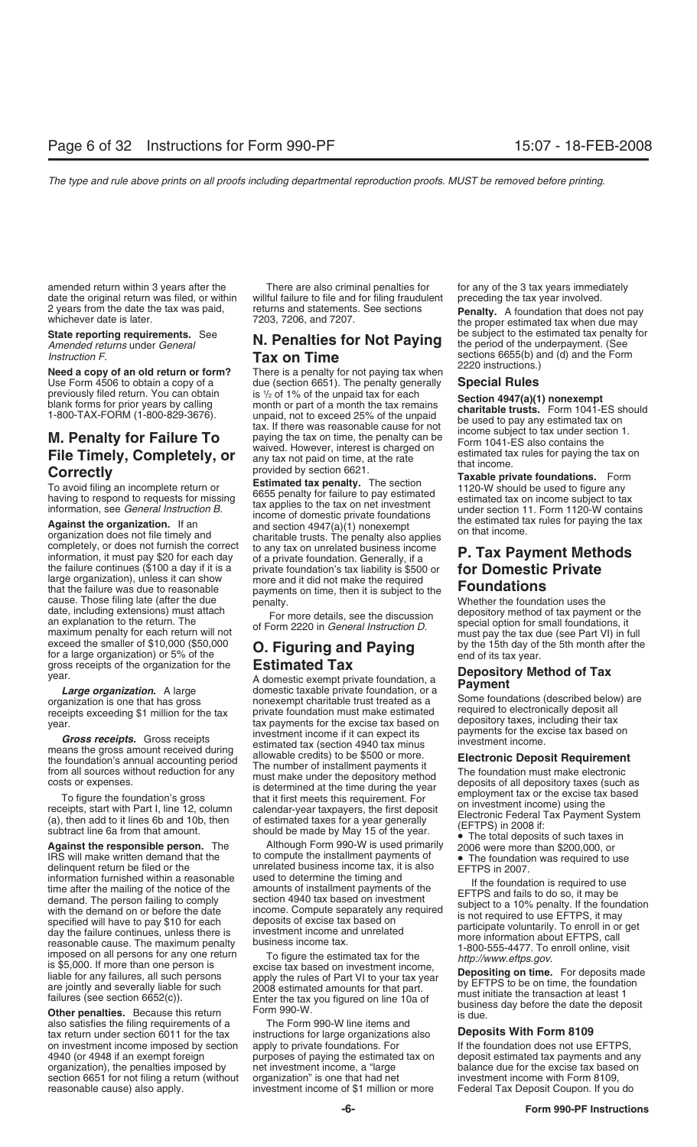amended return within 3 years after the There are also criminal penalties for for any of the 3 tax years immediately date the original return was filed, or within willful failure to file and for filing fraudulent preceding the tax year involved. 2 years from the date the tax was paid, returns and statements. See sections **Penalty.** A foundation that does not pay whichever date is later. The proper estimated tax when due may the proper estimated tax when due may

previously filed return. You can obtain<br>blank forms for prior years by calling

cause. Those filing late (after the due penalty.<br>
date, including extensions) must attach<br>
For more details, see the discussion depository method of tax payment or the date, including extensions) must attach<br>an explanation to the return. The of Form 2220 in *General Instruction D.*<br>maximum penalty for each return will not<br>exceed the smaller of \$10,000 (\$50,000<br>for a large organization) o

information furnished within a reasonable used to determine the timing and<br>
time after the mailing of the noite of the amounts of the succession 4940 tax based on investment<br>
demand. The person failing to comply<br>
with the

also satisfies the filing requirements of a The Form 990-W line items and tax return under section 6011 for the tax instructions for large organizations also **Deposits With Form 8109**<br>on investment income imposed by section apply to private foundations. For If the foundation does not use EFTPS, on investment income imposed by section 4940 (or 4948 if an exempt foreign purposes of paying the estimated tax on deposit estimated tax payments and any organization), the penalties imposed by net investment income, a "large balance due for the excise tax based on<br>section 6651 for not filing a return (without organization" is one that had net beinvestment income with Form section 6651 for not filing a return (without organization" is one that had net reasonable cause) also apply.<br>investment income of \$1 million or more

# **American returns in the period returns in the under construct of the period of the period of the under the unit<br>***Amended returns* **under** *General* **<b>Tay on Time**

**Need a copy of an old return or form?** There is a penalty for not paying tax when<br>Use Form 4506 to obtain a copy of a due (section 6651). The penalty generally **Special Rules** due (section 6651). The penalty generally<br>is <sup>1</sup>/<sub>2</sub> of 1% of the unpaid tax for each

The painting tilled return of the is  $1/2$  be the unpaid to the unpaid to the store and it die the store and the tax of the unpaid to the store of the unpaid to the unpaid the tax of the unpaid the store of the unpaid to t

year.<br> **Large organization.** A large **Estimated Tax**<br> **Large organization.** A large **and** *Large organization*. A large domestic taxable private foundation, or a<br>
organization is one that has gross nonexempt charitable tru nonexempt charitable trust treated as a Some foundations (described below<br>private foundation must make estimated fequired to electronically deposit all receipts exceeding \$1 million for the tax private foundation must make estimated required to electronically deposit all<br>year. tax payments for the excise tax based on depository taxes, including their tax<br>investment income investment income if it can expect its payments for the expect its<br>means the gross amount received during estimated tax (section 4940 tax minus investment income. means the gross amount received during<br>the foundation's annual accounting period<br>from all sources without reduction for any<br>costs or expenses.<br>To figure the foundation's gross<br>that it first meets this requirement. For<br>rece

**Against the responsible person.** The Although Form 990-W is used primarily **The total deposits of such taxes in**<br>IRS will make written demand that the to compute the installment payments of **Find Conduction** was required IRS will make written demand that the to compute the installment payments of  $\bullet$  The foundation was required to use delinquent return be filed or the unrelated business income tax, it is also EFTPS in 2007.<br>information f

**State reporting requirements.** See **http://www.php?usedeffectualtiers for Not Paying** be subject to the estimated tax penalty for **Amended returns under General Tax on Time** sections 6655(b) and (d) and the Form<br> **Tax on Time** sections 2220 instructions.)

Federal Tax Deposit Coupon. If you do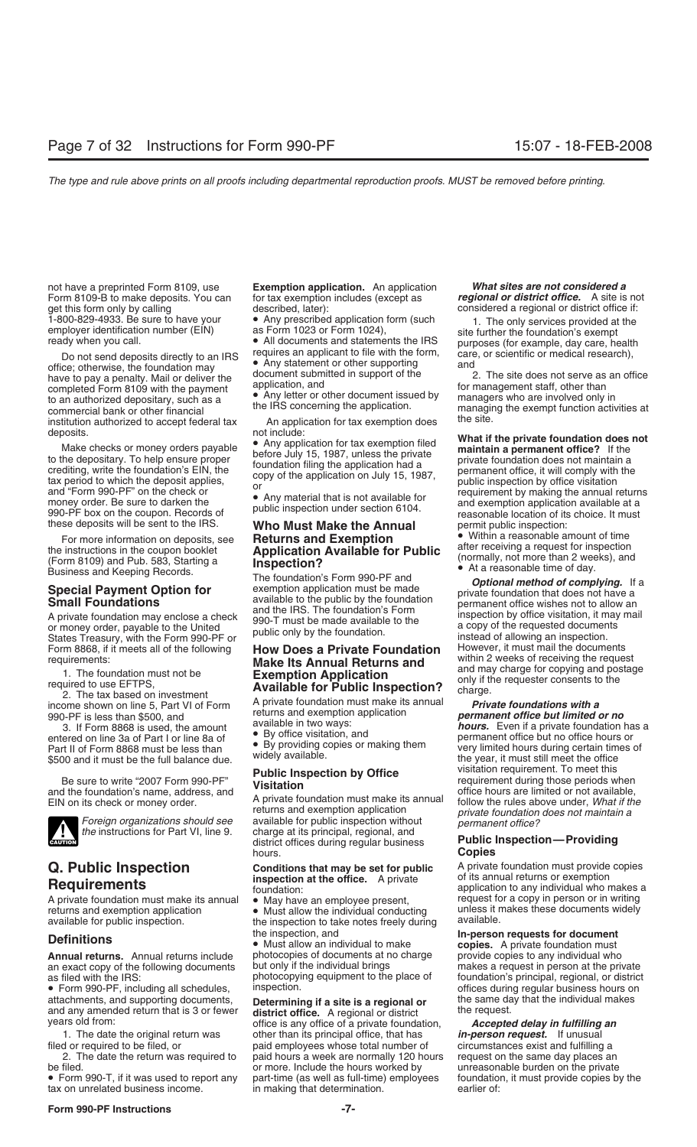Form 8109-B to make deposits. You can for tax exemption includes (except as get this form only by calling described, later):

office; otherwise, the foundation may be an interview office; otherwise, the foundation may be and office; otherwise, the foundation may a nenalty Mail or deliver the document submitted in support of the 2. The site does n have to pay a penalty. Mail or deliver the document submitted in support of the 2. The site does not serve as completed Form 8109 with the nayment application, and completed Form 8109 with the payment application, and form anagement staff, other than<br>to an authorized depositary, such as a began that is application of the englishing the englishing managers who are involved only in commercial bank or other financial<br>institution authorized to accept federal tax<br>institution authorized to accept federal tax<br>An application for tax exemption does<br>the site. institution authorized to accept federal tax exemplies deposits.<br>for include:

990-PF box on the coupon. Records of public inspection that is settled to the instruct of the sent to the IRS.<br>these deposits will be sent to the IRS. **Who Must Make the Annual** permit public inspection:<br>For more informati

For more information on deposits, see **Returns and Exemption**<br>
the instructions in the coupon booklet<br>
(Form 8109) and Pub. 583, Starting a<br>
Business and Keeping Records.<br> **Special Payment Option for** exemption application

States Treasury, with the Form 990-PF or<br>Form 8868, if it meets all of the following **How Does a Private Foundation** However, it must mail the documents<br>Form 8868, if it meets all of the following **How Does a Private Found** 

2. The tax based on investment<br>income shown on line 5, Part VI of Form A private foundation must make its annual **Private foundations with a**<br>990-PF is less than \$500, and returns and exemption application **permanent offic** 



A private foundation must make its annual • May have an employee present, request for a copy in person or in writing<br>returns and exemption application • Must allow the individual conducting unless it makes these documents returns and exemption application • Must allow the individual conducting unless it r<br>available for public inspection. The inspection to take notes freely during available.

**Annual returns.** Annual returns include photocopies of documents at no charge provide copies to any individual who<br>an exact copy of the following documents but only if the individual brings makes a request in person at th an exact copy of the following documents but only if the individual brings as filed with the IRS: photocopying equipment to the place of

attachments, and supporting documents, **Determining if a site is a regional or** the same day and any amended return that is 3 or fewer **district office.** A regional or district the request.

tax on unrelated business income.

not have a preprinted Form 8109, use **Exemption application.** An application *What sites are not considered a* described, later): considered a regional or district office if:

returns and exemption application<br>
Foreign organizations should see available for public inspection without<br>
the instructions for Part VI, line 9. charge at its principal, regional, and **CAUTION** Foreign organizations should see available for public inspection without the instructions for Part VI, line 9. charge at its principal, regional, and district offices during regular business **Public Inspection—Pr** hours. **Copies**

the inspection to take notes freely during.

**Definitions**<br>**In-person requests for document •** Must allow an individual to make **copies.** A private foundation must<br>**Annual returns.** Annual returns include photocopies of documents at no charge provide copies to any

years old from: **and a refunct of the requester of a private foundation,** *Accepted delay in fulfilling an* office is any office of a private foundation, *Accepted delay in fulfilling an* 1. The date the original return was other than its principal office, that has *in-person request.* If unusual d or required to be filed, or **paid employees whose total number of** circumstances exist and fulfilling a correction paid to paid hours a week are normally 120 hours request on the same day places an paid hours a week are normally 120 hours paid hours a week are normally 120 hours be filed.<br>• Form 990-T, if it was used to report any part-time (as well as full-time) employees foundation, it must provide copies by the • Form 990-T, if it was used to report any part-time (as well as full-time) employees foundation<br>tax on unrelated business income. in making that determination. earlier of:

1.4800-829-4933. Be sure to have your 
● Any prescribed application form (such the only services provided at the employer identification number (EIN) as Form 1023 or Form 1024),<br>
• All documents and statements the IRS pur ady when you call.<br>Do not send deposits directly to an IRS requires an applicant to file with the form, care, or scientific or medical research),<br>i.e. otherwise the foundation may • Any statement or other supporting and

deposits.<br>
Make checks or money orders payable<br>
to the depositary. To help ensure proper<br>
to the depositary. To help ensure proper<br>
crediting, write the foundation's EIN, the<br>
tax period to which the deposit applies,<br>
and

**Small Foundations**<br>
A private foundation may enclose a check<br>
or money order, payable to the United<br>
States Treasury, with the Form 990-PF or<br>
States Treasury, with the Form 990-PF or requirements:<br>
1. The foundation must not be<br>
1. The foundation must not be<br> **Exemption Application**<br> **Exemption Application**<br> **Exemption Application**<br> **Exemption Application**<br>
2. The tax based on investment<br>
<sup>1</sup><br> **Exempti** 

returns and exemption application *permanent office but limited or no*<br>available in two ways: **permanent office** but limited or no 3. If Form 8868 is used, the amount available in two ways.<br>
entered on line 3a of Part I or line 8a of Care visitation, and permanent office but no office hours or<br>
Part II of Form 8868 must be less than Chapter of the By Part II of Form 8868 must be less than • By providing copies or making them very limited hours during certain times  $\frac{3500 \text{ and it must be the full balance due.}}{3500 \text{ and it must be the full balance due.}}$ Be sure to write "2007 Form 990-PF"<br>and the foundation's name, address, and<br>EIN on its check or money order. A private foundation must make its annual follow the rules above under, *What if the*<br>EIN on its check or money o

**Q. Public Inspection Conditions that may be set for public** A private foundation must provide copies **Requirements Condition Condition Condition Condition Condition Condition Condition Condition Condit inspection at the office.** A private of the private of the opplication to any individual who makes a foundation:<br>A private foundation must make its annual  $\bullet$  May have an employee present, request for a copy in person or

photocopying equipment to the place of foundation's principal, regional, or district<br>inspection. offices during regular business hours on • Form 990-PF, including all schedules, inspection.<br>attachments, and supporting documents, **Determining if a site is a regional or** the same day that the individual makes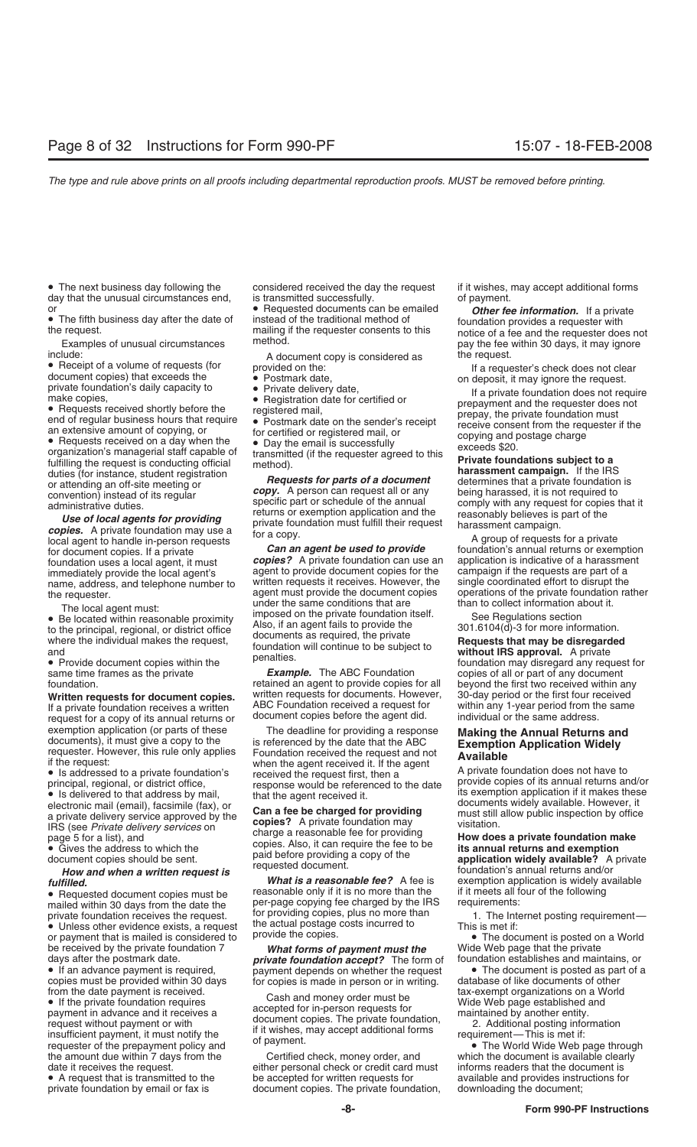• The next business day following the considered received the day the request if it wishes, may accept additional forms day that the unusual circumstances end, is transmitted successfully. The same of payment.

or attending an off-site meeting or<br>
or attending an off-site meeting or<br> *Requests for parts of a document* determines that a private foundation is<br>
convention instead of its requier<br> *CODY.* A person can request all convention) instead of its regular **copy.** A person can request all or any being harassed, it is not required to specific part or schedule of the annual comply with any request for copies that it administrative duties.

for document copies. If a private<br>for document copies. If a private **Can an agent be used to provide** foundation's annual returns or exemption<br>foundation uses a local agent it must **copies?** A private foundation can use an foundation uses a local agent, it must **copies?** A private foundation can use an immediately provide the local agent's agent to provide document copies for the

If a private foundation receives a written ABC Foundation received a request for within any 1-year period from the same address.<br>The same state is annual returns or document copies before the agent did. Individual or the s request for a copy of its annual returns or exemption application (or parts of these

the amount due within 7 days from the Certified check, money order, and which the document is available clearly

or<br>• The fifth business day after the date of instead of the traditional method of the transformation. If a private<br>the request.<br>the requester consents to this indice of a fee and the requester does not<br>the request.

include:<br>
• A document copy is considered as the request.<br>
If a request if a request for the:

- 
- 
- 
- 

specific part or schedule of the annual<br>administrative duties.<br>**Use of local agents for providing**<br>**Copies.** A private foundation may use a<br>local agent to handle in-person requests

agent to provide document copies for the campaign if the requests are part of a<br>written requests it receives. However, the single coordinated effort to disrupt the the requester. agent must provide the document copies operations of the private foundation<br>The local agent must: under the same conditions that are than to collect information about it.<br>Be located within reasonable proximi For the priori intensics of the private foundation itself.<br>
The located within reasonable proximity<br>
to the principal, regional, or district office<br>
where the individual makes the request,<br>
The private<br>
without IRS approva

same time frames as the private **Example.** The ABC Foundation copies of all or part of any document foundation.<br>
Foundation copies for all beyond the first two received within any retained an agent to provide copies for all written requests for documents. However, **Written requests for document copies.** Written requests for documents. However, 30-day period or the first four received<br>If a private foundation receives a written ABC Foundation received a request for within any 1-year p

exemption application (or parts of these interest or providing a response interest documents), it must give a copy to the is referenced by the date that the ABC<br>
if the request:<br>
if the request:<br>
if the request:<br>
if the re

Exercise the delivery service approved by the<br>
IRS (see Private delivery services on<br> **Exercise 2** Can a fee be charged for providing<br>
IRS (see Private delivery services on<br> **Exercise Secult A** Council is a must still allo

• Requested document copies must be reasonable only if it is no more than the if it meets all four or the following the following fee charged by the IRS requirements: mailed within 30 days from the date the per-page copying fee charged by the IRS requirements:<br>private foundation receives the request. for providing copies, plus no more than 1. The Internet posting requirement private foundation receives the request. The recoviding copies, plus no more than the internet posting requirement—<br>• Unless other evidence exists, a request the actual postage costs incurred to This is met if:<br>or payment

or payment that is mailed is considered to provide the copies.<br>
be received by the private foundation 7<br>
days after the postmark date.<br> **Complex to the private foundation accept?** The form of foundation establishes and mai

copies must be provided within 30 days<br>
or copies is made in person or in writing. database of like documents of other<br>
of the private foundation requires<br>
of the private foundation requires<br>
of the private foundation,<br>
i

date it receives the request.<br>• A request that is transmitted to the excepted for written requests for exailable and provides instructions fo • A request that is transmitted to the be accepted for written requests for available and provides instructions for private foundation by email or fax is document copies. The private foundation, downloading the document; document copies. The private foundation,

request.<br>Examples of unusual circumstances method.<br>pay the fee within 30 days, it may ignore

• Receipt of a volume of requests (for<br>
a document copies) that exceeds the<br>
private foundation's daily capacity to<br>
• Requests received shortly before the<br>
end of regular business hours that require<br>
end of regular busine

name, address, and telephone number to written requests it receives. However, the single coordinated effort to disrupt the<br>the requester agent must provide the document copies operations of the private foundation rather

*fulfilled. fulfilled. what is a reasonable fee?* A fee is fulfilled.<br> *fulfilled. What is a reasonable fee?* A fee is exemption application is widely available **fulfilled.**<br>
• Requested document copies must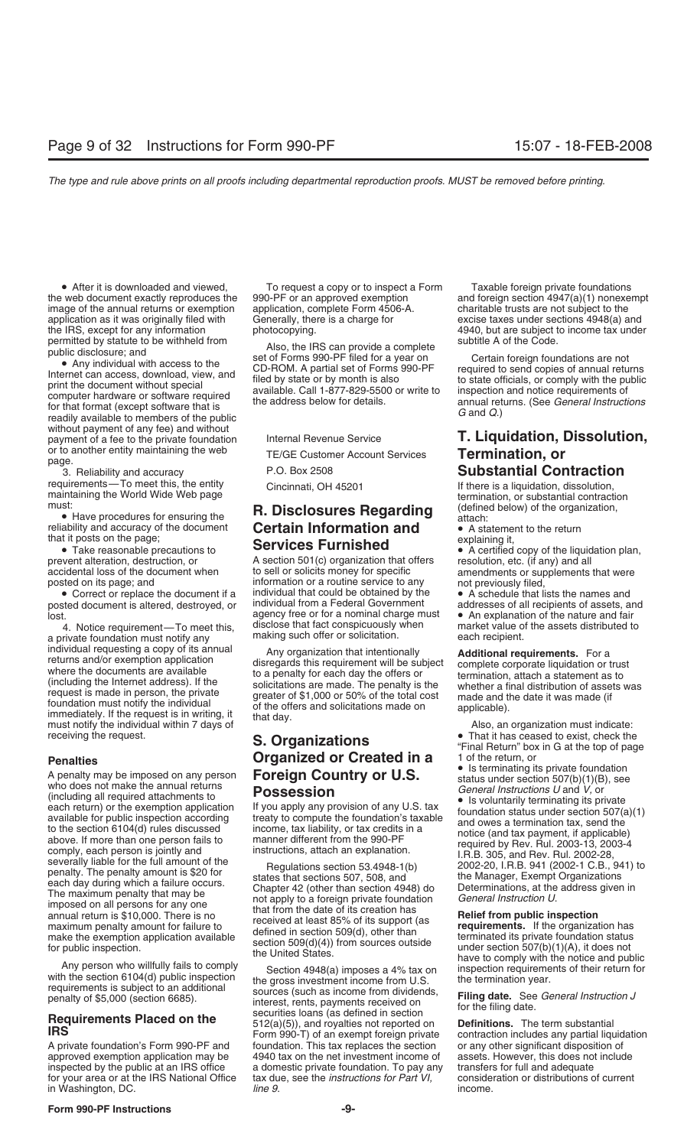the web document exactly reproduces the 990-PF or an approved exemption and foreign section 4947(a)(1) nonexempt image of the annual returns or exemption application, complete Form 4506-A. charitable trusts are not subject image of the annual returns or exemption application, complete Form 4506-A. charitable trusts are not subject to the application as it was originally filed with Generally, there is a charge for excise taxes under sections 4948(a) and<br>the IRS, except for any information photocopying.<br>  $\frac{4940}{100}$  and  $\frac{4948}{100}$  and  $\frac{4940}{100}$  b

without payment of any fee) and without payment of a fee to the private foundation Internal Revenue Service **T. Liquidation, Dissolution,** or to another entity maintaining the web<br>
TE/GE Customer Account Services<br>
Termination, or<br>
Reliability and accuracy<br>
P.O. Box 2508<br>
P.O. Box 2508<br>
Substantial Con

3. Reliability and accuracy **P.O. Box 2508 Substantial Contraction**<br>
requirements—To meet this, the entity **Cincipation** Cincipation **Contraction** 

• Correct or replace the document if a individual that could be obtained by the •<br>• A sted document is altered destroyed or individual from a Federal Government posted document is altered, destroyed, or individual from a Federal Government in addresses of all recipients of assets, and<br>Iost. **•** An explanation of the nature and fair

a private foundation must notify any individual requesting a copy of its annual<br>
returns and/or exemption application<br>
where the documents are available<br>
(including the Internet address). If the<br>
(including the Internet address). If the<br>
solicitations are mad

**Penalties**<br> **Penalties Control of the return, or the semi-modulation**<br>
A penalty may be imposed on any person<br> **Photosession**<br>
(modulation **From Control of the control of the semi-modulation**<br>
(modulation and required at

for your area or at the IRS National Office tax due in Washington, DC.

• After it is downloaded and viewed, To request a copy or to inspect a Form Taxable foreign private foundations<br>web document exactly reproduces the 990-PF or an approved exemption and foreign section 4947(a)(1) nonexe

# must:<br>**R. Disclosures Regarding** (defined below) of the organic variation of the organization of the organization of the document **Certain Information and .** A statement to the return reliability and accuracy of the docu **Certain Information and • A statement Certain Information and** • A statement **Certain Information** that it posts on the page;<br>
• Take reasonable precautions to **Services Furnished**

A section 501(c) organization that offers accidental loss of the document when to sell or solicits money for specific amendments or supplements that were<br>posted on its page; and information or a routine service to any not previously filed, posted on its page; and information or a routine service to any not previously filed,<br>• Correct or replace the document if a individual that could be obtained by the • A schedule that lists the names and lost.<br>
agency free or for a nominal charge must<br>
A Notice requirement—To meet this disclose that fact conspicuously when 4. Notice requirement—To meet this, disclose that fact conspicuously when market value of the assets distributed to making such offer or solicitation.

A private foundation's Form 990-PF and foundation. This tax replaces the section or any other significant disposition of approved exemption application may be 4940 tax on the net investment income of assets. However, this does not include inspected by the public at an IRS office a domestic private foundation. To pay any transfers for full and adequate<br>for your area or at the IRS National Office tax due, see the *instructions for Part VI,* consideration or d in Washington, DC. *line 9***. income.** *line 9.* **<b>income.** *income.* 

4940, but are subject to income tax under

permitted by statute to be withheld from<br>
public disclosure; and<br>
• Any individual with access to the<br>
Internet can access, download, view, and<br>
computer hard method is also computer hard without special<br>
computer hard met

requirements—To meet this, the entity Cincinnati, OH 45201 If there is a liquidation, dissolution,<br>maintaining the World Wide Web page **Republic Contraction** termination, or substantial contraction<br>must:  $\sum_{n=1}^{\infty}$  **R** 

- 
- 

• Take reasonable precautions to **SEIVICES FUITIISIICU**<br>prevent alteration, destruction, or A section 501(c) organization that offers resolution, etc. (if any) and all

receiving the individual within 7 days of **S. Organizations** and the request.<br> **S. Organizations Channel Community 1999 Community** in G at the top of page<br> **S. Organizations Created in a** 1 of the return, or<br> **Penaltie**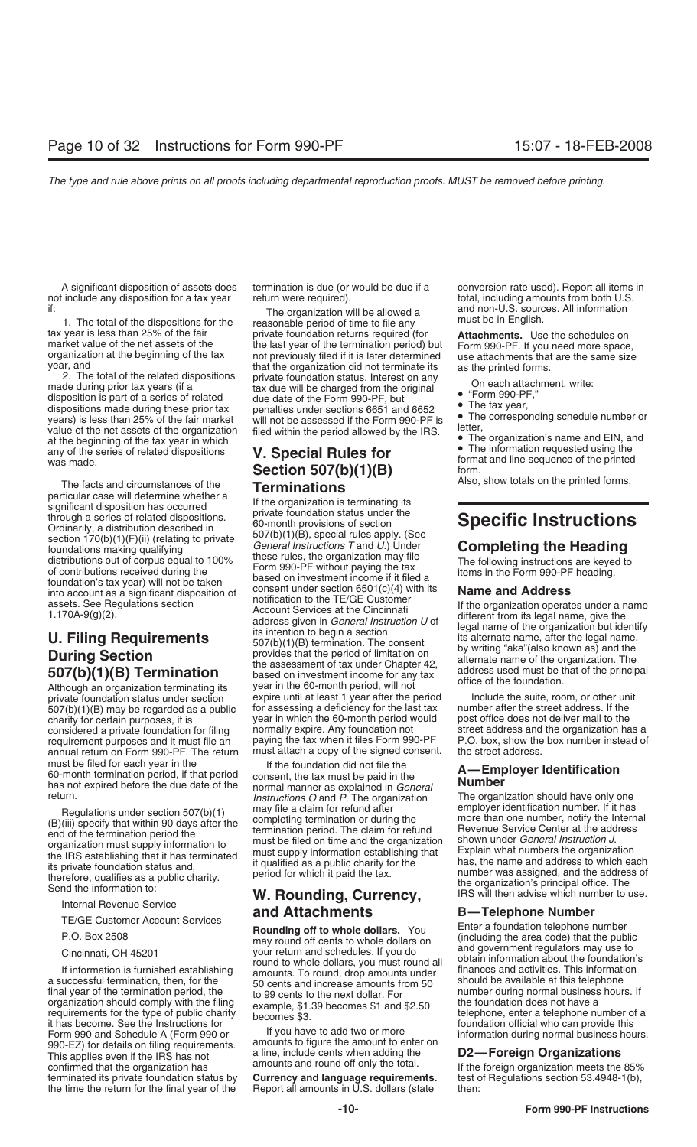not include any disposition for a tax year return were required). total, including amounts from both U.S.<br>if: total, including amounts from both U.S.<br>and non-U.S. sources. All information

year, and<br>
2. The total of the related dispositions<br>
made during prior tax years (if a<br>
disposition is part of a series of related<br>
dispositions made during these prior tax<br>
dispositions made during these prior tax<br>
dispos

The facts and circumstances of the<br>
particular case will determine whether a<br>
significant disposition has occurred<br>
through a series of related dispositions.<br>
Ordinarily, a distribution described in<br>
section 170(b)(1)(F)( Separal Instructions  $T$  and  $U$ . Under<br>
distributions out of corpus equal to 100%<br>
of contributions received during the<br>
foundation's tax year) will not be taken<br>
foundation's tax year) will not be taken<br>  $\frac{1}{2}$  based

private foundation status under section expire until at least 1 year after the period Include the suite, room, or other unit<br>507(b)(1)(B) may be regarded as a public for assessing a deficiency for the last tax number after 507(b)(1)(B) may be regarded as a public for assessing a deficiency for the last tax number after the street address. If the charity for certain purposes, it is year in which the 60-month period would post office does not considered a private foundation for filing normally expire. Any foundation not street address and the organization has a<br>requirement purposes and it must file an paying the tax when it files Form 990-PF P.O. box, show the requirement purposes and it must file an paying the tax when it files Form 990-PF P.O. box, show the annual return on Form 990-PF. The return must attach a copy of the signed consent. the street address. annual return on Form 990-PF. The return must be filed for each year in the If the foundation did not file the  $60$ -month termination period, if that period consent the tax must be paid in the

This applies even if the IRS has not<br>
This applies even if the IRS has not<br>
confirmed that the organization has amounts and round off only the total.<br>
If the foreign organization meets the 85%<br>
terminated its private found terminated its private foundation status by the time the return for the final year of the Report all amounts in U.S. dollars (state then:

if:<br>1. The total of the dispositions for the easonable period of time to file any and non-U.S. sources. All information<br>1. The total of the dispositions for the easonable period of time to file any must be in English.<br>1. T tax year is less than 25% of the fair private foundation returns required (for **Attachments.** Use the schedules on market value of the net assets of the termination period) but organization at the beginning of the tax not

# **Section 507(b)(1)(B)** format and line sequence of the printed<br> **Section 507(b)(1)(B)** form.<br>
Also, show totals on the printed forms.

Find account as a significant disposition of consent under section 6501(c)(4) with its<br>assets. See Regulations section<br>1.170A-9(g)(2). Account Services at the Cincinnation and Address<br>1.170A-9(g)(2). Account Services at t

Final Definition period, if that period<br>
Formal manner as explained in the **A—Employer Identification**<br> **A** has not expired before the due date of the normal manner as explained in *General*<br> *Instructions O* and *P*. The

A significant disposition of assets does termination is due (or would be due if a conversion rate used). Report all items in

- 
- 
- 

year in which the 60-month period would post office does not deliver mail to the normally expire. Any foundation not street address and the organization has a

The organization should have only one<br>employer identification number. If it has Regulations under section 507(b)(1) may file a claim for refund after<br>
(B)(iii) specify that within 90 days after the completing termination or during the<br>
end of the termination period the<br>
organization must supply inform

Internal Revenue Service<br>TE/GE Customer Account Services<br>P.O. Box 2508 May round off cents to whole dollars. You Enter a foundation telephone number<br>May round off cents to whole dollars on (including the area code) that th Cincinnati, OH 45201<br>
If information is furnished establishing<br>
a successful termination, then, for the<br>
final year of the termination, then, for the<br>
final year of the termination period, the<br>
final year of the terminatio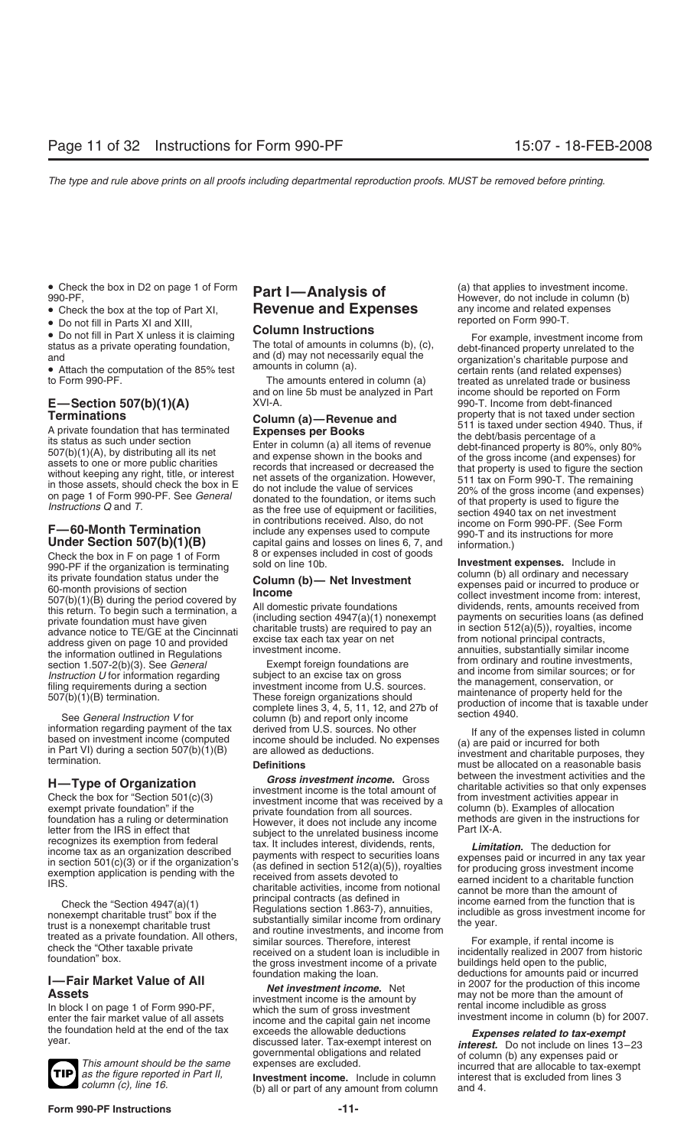- 
- 

to Form 990-PF. The amounts entered in column (a) treated as unrelated trade or business

Check the box in F on page 1 of Form 8 or expenses included in cost of goods<br>990-PF if the organization is terminating sold on line 10b.



# • Check the box at the top of Part XI, **Revenue and Expenses** any income and related  $\epsilon$  **Revenue and Expenses** any income and related  $\epsilon$  **Po poted on Form 990-T.**

and on line 5b must be analyzed in Part income should be reported on Form<br>XVI-A. 990-T. Income from debt-financed

**F—60-Month Termination** in contributions received. Also, do not income on Form 990-PF. (See Form<br> **Under Section 507(b)(1)(B)** capital gains and losses on lines 6, 7, and information.)

See *General Instruction V* for<br>See *General Instruction V* for column (b) and report only income<br>information regarding payment of the tax derived from U.S. sources. No other

**H—Type of Organization**<br>
Check the box for "Section 501(c)(3)<br>
exempt private foundation" if the<br>
foundation has a ruling or determination<br>
foundation has a ruling or determination<br>
foundation has a ruling or determinati Check the "Section 4947(a)(1)<br>Check the "Section 4947(a)(1) principal contracts (as defined in income earned from the function that is<br>nonexempt charitable trust" box if the Regulation that is equipal contracts (as defined Crieck the Section 4947(a)(1)<br>nonexempt charitable trust" box if the<br>trust is a nonexempt charitable trust" box if the<br>trust is a nonexempt charitable trust" box if the<br>trated as a private foundation. All others,<br>check the

**1**<br> **Eair Market Value of All**<br> **Assets**<br>
In block I on page 1 of Form 990-PF,<br>
in 2007 for the productions for amounts paid or incurred<br> **Assets**<br>
investment income is the amount by<br>
the foundation held at the end of the

(b) all or part of any amount from column and 4.

• Check the box in D2 on page 1 of Form **Part I—Analysis of** (a) that applies to investment income.<br> **Part I—Analysis of However, do not include in column (b)**<br>
• Check the box at the top of Part XI. **Revenue and Expense** 

● Do not fill in Parts XI and XIII,<br>
and The total of amounts in columns (b), (c),<br>
and amounts in columns (b), (c),<br>
and (d) may not necessarily equal the<br>
and (a).<br>
and (a).<br>
and (a).<br>
and (a).<br>
and (a).<br>
and (a).<br>
and **E—Section 507(b)(1)(A)**  $XVI-A$ . 990-T. Income from debt-financed<br> **Terminations** Column (c) Boyanus and property that is not taxed under section **Terminations**<br>
A private foundation that has terminated<br>
A private foundation that has terminated<br>
tis status as such under section<br>  $507(b)(1)(A)$ , by distributing all its net<br>  $507(b)(1)(A)$ , by distributing all its net<br>
wit

990-PF if the organization is terminaling sold on line 10b.<br>
Sold on line 10b.<br>
Investment expenses. Include in<br>
tis private foundation status under the<br>
507(b)(1)(B) during the period covered by<br>
507(b)(1)(B) during the

information regarding payment of the tax derived from U.S. sources. No other lf any of the expenses listed in column<br>based on investment income (computed income should be included. No expenses (a) are paid or incurred for

This amount should be the same<br>as the figure reported in Part II,<br>column (c), line 16.<br>column (c), line 16.<br>column (c), line 16.<br>column (c), line 16.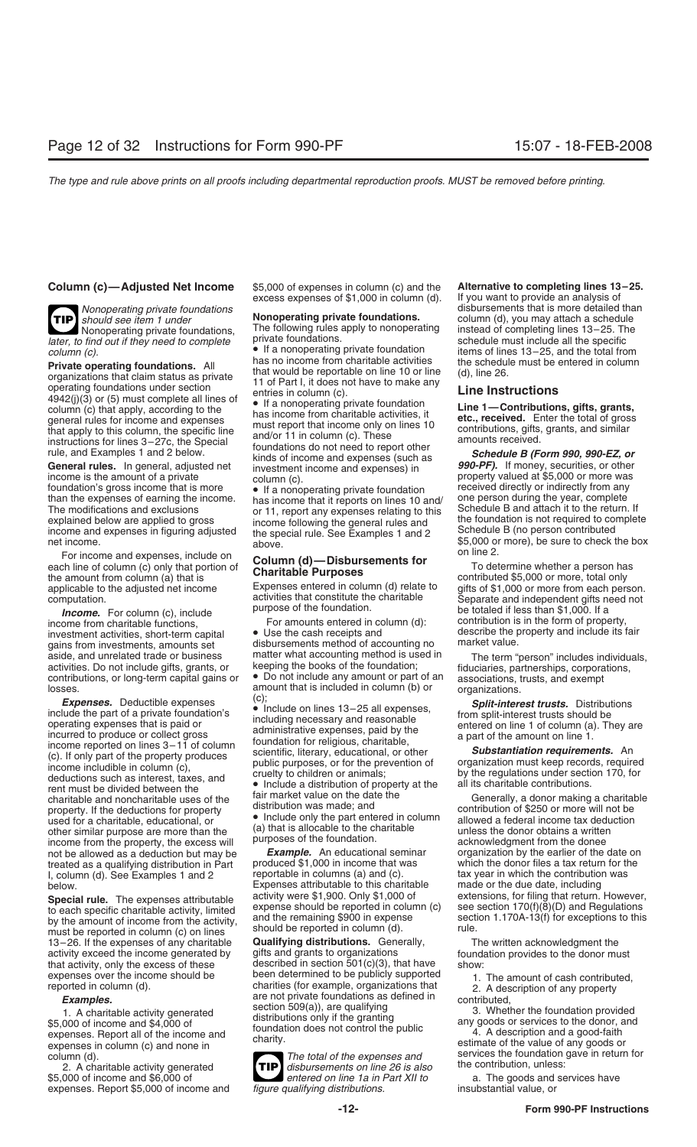**TIP** *later, to find out if they need to complete* private foundations.<br>column (c) **subsets in the specific of the specific specific specific must include all the specific specific sp** 

For income and expenses, include on<br>each line of column (c) only that portion of<br>the amount from column (a) that is<br>To determine whether a person has<br>contributed \$5,000 or more, total only the amount from column (a) that is<br>applicable to the adjusted net income<br>computation. Expenses entered in column (d) relate to<br>activities that constitute the charitable<br>Separate and independent gifts need not

aside, and unrelated trade or business matter what accounting method is used in The term "person" includes individuals, activities. Do not include gifts, grants, or keeping the books of the foundation; fiduciaries, partner activities. Do not include gifts, grants, or keeping the books of the foundation; fiduciaries, partnerships, corporations, contributions, or long-term capital gains or  $\bullet$  Do not include any amount or part of an associati contributions, or long-term capital gains or  $\bullet$  Do not include any amount or part of an associations, trusts, and exempt losses.

Losses.<br>
Subsets and that is included in column (b) or<br>
include the part of a private foundation's<br>
include expenses that is paid or<br>
including necessary and reasonable<br>
one rating expenses that is paid or<br>
incurred to pro charitable and noncharitable uses of the fair market value on the date the charitable and noncharitable uses of the distribution was made; and property. If the deductions for property distribution was made; and used for a used for a charitable, educational, or <br>other similar purpose are more than the doublation and the charitable other similar purpose are more than the<br>income from the property, the excess will purposes of the foundation.<br>ac income from the property, the excess will purposes of the foundation.<br>income from the donee as a deduction but may be **Example.** An educational seminar organization by the earlier of the date on not be allowed as a deduction but may be **Example.** An educational seminar organization by the earlier of the date on<br>treated as a qualifying distribution in Part produced \$1,000 in income that was which the donor files a treated as a qualifying distribution in Part produced \$1,000 in income that was which the donor files a tax return for the contribution was<br>L column (d), See Examples 1 and 2 ereportable in columns (a) and (c). The tax yea I, column (d). See Examples 1 and 2 reportable in columns (a) and (c). tax year in which the contribution below.<br>Expenses attributable to this charitable made or the due date, including

must be reported in column (c) on lines<br>13–26. If the expenses of any charitable **Qualifying distributions.** Generally, The written acknowledgment the 13–26. If the expenses of any charitable **Qualifying distributions.** Generally, The activity exceed the income generated by gifts and grants to organizations activity exceed the income generated by gifts and grants to organizations foundation provides to the donor must<br>that activity, only the excess of these described in section 501(c)(3), that have show: that activity, only the excess of these described in section  $501(c)(3)$ , that have show:<br>expenses over the income should be been determined to be publicly supported

2. A charitable activity generated **dispute activity generated dispute 12 is also** the contribution, and \$6,000 of expenses. Report \$5,000 of income and

**Column (c)—Adjusted Net Income** \$5,000 of expenses in column (c) and the **Alternative to completing lines 13–25.** excess expenses of  $$1,000$  in column (d).

Nonoperating private foundations, The following rules apply to nonoperating instead of completing lines 13–25. The<br>o find out if they need to complete private foundations. Schedule must include all the specific

*column (c).*<br>**•** If a nonoperating private foundation items of lines 13–25, and the total from<br>**Private operating foundations** All has no income from charitable activities the schedule must be entered in column

expenses over the income should be been determined to be publicly supported<br>
reported in column (d).<br> **Examples.** are not private foundations as defined in<br>
1. A charitable activity generated<br>
\$5,000 of income and \$4,000 o

**5,000 entered on line 1a in Part XII to** a. The goods and services have figure qualifying distributions. **TIP**

*Nonoperating private foundations*<br> *Should see item 1 under* **Nonoperating private foundations.** disbursements that is more detailed than<br>
column (d), you may attach a schedule **Nonoperating private foundations.** column (d), you may attach a schedule<br>The following rules apply to nonoperating instead of completing lines 13–25. The

**Private operating foundations.** All<br>
that would be reportable on line 10 or line (d), line 26.<br>
operating foundations under serivate<br>
operating foundations under serivate<br>
operating foundations under serior<br>
operating fou

computation.<br> **Computation** activities that constitute the charitable<br> **Computation** activities, short-term capital<br>
income from charitable functions,<br>
investment activities, short-term capital<br>
gains from investments, amo

below.<br>
Expenses attributable to this charitable made or the due date, including<br>
Special rule The expenses attributable activity were \$1,900. Only \$1,000 of extensions, for filing that return. However, Special rule. The expenses attributable<br>to each specific charitable activity, limited<br>by the amount of income from the activity,<br>should be reported in column (c) are section 1.170A-13(f) for exceptions to this<br>must be rep

expenses in column (c) and none in<br>
column (d).<br> **The total of the expenses and**<br> *The total of the expenses and*<br> *The total of the expenses and*<br> *The total of the expenses and*<br> *The total of the expenses and*<br> *The tot*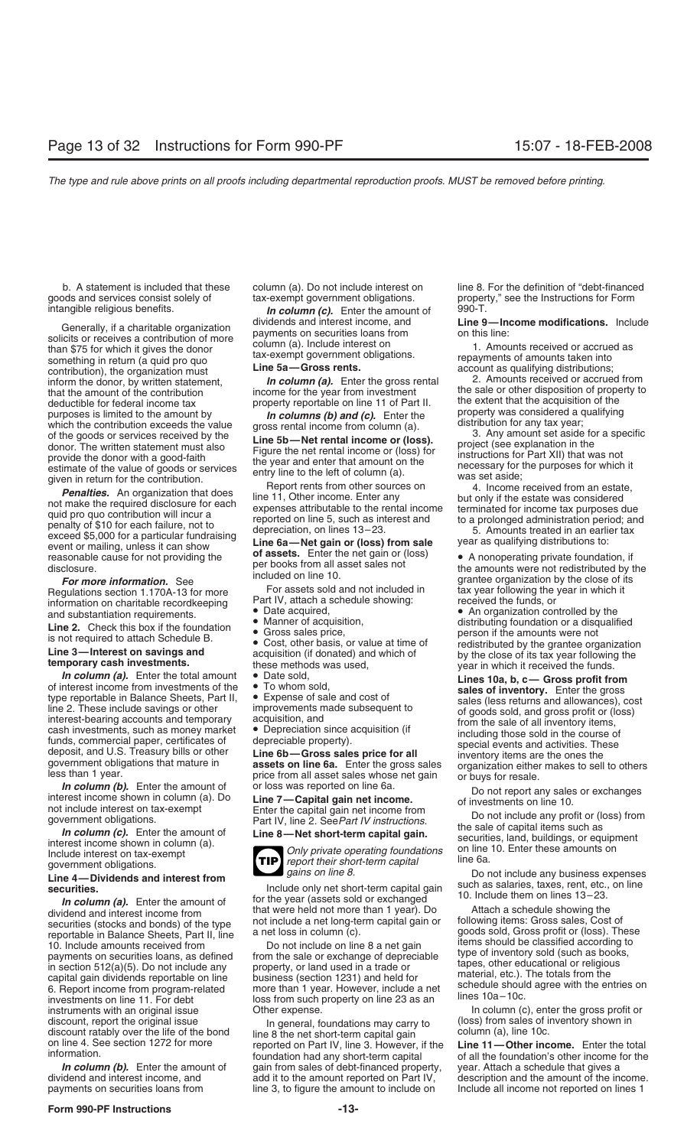goods and services consist solely of tax-exempt government obligations. proper<br>intangible religious benefits. **processed to the Instruction for Anstruct**ions for Forman formations for Forman fo

something in return (a quid pro quo<br>
contribution), the organization must<br>
inform the donor, by written statement.<br> **Line 5a—Gross rents.**<br> **In column (a).** Enter the gross rental and the contributions inform the donor, by inform the donor, by written statement, *In column (a)*. Enter the gross rethat the amount of the contribution income for the year from investment that the amount of the contribution income for the year from investment the sale or other disposition of property to<br>deductible for federal income tax property reportable on line 11 of Part II. the extent that the acquisit deductible for federal income tax property reportable on line 11 of Part II. the extent that the acquisition of the<br>property was considered a qualifying purposes is limited to the amount by **property** *In columns (b) and (c)*. Enter the property was considered a quality withich the contribution exceeds the value gross rental income from column (a). distribution for any t which the contribution exceeds the value<br>of the goods or services received by the<br>donor. The written statement must also<br>provide the donor with a good-faith<br>estimate of the value of goods or services<br>of the value of goods

**Example the Communities.** An organization that does<br>
not make the required disclosure for each<br>
mot make the required disclosure for each<br>
exceed \$5,000 for a particular fundraising<br>
penalty of \$10 for each failure, not t

**For more information.** See through the included of the role of the cost of it<br>Regulations section 1.170A-13 for more For assets sold and not included in tax year following the year in which it<br>information on charitable re information on charitable recordkeeping Part IV, attach a schedule showing: received the funds, or<br>and substantiation requirements. • Date acquired, in the controlled by the

**In column (a).** Enter the total amount <br>
of interest income from investments of the To whom sold,<br>
tines 10a, b, c — Gross profit from<br>
type reportable in Balance Sheets, Part II, expense of sales and cost of<br>
line 2. The

dividend and interest income from that were neld not more than 1 year). Do Attach a schedule showing the<br>securities (stocks and bonds) of the type not include a net long-term capital gain or following items: Gross sales, C 10. Include amounts received from bo not include on line 8 a net gain items should be classified according to<br>payments on securities loans, as defined from the sale or exchange of depreciable type of inventory sold (such a instruments with an original issue Other expense.<br>
In column (c), enter the gross profit or discount, report the original issue and other expense.<br>
In operal, foundations may carry to (loss) from sales of inventory shown i

**in column (c).** Enter the amount of Generally, if a charitable organization<br>
solicits or receives a contribution of more<br>
than \$75 for which it gives the donor<br>
something in return (a quid pro quo<br>
time  $f(x) = 0$ <br>
time  $f(x) = 0$ <br>
something in return (a quid pr

- 
- 
- 

- 
- 



Line 4—Dividends and interest from<br>
securities.<br>
In column (a). Enter the amount of<br>
dividend and interest income from<br>  $\frac{1}{2}$  for the year (assets sold or exchanged<br>  $\frac{1}{2}$  for the year (assets sold or exchanged<br>

capital gain dividends reportable on line business (section 1231) and held for material, etc.). The totals from the<br>6. Report income from program-related more than 1 year. However, include a net schedule should agree with

discount, report the original issue<br>
discount ratably over the life of the bond<br>
on line 8 the net short-term capital gain<br>
on line 4. See section 1272 for more<br>
information had any short-term capital<br>
foundation had any s foundation had any short-term capital of all the foundation's other income for the *In column (b).* Enter the amount of gain from sales of debt-financed property, year. Attach a schedule that gives a dividend and interest income, and add it to the amount reported on Part IV, description and the amount of

b. A statement is included that these column (a). Do not include interest on line 8. For the definition of "debt-financed<br>bus and services consist solely of tax-exempt government obligations. The property," see the Instruc

and substantiation requirements.<br> **Line 2.** Check this box if the foundation<br>
is not required to attach Schedule B.<br> **Line 3—Interest on savings and**<br> **Line 3—Interest on savings and**<br> **Line 3—Interest on savings and**<br> **Li** 

**In column (b).** Enter the amount of or loss was reported on line 6a.<br>
interest income shown in column (a). Do **Line 7—Capital gain net income.**<br>
not include interest on tax-exempt<br>
government obligations.<br> **In column (c).** 

description and the amount of the income. payments on securities loans from line 3, to figure the amount to include on Include all income not reported on lines 1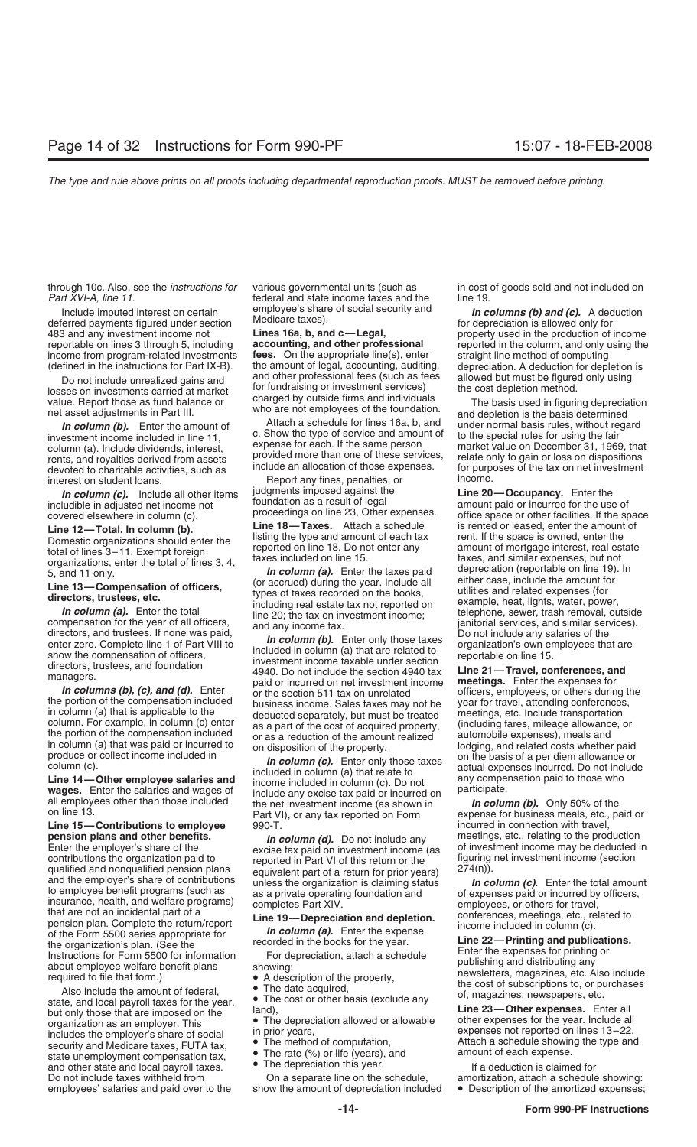through 10c. Also, see the *instructions for* various governmental units (such as in cost of goods sold and not included on

Include imputed interest on certain a *Imployee's* share of social security and **In columns (b) and (c).** A deduction deferred payments figured under section Medicare taxes).<br>A 43 and any investment income not **Lines 16a,** 483 and any investment income not **Lines 16a, b, and c—Legal,** property used in the production of income reportable on lines 3 through 5, including **accounting, and other professional** reported in the column, and only usin income from program-related investments **fees.** On the appropriate line(s), enter (defined in the instructions for Part IX-B). the amount of legal, accounting, auditing,

best included and the cost depletion method.<br>
Intervalue by outside firms and individuals<br>
value. Report those as fund balance or the cost depletion is the basis used in figuring depreciation<br>
net asset adjustments in Part

devoted to charitable activities, such as<br>include an allocation of mose expenses. The primeriest on student loans.<br>In column (c) sinclude all other items includents imposed against the line 20

includible in adjusted net income not foundation as a result of legal covered elsewhere in column (c). proceedings on line 23, Other expenses.

In column (a). Enter the total ine 20; the tax on investment income;<br>compensation for the year of all officers, and any income tax. janitorial services, and similar services).<br>directors, and trustees. If none was paid,  $\frac$ 

Line 15-Contributions to employee **pension plans and other benefits.** *In column (d)*. Do not include any meetings, etc., relating to the production excise tax paid on investment income (as contributions the organization paid to reported in Part VI of thi to employee benefit programs (such as<br>
insurance, health, and welfare programs)<br>
that are not an incidental part of a<br>
pension plan. Complete the return/report<br>
of the Form 5500 series appropriate for<br>
the **19**—**Depreciati** 

For eignization's plan. (See the recorded in the books for the year.<br>
Instructions for Form 5500 for information<br>
about employee welfare benefit plans<br>
the organization's plan. (See the experiment of the property,<br>
also in

federal and state income taxes and the line 19.

the amount of legal, accounting, auditing, depreciation. A deduction for depletion is<br>and other professional fees (such as fees allowed but must be figured only using Do not include unrealized gains and and other professional fees (such as fees allowed but must be figured only using<br>ses on investments carried at market for fundraising or investment services) the cost depletion method.

In **column (c).** Include all other items ludgments imposed against the **Line 20—Occupancy.** Enter the line of legal ludible in adjusted net income not **the interpretion of a state of legal** amount paid or incurred for the

**Line 14—Other employee salaries and**<br> **wages.** Enter the salaries and wages of<br>
all employees other than those included<br>
on line 13.<br> **Line 15—Contributions to employee**<br> **Examployee** on Enter and wages of<br>
the net invest

- 
- 

- 
- 
- 

Do not include taxes withheld from On a separate line on the schedule, amortization, attach a schedule showing: employees' salaries and paid over to the show the amount of depreciation included . Description of the amortized expenses;

**accounting, and other professional** reported in the column, and only using the **fees.** On the appropriate line(s), enter straight line method of computing

**and depletion is the basis determined**<br> **and depletion is the basis determined**<br> **and depletion is the basis determined**<br> **and depletion is the basis determined**<br> **and depletion is the basis determined**<br> **and depletion is** column (a). Include dividends, interest, expense for each. If the same person market value on December 31, 1969, that ends are person expenses. The provided more than one of these services, relate only to gain or loss on d

proceedings on line 23, Other expenses. office space or other facilities. If the space<br>Line 18—Taxes. Attach a schedule signented or leased, enter the amount of **Line 12—Total. In column (b).**<br>
Line 18—Taxes. Attach a schedule is rented or leased, enter the amount of<br>
total of lines 3–11. Exempt foreign<br>
organizations, enter the total of lines 3, 4,<br>
5, and 11 only.<br>
Line 13—**Comp** 

directors, and trustees. If noe was paid,  $\frac{1}{2}$  in column (b). Enter only those taxes to the enter zero. Complete line 1 of Part VIII to included in column (a) that are related to reportable on line 15.<br>
show the comp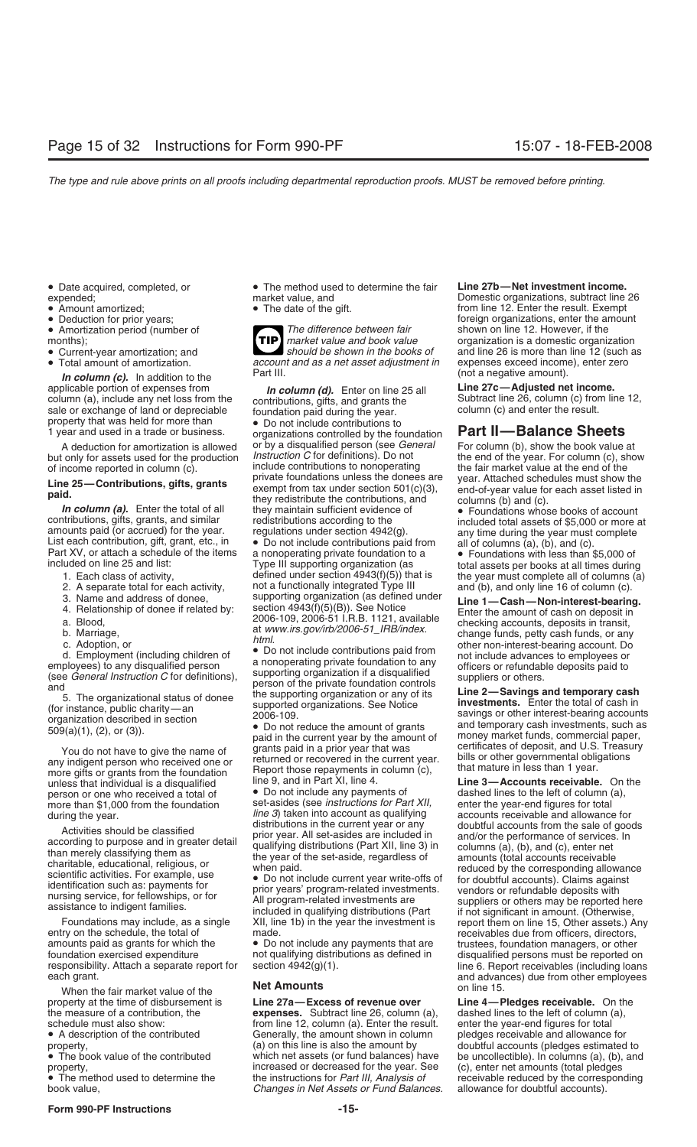- 
- 
- 
- 
- 
- 

**In column (c).** In addition to the the the column (d). Finally and the column (d). Finally applicable portion of expenses from **In column (d)**. Finally applicable portion of expenses from **In column (d)**. Finally applicab

contributions, gifts, grants, and similar redistributions according to the included total assets of \$5,000 or more at amounts paid (or accrued) for the year. List each contribution, gift, grant, etc., in <br>List each contrib

- 
- 
- 
- 
- 
- 
- 

unless that individual is a disqualified line 9, and in Part XI, line 4. **Line 3—Accounts receivable.** On the person or one who received a total of **Conduct of Conduct** any payments of dashed lines to the left of column (a more than \$1,000 from the foundation set-asides (see *instructions for Part XII, during the year*-end *fine 3*) taken into account as qualifying

amounts paid as grants for which the • Do not include any payments that are trustees, foundation managers, or other<br>foundation exercised expenditure not qualifying distributions as defined in disqualified persons must be r foundation exercised expenditure not qualifying distributions as defined in disqualified persons must be reported on<br>responsibility. Attach a separate report for section 4942(g)(1). The 6. Report receivables (including loa

When the fair market value of the **Net Amounts** on line 15.<br>Netty at the time of disbursement is **Line 27a—Excess of revenue over Line 4—F** property at the time of disbursement is **Line 27a—Excess of revenue over Line 4—Pledges receivable.** On the

• Date acquired, completed, or • The method used to determine the fair **Line 27b—Net investment income.** expended; market value, and Domestic organizations, subtract line 26

• Amortization period (number of *The difference between fair* negative 12. However, if the 12. However, if the 12. However, if the 12. However, if the 12. However, if the 12. However, if the 12. However, if the 12. Howeve months);<br>**TIP** market value and book value organization is a domestic organization **organization**<br>should be shown in the books of and line 26 is more than line 12 (such a • Current-year amortization; and **should be shown in the books of** and line 26 is more than line 12 (such as a net asset adjustment in expenses exceed income), enter zero **TIP** • Total amount of amortization. *account and as a net asset adjustment in* expenses exceed income), enter zero

applicable portion of expenses from **Line 21c**—**Adjusted net income.**<br>
column (a), include any net loss from the contributions gifts and grants the **Subtract line 26, column (c)** from line 12, column (a), include any net loss from the contributions, gifts, and grants the Subtract line 26, column (c) from line 12, sale or exchange of land or depreciable foundation paid during the year.<br>
property that was held for property that was held for more than <br>
1 year and used in a trade or business. organizations controlled by the foundation **Part II—Balance Sheets** A deduction for amortization is allowed or by a disqualified person (see *General* For column (b), show the book value at but only for assets used for the production *Instruction C* for definitions). Do not the end of the of income reported in column (c). include contributions to nonoperating the fair market value at the end of the<br>I include the end of the private foundations unless the donees are year. Attached schedules must show the **Line 25—Contributions, gifts, grants** private foundations unless the donees are year. Attached schedules must show the exempt from tax under section 501(c)(3), end-of-year value for each asset listed in they redistribute

uded on line 25 and list: interestion of the supporting organization (as and the year must complete all of columns (a)<br>1. Each class of activity, the year must complete all of columns (a)<br>2. A separate total for each activ 2. A separate total for each activity, not a functionally integrated Type III and (b), and only line 16 of column (c).<br>3. Name and address of donee, supporting organization (as defined under Line 1—Cash—Non-interest-bearin

d. Employment (including children of<br>
a nonoperating private foundation to any<br>
employees) to any disqualified person<br>
(see *General Instruction C* for definitions),<br>
the supporting organization if a disqualified<br>
5. The o

grants paid in a prior year that was certificates of deposit, and U.S. Treasury You do not have to give the name of returned or recovered in the current year. bills or other governmental obligations any indigent person who received one or Report those repayments in column (c), that mature in less than 1 year. more gifts or grants from the foundation

during the year.<br>*line 3*) taken into account as qualifying accounts receivable and allowance for<br>doubtful accounts from the sale of goods

expenses. Subtract line 26, column (a), schedule must also show: enter the year-end figures for total from line 12, column (a). Enter the result. enter the year-end figures for total • A description of the contributed Generally, the amount shown in column pledges receivable and allowance for property,<br>(a) on this line is also the amount by doubtful accounts (pledges estimated • The book value of the contributed which net assets (or fund balances) have be uncollectible). In columns (a), (b), and property,<br>• The method used to determine the instructions for *Part III, Analysis of* exercivable reduced by the corresponding • The method used to determine the the instructions for *Part III, Analysis of* receivable reduced by the corresponding the instructions for *Part III, Analysis of* receivable reduced by the corresponding the corresponding **Changes in Net Assets or Fund Balances.** 

• Amount amortized; exempt example and the date of the gift. The manner of the result. Exempt exempt example beduction for prior years; exempt example beduction for prior years; foreign organizations, enter the amount<br>
The difference between fair shown on line 12. However, if the

3. Name and address of donee,<br>
4. Relationship of donee if related by:<br>
a. Blood,<br>
b. Marriage,<br>
c. Adoption, or<br>
c. Adoption, or<br>
a. Blood,<br>  $\frac{2006-109}{2006-109}$ ,  $\frac{2006-51}{2006-51}$ . R.B. 1121, available<br>  $\frac{1}{200$ 

dashed lines to the left of column (a), enter the year-end figures for total Activities should be classified<br>according to purpose and in greater detail<br>than merely classifying them as<br>charitable, educational, religious, or<br>scientific activities. For example, use<br>identification such as: payments for Foundations may include, as a single XII, line 1b) in the year the investment is report them on line 15, Other assets.) Any entry on the schedule, the total of made. receivables due from officers, directors, responsibility. Attach a separate report for section 4942(g)(1). line 6. Report receivables (including loans each grant. eard advances) due from other employees<br>
on line 15

doubtful accounts (pledges estimated to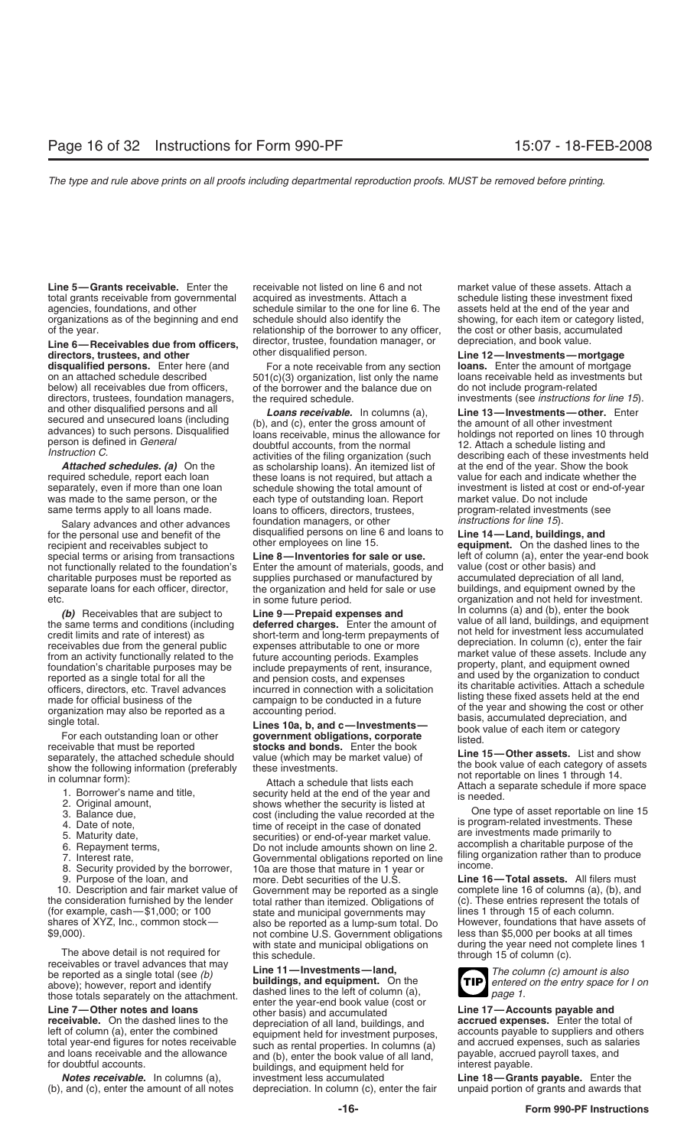**Line 5—Grants receivable.** Enter the receivable not listed on line 6 and not market value of these assets. Attach a total grants receivable from governmental acquired as investments. Attach a schedule listing these investment fixed agencies, foundations, and other schedule similar to the one for line 6. The assets held at the end of the year and

# Line 6—Receivables due from officers, director, trustee, foundation manager, or depreciation, and book value.<br>
directors, trustees, and other disqualified person.<br>
disqualified persons. Enter here (and For a note receivabl

below) all receivables due from officers, do the borrower and the balance due on directors, trustees, foundation managers, the required schedule. directors, trustees, foundation managers, the required schedule. *investments (see instructions for line 15*).<br>*I gans receivable* In columns (a) **Line 13—Investments—other**. Enter

separately, even if more than one loan schedule showing the total amount of

for the personal use and benefit of the disqualified persons on line 6 and loans to **Line 14—Land, buildings, and** recipient and receivables subject to other employees on line 15.<br>special terms or arising from transactions **Line 8—Inventories for sale or use.** Heft of column (a), enter the year-end boo special terms or arising from transactions **Line 8—Inventories for sale or use.** left of column (a), enter the year-end book not functionally related to the foundation's Enter the amount of materials, goods, and value (cos charitable purposes must be reported as supplies purchased or manufactured by accumulated depreciation of all land,<br>separate loans for each officer, director, the organization and held for sale or use buildings, and equipm separate loans for each officer, director, the organization and held for sale or use etc.

- 
- 
- 
- 
- 
- 
- 
- 
- 

with state and municipal obligations on during the year need not complete lines 1<br>The above detail is not required for this schedule.<br>through 15 of column (c).<br>through 15 of column (c). be reported as a single total (see *(b)*<br>
above): however, report and identify **Line 11—Investments—land,**<br>
above): however, report and identify **buildings, and equipment.** On the **TIP** entered on the entry space for I on

(b), and (c), enter the amount of all notes

organizations as of the beginning and end schedule should also identify the showing, for each item or category listed,<br>of the vear. the cost or other basis, accumulated relationship of the borrower to any officer, the cost of the year. The cost of the cost of the cost of the cost of the cost of the cost of the cost of the cost of the cost of the cost of the cost of the cost of the cost of the cost of the cost of the cost of the cost of the c

**disqualified persons.** Enter here (and For a note receivable from any section **loans.** Enter the amount of mortgage<br>on an attached schedule described 501(c)(3) organization, list only the name loans receivable held as inv on an attached schedule described  $501(c)(3)$  organization, list only the name loans receivable held as investiable below) all receivables due from officers, of the borrower and the balance due on do not include program-rel

**Attached schedules. (a)** On the at scholarship loans). An itemized list of at the end of the year. Show the book required schedule, report each loan these loans is not required, but attach a value for each and indicate wh these loans is not required, but attach a value for each and indicate whether the<br>schedule showing the total amount of a sino investment is listed at cost or end-of-year was made to the same person, or the each type of outstanding loan. Report market value. Do not include same terms apply to all loans made. In loans to officers, directors, trustees, program-related investments (see loans to officers, directors, trustees, foundation managers, or other *instructions for line 15*). Salary advances and other advances

Enter the amount of materials, goods, and

made for official business of the campaign to be conducted in a future<br>
single total. To reach outstanding loan or other<br>
single total. The states held as a secounting period.<br>
Single total. The state and show show the per 9. Purpose of the loan, and more. Debt securities of the U.S. **Line 16—Total assets.** All filers must 10. Description and fair market value of Government may be reported as a single complete line 16 of columns (a), (b), and the consideration furnished by the lender total rather than itemized. Obligations of (c). These entr the consideration furnished by the lender total rather than itemized. Obligations of (c). These entries represent the totals of<br>(for example, cash—\$1,000; or 100 state and municipal governments may lines 1 through 15 of ea shares of XYZ, Inc., common stock— also be reported as a lump-sum total. Do However, foundations that have assets of<br>\$9,000). not combine U.S. Government obligations less than \$5,000 per books at all times<br>with state and m

above); however, report and identify **buildings, and equipment.** On the **entered** those totals separately on the attachment. *page 1.* the *entered* book value (cost or Line 7—Other notes and loans<br>
enter the year-end book value (cost or<br>
line 17—Accounts payable and<br>
left of column (a), enter the combined<br>
left of column (a), enter the combined<br>
left of column (a), enter the combined<br>
le **Notes receivable.** In columns (a), investment less accumulated **Line 18—Grants payable.** Enter the amount of all notes depreciation. In column (c), enter the fair unpaid portion of grants and awards that

and other disqualified persons and all<br>secured and unsecured loans (including<br>advances) to such persons. Disqualified<br>person is defined in *General*<br>finstruction *C*.<br>the amount of the amount of all other investment<br>doubtf

organization and not held for investment.<br>In columns (a) and (b), enter the book (b) Receivables that are subject to **Line 9—Prepaid expenses and** the same terms and conditions (including deferred charges. Enter the amount of credit limits and rate of interest) as short-term and long-term prepayments o

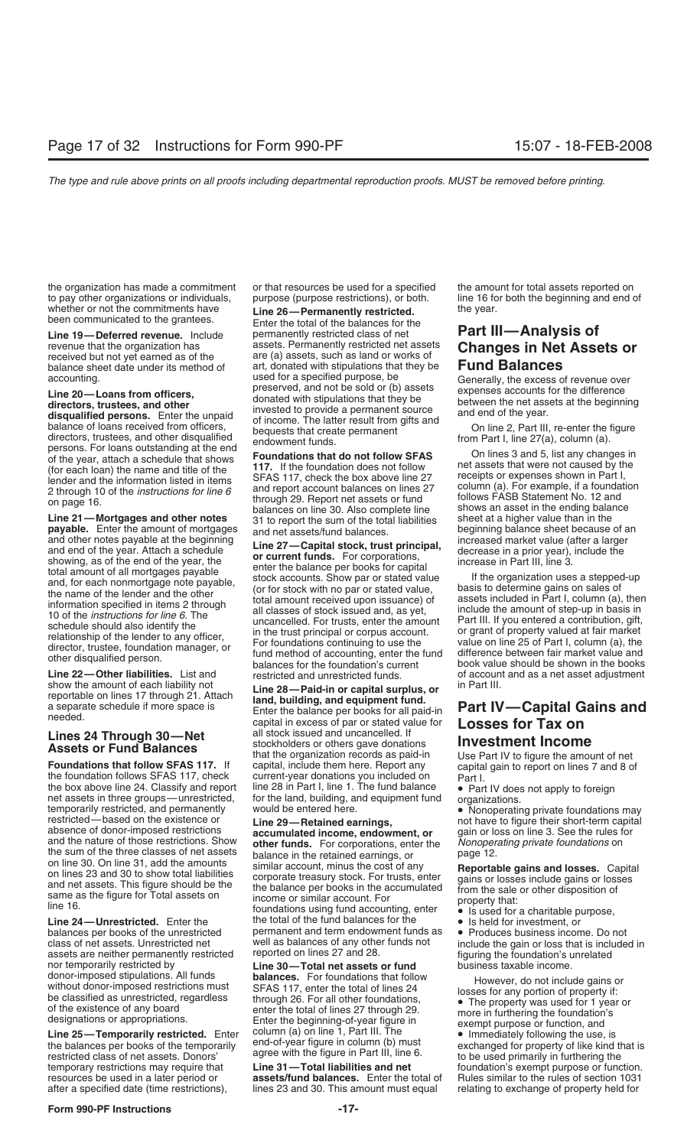the organization has made a commitment or that resources be used for a specified the amount for total assets reported on<br>to pay other organizations or individuals, purpose (purpose restrictions), or both. Ine 16 for both t to pay other organizations or individuals, purpose (purpose restrictions), or both.

FAS 117, check the box above line 27 receipts or expenses shown in Part I,<br>2 through 10 of the *instructions for line 6* and report account balances on lines 27 column (a). For example, if a foundation<br>2 through 10 of the

**payable.** Enter the amount of mortgages and net assets/fund balances. beginning balance sheet because of and other notes payable at the beginning  $\frac{1}{2}$  Conjuginate of and other notes payable at the beginning  $\frac{1}{2}$ 

the box above line 24. Classify and report<br>
net assets in three groups—unrestricted, for the land, building, and equipment fund<br>
temporarily restricted, and permanently<br>
restricted—based on the existence or<br>
absence of don

assets are neither permanently restricted reported on lines 27 and 28. **Figuring the foundation's unrelated** nor temporarily restricted by **Line 30—Total net assets or fund** business taxable income.<br>
donor-imposed stipulations. All funds **balances**. For foundations that follow

temporary restrictions may require that **Line 31—Total liabilities and net** foundation's exempt purpose or function.<br> **Exercise and net alternation** of the rules of section 1031

whether or not the commitments have the **26—Permanently restricted.** The year.<br>
Line 19—Deferred revenue. Include the grantees permanently restricted class of net **Part II Line 19—Deferred revenue.** Include the permanently restricted class of net **Part III—Analysis of** Include that the organization has assets. Permanently restricted net assets **Changes in Net Assets** revenue that the organization has assets. Permanently restricted net assets **Changes in Net Assets or**<br>received but not yet earned as of the are (a) assets, such as land or works of **Changes in Net Assets or**<br>balance sheet balance sheet date under its method of art, donated with stipulations that they be accounting.<br>
used for a specified purpose, be accounting.<br>
Line 20—Loans from officers,<br>
time 20—Loans from officers,<br>
directors, trustees, and other<br>
directors, trustees, and other<br>
directors, trustees, and other<br>
directors, trustees, and other<br>
disqualified persons.

on page 16.<br>balances on line 30. Also complete line shows an asset in the ending balance<br>Line 21—Mortgages and other notes 31 to report the sum of the total liabilities sheet at a higher value than in the 31 to report the sum of the total liabilities sheet at a higher value than in the<br>and net assets/fund balances.<br>**beginning balance sheet because of an** 

and other notes payable at the beginning<br>
and of the year. Attach a schedule<br>
showing, as of the end of the year, the<br>
showing as of the end of the year, the<br>
total amount of all mortgages payable<br>
total amount of all mort

Show the amount of each liability not<br>
reportable on lines 17 through 21. Attach<br>
a separate schedule if more space is<br>
a separate schedule if more space is<br>
Lines 24 Through 30—Net<br>
Lines 24 Through 30—Net<br>
a stockholders

the sum of the three classes of net assets<br>
on line 30. On line 31, add the amounts<br>
on lines 23 and 30 to show total liabilities<br>
and net assets. This figure should be the<br>
same as the figure for Total assets on<br>
line 16. Interform and the total of the total of the fund accounting, enter  $\bullet$  is used for a charitable purpose,<br> **Line 24—Unrestricted.** Enter the the total of the fund balances for the  $\bullet$  is held for investment, or<br>
balances permanent and term endowment funds as • Produces business income. Do not<br>well as balances of any other funds not entitude the gain or loss that is include class of net assets. Unrestricted net well as balances of any other funds not include the gain or loss that is included in<br>assets are neither permanently restricted reported on lines 27 and 28.

assets/fund balances. Enter the total of after a specified date (time restrictions), lines 23 and 30. This amount must equal relating to exchange of property held for

balances for the foundation's current book value should be shown in the books<br> **Line 22—Other liabilities.** List and restricted and unrestricted funds. The of account and as a net asset adjustment<br>
show the amount of each

- 
- 

donor-imposed stipulations. All funds<br>be classified as unrestricted, regardless<br>be classified as unrestricted, regardless<br>of the existence of any board<br>designations or appropriations.<br>Line 25—Temporarily restricted. Enter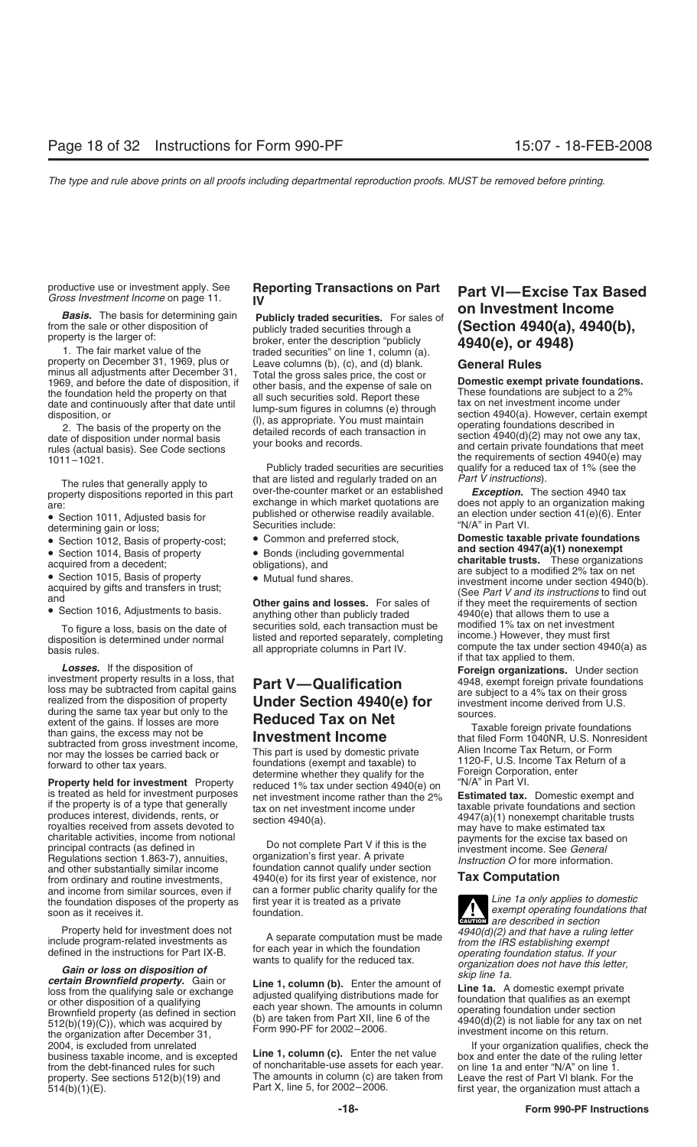- 
- 
- 
- 

**Losses.** If the disposition of **Foreign organizations.** Under section<br>investment property results in a loss, that **Dout Mundification** 4948 exempt foreign private foundations Investment property results in a loss, that **Part V—Qualification**  $\begin{array}{r} 4948$ , exempt foreign private foundations<br>loss may be subtracted from capital gains **Part V—Qualification**  $\begin{array}{r} 4948$ , exempt foreign private during the same tax year but only to the<br>extent of the gains. If losses are more<br>**Reduced Tax on Net** 

extent of the gains. If besses are more<br>than gains, the scales are more<br>than gains, the excess may not be<br>than gains, the excess may not be<br>nor may the losses be carried back or<br>nor may the losses be carried back or<br>forwar principal contracts (as defined in annuities, organization's first year. A private investment income. See *General*<br>Regulations section 1.863-7), annuities, organization's first year. A private *Instruction O* for more inf and other substantially similar income from ordinary and routine investments, and income from similar sources, even if can a former public charity qualify<br>the foundation disposes of the property as first year it is treated as a private first year it is treated as a private **Line 1a only applies to domestic** soon as it receives it. **the foundation** foundation disposes of the property as **that** foundations foundations that

Property held for investment does not<br>include program-related investments as<br>defined in the instructions for Part IX-B.<br> **Cain or loss on disposition of**  $\overline{O}$  and  $\overline{O}$  and the instructions for Part IX-B.<br> **Cain or**  $2004$ , is excluded from unrelated<br>business taxable income, and is excepted Line 1, column (c). Enter the net value box and enter the date of the ruling letter property. See sections 512(b)(19) and The amounts in column (c) are taken from Leave the rest of Part VI blank. For the The amounts in column (c) are taken from Leave the rest of Part VI blank. For the The The Amounts atta

from the sale or other disposition of<br>
property is the larger of:<br>
The fair market value of the<br>
property is the larger of:<br>
The fair market value of the<br>
property on December 31, 1969, plus or<br>
property on December 31, 1

The rules that generally apply to that are listed and regularly traded on an *Part V instructions*).<br>The reported in this part over-the-counter market or an established **Exception.** The section 4940 tax property dispositions reported in this part over-the-counter market or an established are<br>exchange in which market quotations are are:<br>are: exchange in which market quotations are does not apply to an organization making<br>e Soction 1011 Adjusted basis for published or otherwise readily available. an election under section 41(e)(6). Enter • Section 1011, Adjusted basis for **bublished or otherwise readily available.** an election under section 41(e)(6). Enter election 1012, Basis of property-cost: • Common and preferred stock, **Domestic taxable private found** 

- 
- 
- 

To figure a loss, basis on the date of securities sold, each transaction must be modified 1% tax on net investment<br>disposition is determined under normal listed and reported separately, completing income.) However, they mu

4940(e) for its first year of existence, nor **Tax Computation**<br>can a former public charity qualify for the

Line 1, column (c). Enter the net value box and enter the date of the ruling of noncharitable-use assets for each year. on line 1 a and enter "N/A" on line 1. from the debt-financed rules for such of noncharitable-use assets for each year.<br>property. See sections 512(b)(19) and The amounts in column (c) are taken from

# productive use or investment apply. See Reporting Transactions on Part Part VI—Excise Tax Based<br>Gross Investment Income on page 11. IV<br>Basis. The basis for determining gain Publicly traded securities. For sales of (Cootion

Publicly traded securities are securities qualify for a reduced tax of 1% (see the the state of an are part V instructions).

• Section 1012, Basis of property-cost; • Common and preferred stock, **Domestic taxable private foundatic**<br>• Section 1014, Basis of property **•** Bonds (including governmental **and section 4947(a)(1) nonexempt** • Section 1014, Basis of property<br>
• Section 1014, Basis of property<br>
• Section 1015, Basis of property<br>
• Section 1015, Basis of property<br>
• Section 1015, Basis of property<br>
• Mutual fund shares.<br>
• Section 1016, Adjustme all appropriate columns in Part IV. compute the tax under section 4940(a) as<br>sis rules.<br>**Losses.** If the disposition of **Example Enter in Applied to them. Conses.** If the disposition of

**CAUTION**<br> **CAUTION**<br> **EXEMPLY**<br> **EXEMPLY**<br> **EXEMPLY**<br> **EXEMPLY**<br> **EXEMPLY**<br> **EXEMPLY**<br> **EXEMPLY**<br> **EXEMPLY**<br> **EXEMPLY**<br> **EXEMPLY** 

first year, the organization must attach a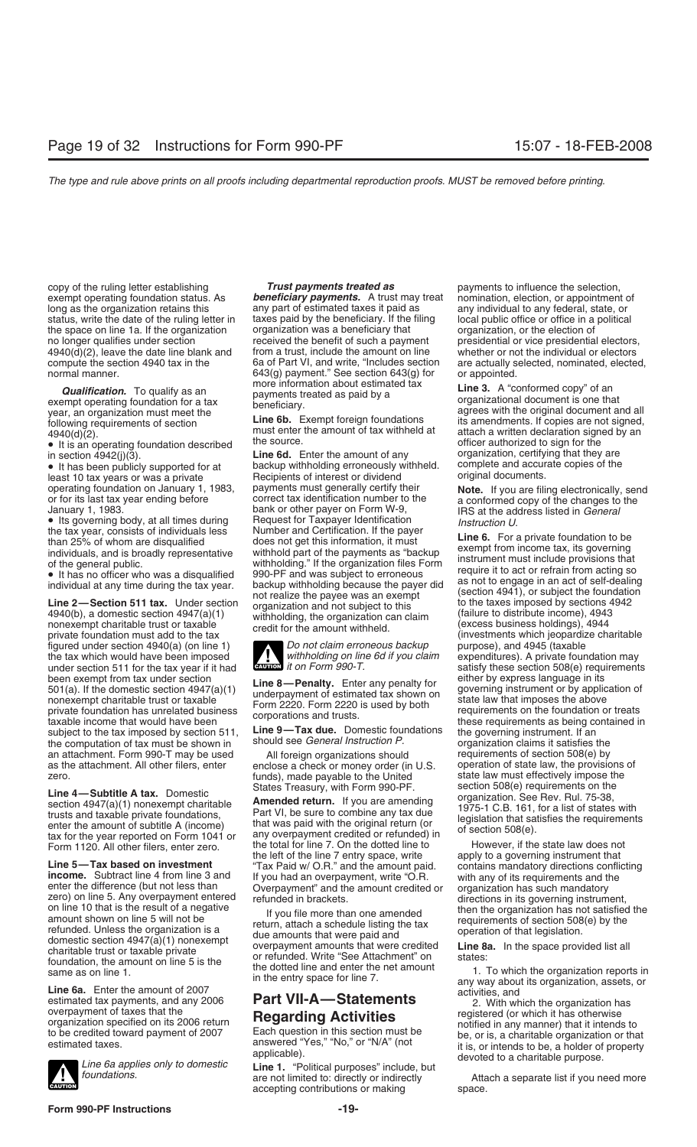copy of the ruling letter establishing *Trust payments treated as* payments to influence the selection, exempt operating foundation status. As **beneficiary payments.** A trust may treat nomination, election, or appointment of *beneficiary payments.* A trust may treat nomination, election, or appointment of *beneficiary paymen* long as the organization retains this any part of estimated taxes it paid as any individual to any federal, state, or status, write the date of the ruling letter in a taxes paid by the beneficiary. If the filing local publ status, write the date of the ruling letter in laxes paid by the beneficiary. If the filing local public office or office in a political the space on line 1a. If the organization corganization was a beneficiary that corgan the space on line 1a. If the organization organization was a beneficiary that organization, or the election of no longer qualifies under section entity received the benefit of such a payment presidential or vice presidential electors, received the benefit of such a payment presidential or vice presidential electors and the individu 4940(d)(2), leave the date line blank and from a trust, include the amount on line whether or not the individual or electors compute the section 4940 tax in the  $\sim$  6a of Part VI, and write, "Includes section are actually

• It is an operating foundation described the source.<br>in section 4942(i)(3). **Line 6d.** Enter the amount of any

least 10 tax years or was a private **Recipients of interest or dividend**<br>operating foundation on January 1, 1983, payments must generally certify their

figured under section 4940(a) (on line 1) **D**o not claim erroneous backup purpose), and 4945 (taxable the tax which would have been imposed withholding on line 6d if you claim expenditures). A private foun under section 511 for the tax year if it had **CAUTON** *it on Form 990-T.* satisfy these section 508(e) requirements<br>been exempt from tax under section<br>**Line 8 Bonalty** Enter any papalty for either by express language in been exempt from tax under section<br>501(a). If the domestic section 4947(a)(1)<br>nonexempt charitable trust or taxable<br>private foundation has unrelated business<br>taxable income that would have been<br>taxable income that would ha taxable income that would have been<br>subject to the tax imposed by section 511, **Line 9—Tax due.** Domestic foundations the governing instrument. If an<br>the computation of tax must be shown in should see *General Instruction* the computation of tax must be shown in should see *General Instruction P.* organization claims it satisfies the an attachment. Form 990-T may be used all foreign organizations should requirements of section 508(e) by an attachment. Form 990-T may be used <br>as the attachment. All other filers, enter enclose a check or money order (in U.S. operation of state law, the provisions of as the attachment. All other filers, enter enclose a check or money order (in U.S. operation of state law, the provisions rero.<br>zero. state law must effectively impose the

**Line 4—Subtitle A tax.** Domestic States Treasury, with Form 990-PF. section 508(e) requirements on the section 4947(a)(1) nonexempt charitable **Amended return.** If you are amending trusts and taxable private foundations,

Line 5—Tax based on investment<br>  $\frac{1}{10}$  and the lift of the line 7 entry space, write  $\frac{1}{10}$  and the mount paid.<br>
Tax Paid W O.R." and the amount paid.<br>
enter the difference (but not les 3 and<br>
enter the difference



normal manner. 643(g) payment." See section 643(g) for or appointed.<br>
more information about estimated tax rine 3 A "compare"

• It has been publicly supported for at backup withholding erroneously withheld. complete and accur<br>least 10 tax years or was a private Recipients of interest or dividend original documents. operating foundation on January 1, 1983, payments must generally certify their<br>
or of its last tax year ending before<br>
January 1, 1983.<br>
January 1, 1983.<br>
January 1, 1983.<br>
January 1, 1983.<br>
Is a the address listed in Gen

**ENGINEED** it on Form 990-T.

funds), made payable to the United state law must effectively impose the States Treasury, with Form 990-PF, section 508(e) requirements on the

tax for the year reported on Form 1041 or any overpayment credited or retunded) in<br>Form 1120. All other filers, enter zero. the total for line 7. On the dotted line to However, if the state law does not<br>the left of the lin

accepting contributions or making space.

are actually selected, nominated, elected,

**Qualification.** To qualify as an more information about estimated tax<br>exempt operating foundation for a tax<br>year, an organization must meet the **Line 6b.** Exempt foreign foundations<br>following requirements of section **Line** following requirements of section<br>  $\begin{array}{ll}\n & \text{Line 6D.} \quad \text{Exempt foreign roundations} \\
 & \text{must enter the amount of tax withheld at} \\
 & \text{atach a written declaration signed by an}\n\end{array}$ <br>
attach a written declaration signed by an<br>
officer authorized to sign for the organization, certifying that they are<br>complete and accurate copies of the

expenditures). A private foundation may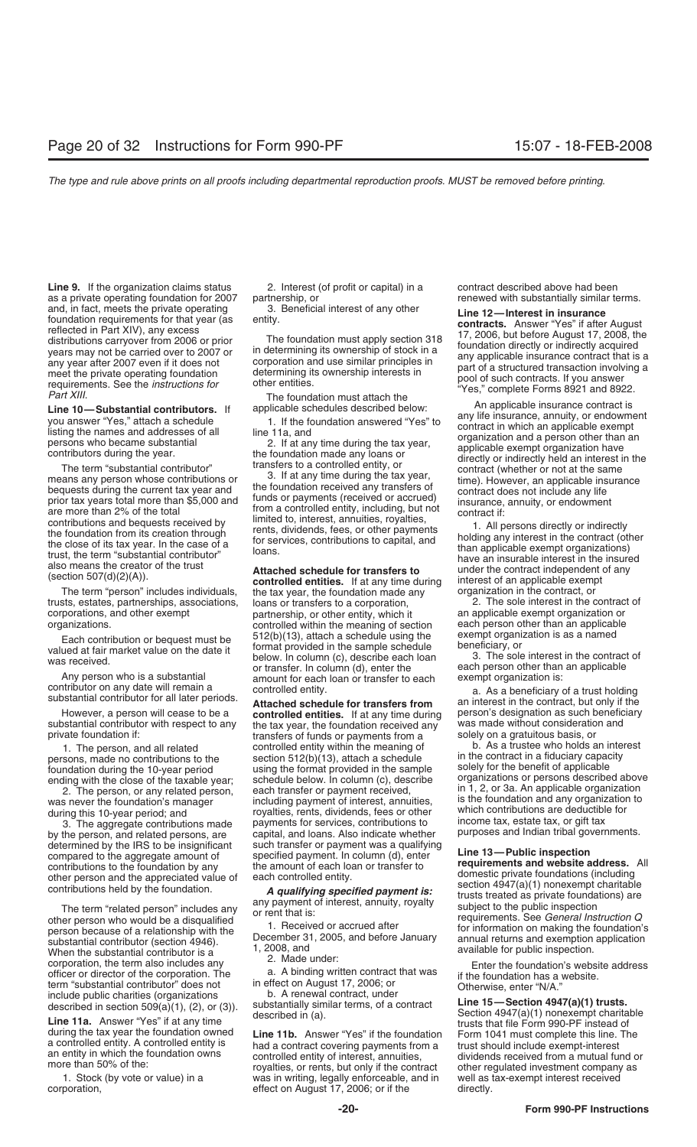**Line 9.** If the organization claims status 2. Interest (of profit or capital) in a contract described above had been<br>A private operating foundation for 2007 partnership, or as a private operating foundation for 2007 partnership, or and, in fact, meets the private operating on the proportion of the set of any other the proport from 2006 endet of the August ferenced in Part XIV), any excess<br>
distributions carryover from 2006 or prior in the foundation

means any person whose contributions or<br>bequests during the current tax year and<br>prior tax years total more than \$5,000 and<br>prior tax years total more than \$5,000 and<br>are more than 2% of the total<br>are more than 2% of the t

trusts, estates, partnerships, associations, loans or transfers to a corporation, and other exempt contract of partnership, or other entity, which it an applicable exempt organization or corporations, and other exempt partnership, or other entity, which it an applicable exempt organization or<br>controlled within the meaning of section each person other than an applicable

Any person who is a substantial amount for each loan or transfer to each exempt organization is:<br>contributor on any date will remain a controlled entity.<br>substantial contributor for all later periods.<br>**Attached schedule fo** 

ending with the close of the taxable year;

by the person, and related persons, are capital, and loans. Also indicate whether determined by the IRS to be insignificant such transfer or payment was a qualifying determined by the IRS to be insignificant such transfer or payment was a qualifying compared to the aggregate amount of specified payment. In column (d), enter compared to the agregate amount of the specified payment. In column (d), enter<br>contributions to the foundation by any the amount of each loan or transfer to requirements and website address. All<br>other person and the apprec

other person who would be a disqualified<br>
person because of a relationship with the<br>
substantial contributor (section 4946).<br>
When the substantial contributor is a<br>
When the substantial contributor is a<br>
Men the substantia When the substantial contributor is a 1, 2008, and available for public inspection.<br>
corporation, the term also includes any 2. Made under:<br>
officer or director of the corporation. The a. A binding written contract that wa officer or director of the corporation. The a. A binding written contract that was<br>term "substantial contributor" does not in effect on August 17, 2006; or<br>include public charities (organizations b. A renewal contract, und

The term "person" includes individuals, the tax year, the foundation made any organization in the contract, or<br>sts, estates, partnerships, associations, loans or transfers to a corporation, 2. The sole interest in the cont controlled within the meaning of section each person other than an applicab<br>512(b)(13), attach a schedule using the exempt organization is as a named Each contribution or bequest must be  $512(b)(13)$ , attach a schedule using the exempt organization is as a named<br>valued at fair market value on the date it<br>was received. We be the sample schedule the sample schedule<br>or trans

However, a person will cease to be a **controlled entities.** If at any time during person's designation as such beneficiary<br>substantial contributor with respect to any the tax year, the foundation received any was made with substantial contributor with respect to any the tax year, the foundation received any was made without consideratio<br>private foundation if: transfers of funds or payments from a solely on a gratuitous basis, or transfers of funds or payments from a solely on a gratuitous basis, or<br>controlled entity within the meaning of a solely on As a trustee who holds an interest 1. The person, and all related controlled entity within the meaning of b. As a trustee who holds an inte<br>regis and persons made no contributions to the section 512(b)(13) attach a schedule in the contract in a fiduciary ca persons, made no contributions to the section 512(b)(13), attach a schedule in the contract in a fiduciary capac<br>foundation during the 10-year period using the format provided in the sample solely for the benefit of applic each transfer or payment received, in 1, 2, or 3a. An applicable organization 2. The person, or any related person, each transfer or payment received, in 1, 2, or 3a. An applicable organization to any organization to super was never the foundation's manager including payment of interest, annuities, is the foundation and any organization to during this 10-year period; and royalties, rents, dividends, fees or other which contributions are dedu 3. The aggregate contributions made payments for services, contributions to income tax, estate tax, or gift tax<br>the person, and related persons, are capital, and loans. Also indicate whether purposes and Indian tribal gove

1. Stock (by vote or value) in a was in writing, legally enforceable, and in well as tax-exempt interest received corporation, effect on August 17, 2006; or if the directly. effect on August 17, 2006; or if the directly.

foundation during the 10-year period in using the format provided in the sample solely for the benefit of applicable<br>ending with the close of the taxable year: schedule below. In column (c), describe organizations or perso which contributions are deductible for income tax, estate tax, or gift tax

of the person and the appreciated value of<br>
contributions held by the foundation.<br>
The term "related person" includes any payment of interest, annuity, royalty<br>
of the payment of the public inspection<br>
of the public inspec

during the tax year the foundation owned<br>a controlled entity. A controlled entity is<br>an entity in which the foundation owns<br>more than 50% of the:<br>more than 50% of the:<br>more than 50% of the:<br>more than 50% of the:<br>an entity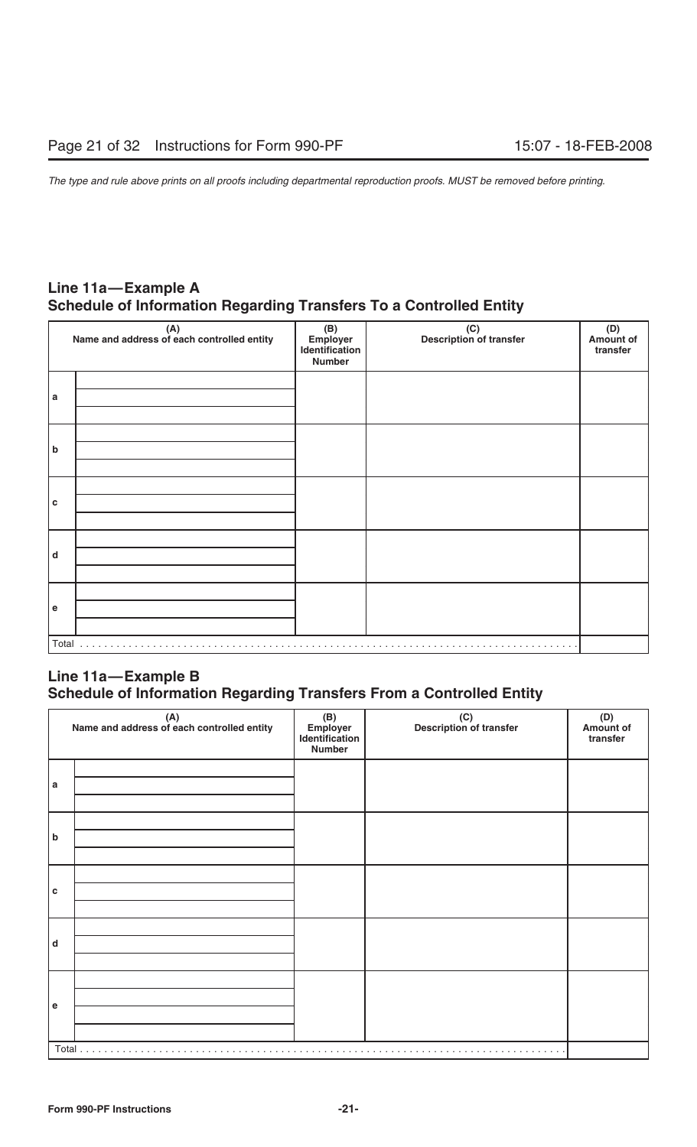# **Line 11a—Example A Schedule of Information Regarding Transfers To a Controlled Entity**

|             | (A)<br>Name and address of each controlled entity | (B)<br>Employer<br>Identification<br>Number | (C)<br>Description of transfer | (D)<br>Amount of<br>transfer |
|-------------|---------------------------------------------------|---------------------------------------------|--------------------------------|------------------------------|
| a           |                                                   |                                             |                                |                              |
| b           |                                                   |                                             |                                |                              |
| $\mathbf c$ |                                                   |                                             |                                |                              |
| d           |                                                   |                                             |                                |                              |
| $\mathbf e$ |                                                   |                                             |                                |                              |
| Total       |                                                   |                                             |                                |                              |

# **Line 11a—Example B Schedule of Information Regarding Transfers From a Controlled Entity**

|   | $(A)$<br>Name and address of each controlled entity | (B)<br>Employer<br>Identification<br><b>Number</b> | (C)<br>Description of transfer | (D)<br>Amount of<br>transfer |
|---|-----------------------------------------------------|----------------------------------------------------|--------------------------------|------------------------------|
| a |                                                     |                                                    |                                |                              |
| b |                                                     |                                                    |                                |                              |
| c |                                                     |                                                    |                                |                              |
| d |                                                     |                                                    |                                |                              |
| e |                                                     |                                                    |                                |                              |
|   | Total                                               |                                                    |                                |                              |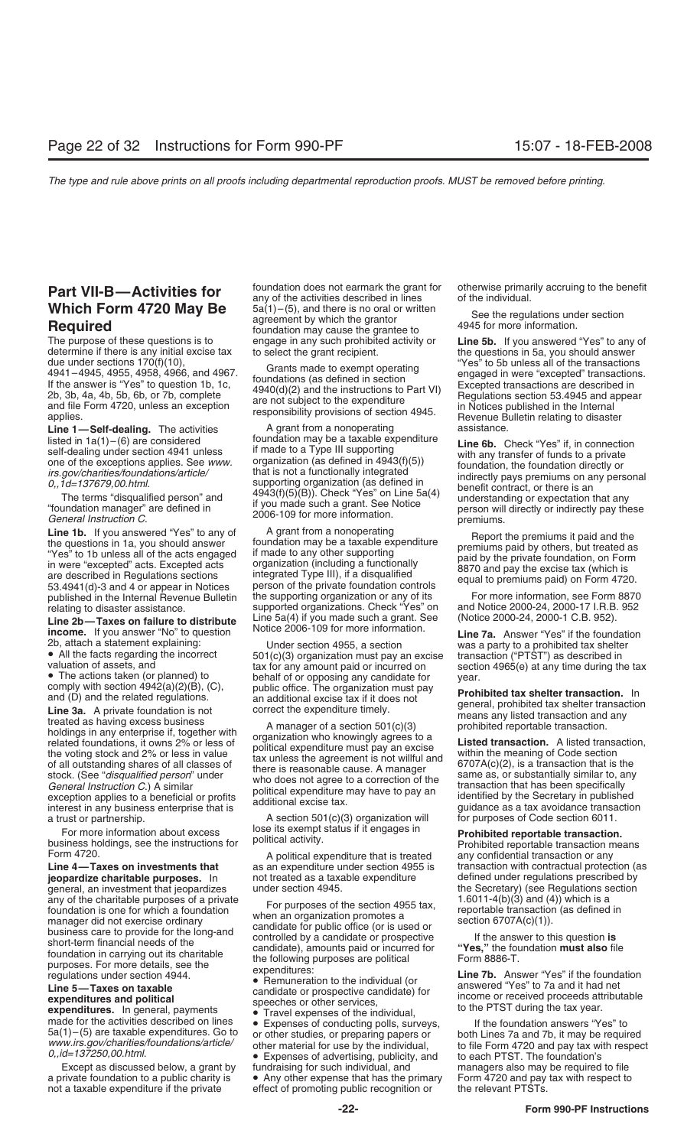The purpose of these questions is to engage in any such prohibited activity or **Line 5b.** If you answered "Yes" to any of determine if there is any initial excise tax to select the grant recipient. determine if there is any initial excise tax to select the grant recipient.<br>due under sections 170(f)(10), create mode to exampt approxima "Yes" to 5b unless all of the transactions due under sections 170(f)(10),<br>4941–4945, 4955, 4958, 4966, and 4967.<br>If the answer is "Yes" to question 1b, 1c,<br>2b, 3b, 4a, 4b, 5b, 6b, or 7b, complete<br>and file Form 4720, unless an exception<br>applies.<br>applies.<br>applies.<br>ap

**Line 1b.** If you answered "Yes" to any of a grant from a nonoperating the questions in 1a, you should answer<br>
"Yes" to 1b unless all of the acts engaged if made to any other supporting<br>
in were "excepted" acts. Excepted a

Line 2b—Taxes on failure to distribute Line 5a(4) if you made such a grant. See (Notice 2000-24, 2000-1 C.B. 952).<br>
income. If you answer "No" to question Notice 2006-109 for more information.<br>
2b, attach a statement expla

2b, attach a statement explaining:<br> **a** All the facts regarding the incorrect solotic)(3) organization must pay an excise the valuation of assets, and<br> **a** All the facts regarding the incorrect sax of the set incompled in

For more information about excess lose its exempt status if it engages in **Prohibited reportable transaction.**<br>business holdings, see the instructions for political activity. Prohibited reportable transaction means<br>Form 47

Line 4—Taxes on investments that as an expenditure under section 4955 is transaction with contractual protection (as<br> **jeopardize charitable purposes.** In cot treated as a taxable expenditure defined under regulations pres **jeopardize charitable purposes.** In not treated as a taxable expenditure defined under regulations prescribed by general, an investment that jeopardizes under section 4945. general, an investment that jeopardizes under section 4945. the Secretary) (see Regulations section 4945.<br>any of the charitable purposes of a private response the section 495 for the Secretary (3) and (4)) which is a any of the charitable purposes of a private<br>
for purposes of the section 4955 tax,<br>
from an organization promotes a<br>
manager did not exercise ordinary<br>
manager did not exercise ordinary<br>
scare to provide for the long-and<br>

Except as discussed below, a grant by fundraising for such individual, and managers also may be required to file<br>a private foundation to a public charity is • Any other expense that has the primary Form 4720 and pay tax wi a private foundation to a public charity is  $\bullet$  Any other expense that has the primary Form 4720 and pay tax with respect to not a taxable expenditure if the private effect of promoting public recognition or the relevant

**Part VII-B—Activities for** foundation does not earmark the grant for otherwise primarily accruing to the benefit any of the activities described in lines of the individual. **Which Form 4720 May Be**  $5a(1) - (5)$ , and there is no oral or written See the regulations under section agreement by which the grantor **4945** for more information.

**Line 1—Self-dealing.** The activities and a grant from a nonoperating assistance.<br>A grant foundation may be a taxable expenditure in  $\epsilon$ 

published in the Internal Revenue Bulletin the supporting organization or any of its For more information, see Form 8870<br>relating to disaster assistance. Supported organizations. Check "Yes" on and Notice 2000-24, 2000-17 supported organizations. Check "Yes" on and Notice 2000-24, 2000-17 I.R.B. 952.<br>Line 5a(4) if you made such a grant. See (Notice 2000-24, 2000-1 C.B. 952).

a trust or partnership.<br>A section 501(c)(3) organization will for purposes of Code section 6011.<br>For more information about exces lose its exempt status if it engages in

effect of promoting public recognition or

disted in  $1a(1) - (6)$  are considered<br>
self-dealing under section 4941 unless if made to a Type III supporting<br>
one of the exceptions applies. See *www.*<br>
if made to a Type III supporting<br>
one of the exceptions applies. Se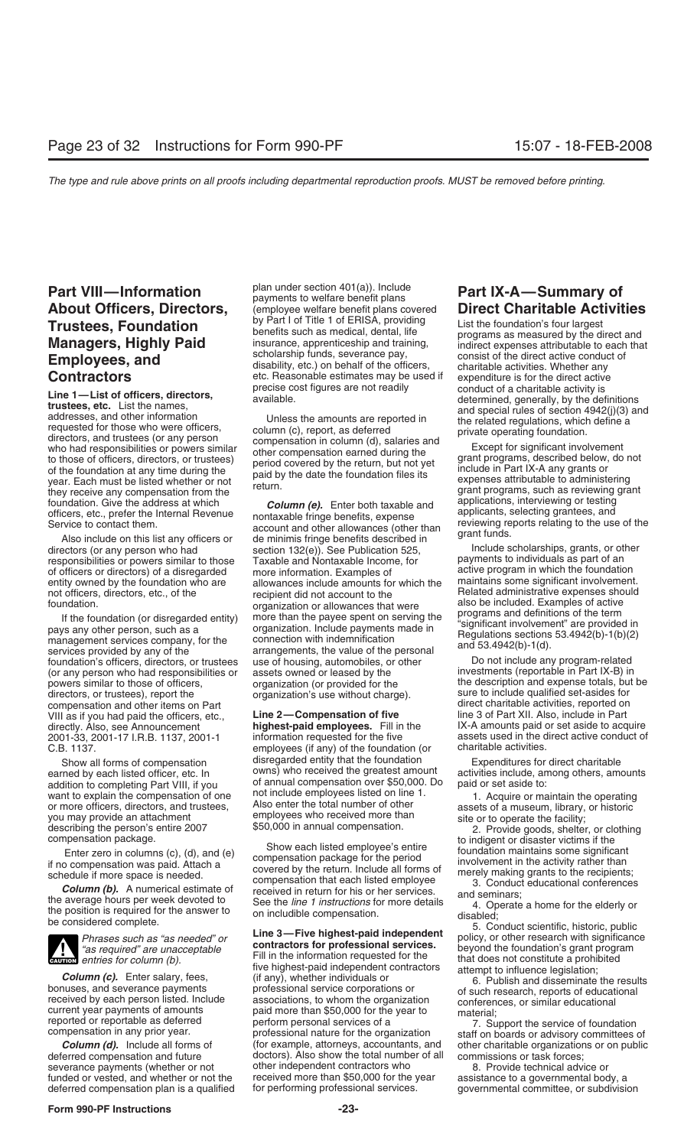**Contractors**<br> **Contractors**<br> **Contractors**<br> **Contractors**<br> **Contractors**<br> **Contractors**<br> **Contractors**<br> **Contractors**<br> **Contractors**<br> **Contractors**<br> **Contractors**<br> **Contractors**<br> **Contractors**<br> **Contractors**<br> **Contractors** foundation. Give the address at which and the column (e). Enter both taxable and applications, interviewing or testing or testing or testing or testing or testing or testing or testing or testing or testing or testing or t

foundation's officers, directors, or trustees use of housing, automobiles, or other Do not include any program-related<br>(or any person who had responsibilities or assets owned or leased by the investments (reportable in Par (or any person who had responsibilities or assets owned or leased by the powers similar to those of officers,  $r = 1$  organization (or provided for the powers similar to those of officers, organization (or provided for the the description and expense totals, but be directors, or trustees), report the organization's use without charge). Sure to include qualified set-asides directors, or trustees), report the organization's use without charge). compensation and other items on Part VIII as if you had paid the officers, etc., **Line 2—Compensation of five** line 3 of Part XII. Also, include in Part 2001-33, 2001-17 I.R.B. 1137, 2001-1 information requested for the five assets used in the direct C.B. 1137.

you may provide an attachment employees who received more than site or to operate the facility;<br>describing the person's entire 2007  $$50,000$  in annual compensation. 2. Provide goods, shelter



funded or vested, and whether or not the assessmed more than \$50,000 for the year deferred compensation plan is a qualified for performing professional services.

**Part VIII—Information** Plan under section 401(a)). Include **Part IX-A—Summary of Part IX-A—Summary of payments to welfare benefit plans** covered **Direct Charitable Activit** (employee welfare benefit plans covered **Direct Charitable Activities** by Part I of Title 1 of ERISA, providing list the foundation's four largest **Trustees, Foundation**<br> **Managers, Highly Paid**<br> **Employees, and**<br> **Employees, and**<br> **Employees, and**<br> **Employees, and**<br> **Employees, and**<br> **Employees, and**<br> **Employees, and**<br> **Employees, and**<br> **Employees, and**<br> **Employees,** 

officers, etc., prefer the Internal Revenue<br>Service to contact them.<br>Also include on this list any officers or de minimis fringe benefits described in Also include on this list any officers or de minimis fringe benefits described in<br>directors (or any person who had section 132(e)). See Publication 525, Include scholarships, grants, or other<br>responsibilities or powers sim responsibilities or powers similar to those Taxable and Nontaxable Income, for payments to individuals as part of an<br>of officers or directors) of a disregarded more information. Examples of active program in which the foun of officers or directors) of a disregarded more information. Examples of active program in which the foundation<br>entity owned by the foundation who are allowances include amounts for which the maintains some significant inv entity owned by the foundation who are allowances include amounts for which the maintains some significant involvement.<br>not officers, directors, etc., of the recipient did not account to the Related administrative expenses foundation. The Relation of the Relation of the Relation of the Relation of the foundation. The foundation or allowances that were also be included. Examples of active  $\alpha$ For the foundation (or disregarded entity)<br>
If the foundation (or disregarded entity) more than the payee spent on serving the<br>
more than the payee spent or services in the same than the payee spent of the connection with

employees (if any) of the foundation (or disregarded entity that the foundation Show all forms of compensation disregarded entity that the foundation Expenditures for direct charitable<br>earned by each listed officer, etc. In owns) who received the greatest amount activities include, among others, amo addition to completing Part VIII, if you of annual compensation over \$50,000. Do want to explain the compensation of one not include employees listed on line 1. want to explain the compensation of one that include employees ilsted on line 1.<br>
or more officers, directors, and trustees, Also enter the total number of other assets of a museum, library, or historic<br>
you may provide an

describing the person's entire 2007<br>
Enter zero in and compensation compensation package.<br>
Enter zero in columns (c), (d), and (e)<br>
Enter zero in compensation package for the period<br>
Enter zero in compensation and the comp

**Column (c).** Enter salary, fees, the highest-paid independent contractors attempt to influence legislation;<br>
bonuses, and severance payments professional service corporations or<br>
received by each person listed. Include as npensation in any prior year. **Exercise** of our obsistional nature tor the organization of staff on boards or advisory committees of column (d). Include all forms of  $\epsilon$  (for example, attorneys, accountants, and other cha deferred compensation and future doctors). Also show the total number of all commissions or task forces; doctors<br>commissions or task forces; doctors). Also show the total number of all commissions or task forces; severance payments (whether or not and ther independent contractors who sexual and a Provide technical advice or<br>Sunded or vested, and whether or not the received more than \$50,000 for the year assistance to a governmental deferred compensation plan is a qualified for performing professional services. governmental committee, or subdivision

compensation and other is direct charitable activities, reported on<br>Line 2—Compensation of five and line 3 of Part XII. Also, include in Part directly. Also, see Announcement **highest-paid employees.** Fill in the IX-A amounts paid or set aside to acquire<br>19001-33 2001-17 LB B 1137 2001-1 information requested for the five assets used in the direct active conduct

activities include, among others, amounts<br>paid or set aside to: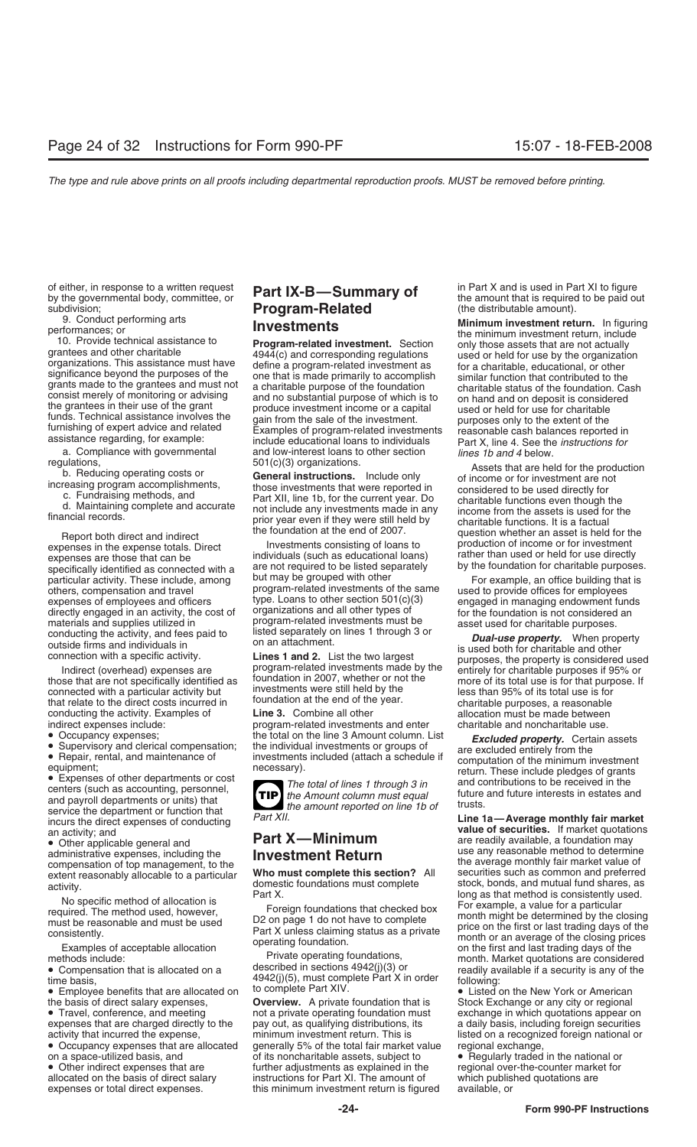of either, in response to a written request **Part IX-B—Summary of** in Part X and is used in Part XI to figure by the governmental body, committee, or **Part IX-B—Summary of** the amount that is required to be paid out

specifically identified as connected with a are not required to be listed separately by the foundation for change purposes<br>particular activity. These include, among but may be grouped with other For example, an office buil expenses of employees and officers expense type. Loans to other section 501(c)(3) engaged in managing endowment funds<br>directly engaged in an activity, the cost of organizations and all other types of expensive for the foun directly engaged in an activity, the cost of materials and supplies utilized in program-related investments must be asset used for charitable purposes.<br>conducting the activity, and fees paid to listed separately on lines 1 through 3 or **Dual-use property**. When pro

conducting the activity. Examples of **Line 3.** Combine all other **allocation must be made between** 

expenses that are charged directly to the

expenses or total direct expenses. This minimum investment return is figured available, or

# subdivision;<br>**Program-Related** (the distributable amount).<br>Minimum investment ret

a. Compliance with governmental and low-interest loans to other section *lines 1b and 4* below.

program-related investments of the same diffused to provide offices for employees<br>type. Loans to other section 501(c)(3) engaged in managing endowment fun

indirect expenses include: program-related investments and enter charitable and noncharitable use.



**TIP** the Amount column must equal

methods include:<br>
• Compensation that is allocated on a<br>
• Employee benefits that are allocated on the discribed in sections 4942(j)(3) or<br>
• Employee benefits that are allocated on the Complete Part X in order<br>
• Employe

the basis of direct salary expenses, **Overview.** A private foundation that is Stock Exchange or any city or regional <br>• Travel, conference, and meeting **on a private operating foundation must** exchange in which quotations • Travel, conference, and meeting not a private operating foundation must exchange in which quotations appear on expenses that are charged directly to the pay out, as qualifying distributions, its a daily basis, including activity that incurred the expense, minimum investment return. This is listed on a recognized foreign national or<br>• Occupancy expenses that are allocated generally 5% of the total fair market value regional exchange, • Occupancy expenses that are allocated generally 5% of the total fair market value regional exchange,<br>on a space-utilized basis, and of its noncharitable assets, subject to **•** Regularly traded in the national or on a space-utilized basis, and of its noncharitable assets, subject to • Other indirect expenses that are further adjustments as explained in the national order traded in the national order traded in the national order tra • Other indirect expenses that are further adjustments as explained in the regional over-the-counter market for<br>allocated on the basis of direct salary instructions for Part XI. The amount of which published quotations are instructions for Part XI. The amount of

9. Conduct performing arts<br>
10. Provide technical assistance to<br>
10. Provide technical assistance to<br>
10. Provide technical assistance to<br>
10. Provide technical assistance must have<br>
4944(c) and corresponding regulations<br>

regulations,<br>
b. Reducing operating costs or<br>
increasing program accomplishments,<br>
c. Fundraising methods, and<br>
d. Maintaining complete and accurate<br>
financial records.<br>
those investments that were reported in<br>
c. Fundrais Report both direct and indirect<br>expenses in the expense totals. Direct linvestments consisting of loans to<br>expenses are those that can be individuals (such as educational loans) and inter than used or held for use directly

conducting the activity, and fees paid to listed separately on lines 1 through 3 or<br>outside firms and individuals in<br>connection with a specific activity.<br>Indirect (overhead) expenses are<br>those that are not specifically ide

• Occupancy expenses; the total on the line 3 Amount column. List<br>
• Supervisory and clerical compensation; the individual investments or groups of<br>
• Repair, rental, and maintenance of<br>
• Repair, rental, and maintenance o

Service the department of function that<br>
incertain and the annonine point of the and the securities. If market quotations<br>
an activity, and<br>
an activity, and<br>
an activity, and<br>
an activity, and<br>
compensation of top managem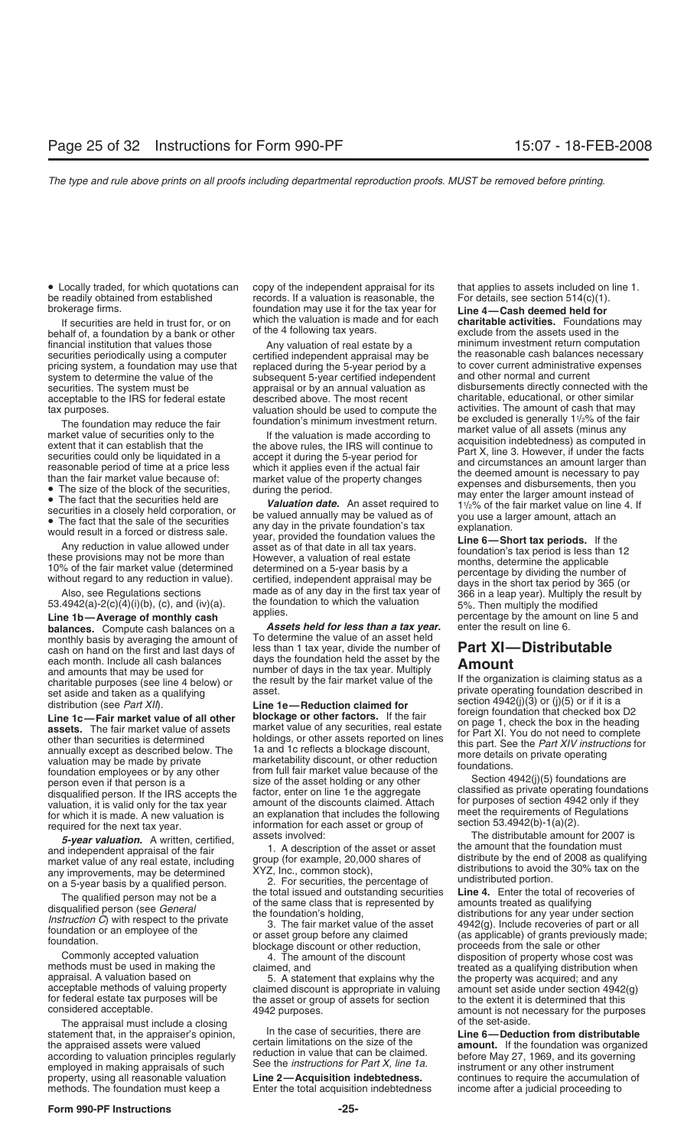be readily obtained from established records. If a valuation is reasonable, the For details, see section 514(c)(1).

behalf of, a foundation by a bank or other of the 4 following tax years.<br>
financial institution that values those and the any valuation of real estate by a securities periodically using a computer pricing system, a foundation may use that replaced during the 5-year period by a to cover current administrative expenses system to determine the value of the subsequent 5-year certified independent and other normal and cu securities. The system must be appraisal or by an annual valuation as disbursements directly connected with the<br>acceptable to the IRS for federal estate described above. The most recent charitable, educational, or other si acceptable to the IRS for federal estate described above. The most recent charitable, educational, or other similar<br>valuation should be used to compute the activities. The amount of cash that may

**balances.** Compute cash balances on a *Assets held for less than a tax year.* monthly basis by averaging the amount of To determine the value of an asset held monthly basis by averaging the amount of To determine the value of an asset held<br>cash on hand on the first and last days of Tess than 1 tax year, divide the number of cash on hand on the first and last days of less than 1 tax year, divide the number of **Part XI—Distributable** cash nonth. Include all cash balances days the foundation held the asset by the **Amount** each month. Include all cash balances days the foundation held the asset by the<br>and amounts that may be used for number of days in the tax year. Multiply<br>charitable purposes (see line 4 below) or the result by the fair mar

The appraisal must include a closing<br>tement that in the appraiser's opinion **of the set-and the case of securities**, there are statement that, in the appraiser's opinion,<br>the case of securities, there are the appraised assets were valued<br>according to valuation principles regularly<br>employed in making appraisals of such See the *instructions for Par* property, using all reasonable valuation **Line 2—Acquisition indebtedness.** continues to require the accumulation of methods. The foundation must keep a Enter the total acquisition indebtedness income after a judicial proceeding to

• Locally traded, for which quotations can copy of the independent appraisal for its that applies to assets included on line 1. brokerage firms. foundation may use it for the tax year for **Line 4—Cash deemed held for**

tax purposes.<br>The foundation may reduce the fair foundation's minimum investment return.

• The fact that the securities held corporation, or<br>
• The fact that the sale of the securities<br>
• The fact that the sale of the securities<br>
• The fact that the sale of the securities<br>
would result in a forced or distress without regard to any reduction in value). certified, independent appraisal may be<br>Also, see Regulations sections made as of any day in the first tax year of  $\frac{366}{366}$  in a leap year). Multiply the result by<br>53.4942(a

If securities are held in trust for, or on which the valuation is made and for each **charitable activities.** Foundations may Any valuation of real estate by a minimum investment return computation<br>certified independent appraisal may be the reasonable cash balances necessary subsequent 5-year certified independent and other normal and current<br>subsequent 5-year certified independent and other normal and current with the be excluded is generally 11/2% of the fair The foundation may reduce the fair<br>
market value of securities only to the<br>
excluded is generally 1<sup>1</sup>/2% of the fair<br>
extent that it can establish that the<br>
securities could only be liquidated in a<br>
securities could only

53.4942(a)-2(c)(4)(i)(b), (c), and (iv)(a). the foundation to which the valuation 5%. Then multiply the modified<br> **Line 1b—Average of monthly cash** applies. **Line 1b—Average by the amount on line 5 and**<br> **percentage by the** 

charitable purposes (see line 4 below) or<br>set aside and taken as a qualifying<br>distribution (see *Part XII*).<br>**Line 1e—Reduction claimed for**<br>**Line 1c—Fair market value of all other**<br>**Line 1c—Fair market value of all other** 

berson even if that person is a size of the asset holding or any other consider and person even if that person is a<br>
distanting of the distant and the distant and the distant and the distant and the distant and the distant for federal estate tax purposes will be the asset or group of assets for section to the extent it is determined that this<br>considered acceptable. 4942 purposes.<br>The appraisal must include a closing of the set-aside. of the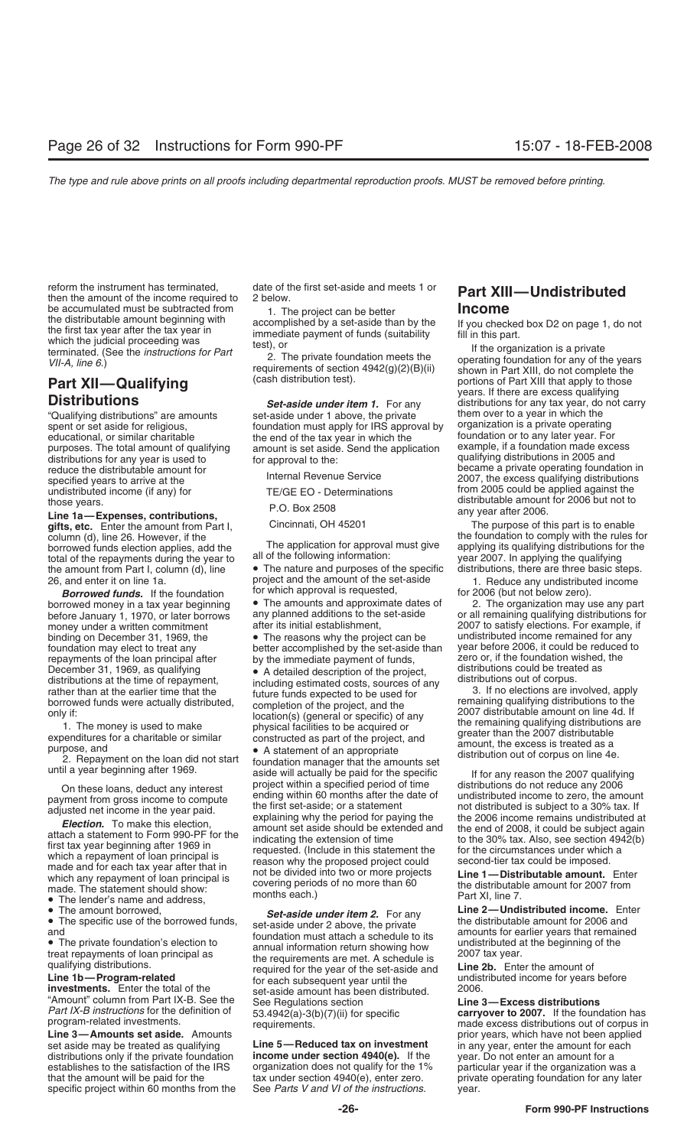reform the instrument has terminated, date of the first set-aside and meets 1 or **Part XIII—Undistributed**<br>then the amount of the income required to 2 below.<br>**Income Income** be accumulated must be subtracted from  $\begin{array}{r} 1. \text{ The project can be better} \\ \text{the distributed mean count beginning with} \end{array}$ the distributable amount beginning with<br>
the first tax year after the tax year in immediate payment of funds (suitability in this part.<br>
which the judicial proceeding was test), or terminated. (See the *instructions for Pa* 

distributions for any year is used to for approval to the:<br>
for approval to the:<br>  $\frac{1}{2}$  distributions in 2005 and<br>  $\frac{1}{2}$  distributions in 2005 and<br>  $\frac{1}{2}$  distributions in 2005 and<br>  $\frac{1}{2}$  distributions in 20 specified years to arrive at the Internal Revenue Service 2007, the excess qualifying distributions<br>undistributed income (if any) for TE/GE EO - Determinations from 2005 could be applied against the

**Line 1a—Expenses, contributions,**<br>**aifts, etc.** Foter the amount from Part I Cincinnati, OH 45201 The purpose of this part is to enable **gifts, etc.** Enter the amount from Part I, column (d), line 26. However, if the total of the repayments during the year to all of the following information: year 2007. In applying the qualifying<br>the amount from Part I. column (d). line • The nature and purposes of the specific distributions, there are the amount from Part I, column  $(d)$ , line  $\bullet$  The nature and purposes of the specific 26, and enter it on line 1a.

before January 1, 1970, or later borrows any planned additions to the money under a written commitment repayments of the loan principal after by the immediate payment of funds, zero or, if the foundation wished<br>December 31, 1969, as qualifying • A detailed description of the project, distributions could be treated as

made and for each tax year after that in<br>which any repayment of loan principal is<br>made. The statement should show:<br>made. The statement should show:<br>made. The statement should show:

"Amount" column from Part IX-B. See the See Regulations section<br>*Part IX-B instructions* for the definition of 53,4942(a)-3(b)(7)(ii) for

**Line 3—Amounts set aside.** Amounts<br>set aside may be treated as qualifying **Line 5—Reduced tax on investment** distributions only if the private foundation **income under section 4940(e).** If the year. Do not enter an amount for a establishes to the satisfaction of the IRS organization does not qualify for the 1% particular year if the organization was a that the amount will be paid for the tax under section 4940(e), enter zero. private operating fo specific project within 60 months from the See *Parts V and VI of the instructions.* year.

"Qualifying distributions" are amounts set-aside under 1 above, the private them over to a year in which the<br>spent or set aside for religious, foundation must apply for IRS approval by organization is a private operating foundation must apply for IRS approval by organization is a private operating<br>the end of the tax vear in which the foundation or to any later year. For educational, or similar charitable foundation of the tax year in which the foundation or to any later year. For<br>purposes. The total amount of qualifying amount is set aside. Send the application example, if a foundation ma purposes. The total amount of qualifying amount is set aside. Send the application distributions for any year is used to for approval to the:

26, and enter it on line 1a. project and the amount of the set-aside 1. Reduce any undistributed income **Borrowed funds.** If the foundation for which approval is requested, **Borrowed money in a tax year beginning** The amou

binding on December 31, 1969, the • The reasons why the project can be foundation may elect to treat any better accomplished by the set-aside than

December 31, 1969, as qualifying<br>
distributions could be treated as<br>
distributions at the time of repayment,<br>
rather than at the earlier time that the<br>
borrowed funds were actually distributed,<br>
ompletion of the project,

On these loans, deduct any interest project within a specified period of time distributions do not reduce any 2006<br>when the process income to compute ending within 60 months after the date of undistributed income to zero, by the time of the statement from gross income to compute<br>adjusted net income in the year paid.<br>adjusted net income in the year paid.<br>**Election.** To make this election,<br>attach a statement to Form 990-PF for the<br>first tax y covering periods of no more than 60 the distributable amount for 2007 from<br>months each.) Fart XI, line 7.

• The amount borrowed,<br>
• The specific use of the borrowed funds,<br>
• The specific use of the borrowed funds,<br>
• The private foundation's election to<br>
• The private foundation's election to<br>
• The private foundation's elect **investments.** Enter the total of the 2006.<br> **investments.** Enter the total of the 2006.<br> **Excess distributions** 2006.<br> **Excess distributions**<br> **Excess distributions** 

*VII-A, line 6.* (See the *instructions for Part* 2. The private foundation meets the *VII-A, line 6.*) **Part XIII**<br> **Part XIII CULALLER COMPLEM CALLER COMPLEM** (CALLER CALLER CALLER CALLER CALLER CALLER CALLER CALLER **Part XII—Qualifying** (cash distribution test). portions of Part XIII that apply to the proton of Part XIII that apply to the proton of Part XIII that apply to the proton of Part XIII that apply to the proton of Part XIII **Distributions**<br>
"Qualifying distributions" are amounts **Set-aside under item 1.** For any distributions for any tax year, do not carry reduce the distributable amount for<br>specified years to arrive at the became a private operating foundation in<br>specified years to arrive at the became a private operating foundation in from 2005 could be applied against the those years.<br>
those years.<br>  $\frac{1}{2}$  any year after 2006 but not to<br>  $\frac{1}{2}$  any year after 2006.

the foundation to comply with the rules for<br>The application for approval must give applying its qualifying distributions for the borrowed funds election applies, add the The application for approval must give applying its qualifying distributions for the total of the repayments during the vear to all of the following information: year 2007. In apply

borrowed money in a tax year beginning • The amounts and approximate dates of 2. The organization may use any part before January 1. 1970. or later borrows any planned additions to the set-aside or all remaining qualifying after its initial establishment, 2007 to satisfy elections. For example, if<br>• The reasons why the project can be undistributed income remained for any year before 2006, it could be reduced to zero or, if the foundation wished, the

• The lender's name and address,<br>• The amount borrowed, early state in the section of the part of the name and the 2-Undistributed income. Enter

*Part IX-B instructions* for the definition of  $53.4942(a)-3(b)(7)(ii)$  for specific **carryover to 2007.** If the foundation has program-related investments. program-requirements. The investments investments of corpus in the made excess distributions out of corpus in<br>prior years, which have not been applied in any year, enter the amount for each private operating foundation for any later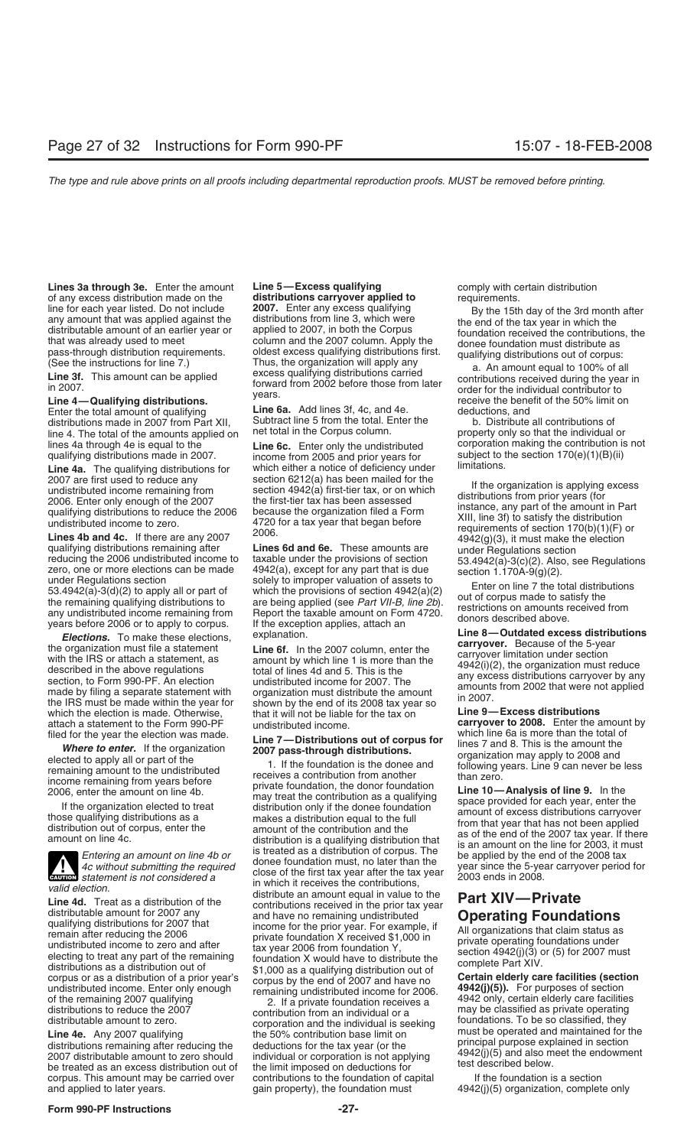**Lines 3a through 3e.** Enter the amount Line 5—Excess qualifying entity of any excess distribution of any excess distribution made on the distribution scarryover applied to requirements. of any excess distribution made on the **distributions carryover applied to** requirements.<br>line for each year listed. Do not include **2007.** Enter any excess qualifying **the 15th** 15th line for each year listed. Do not include **2007.** Enter any excess qualifying and the 15th day of the 3rd month after any amount that was applied against the distributions from line 3, which were distributable amount of an

distributions made in 2007 from Part XII, Subtract line 5 from the total. Enter the b. Distribute all contributions of line 4. The total of the amounts applied on and total in the Corpus column. line 4. The total of the amounts applied on the Figal in the Corpus column. The sumplementy only so that the individual or<br>lines 4a through 4e is equal to the **Exection Conduct** Enter only the undistributed corporation ma lines 4a through 4e is equal to the **Line 6c.** Enter only the undistributed corporation making the contribution is<br>qualifying distributions made in 2007. The from 2005 and prior years for subject to the section 170(e)(1)(B

Line 4a. The qualifying distributions for which either a notice of deficiency under 2007 are first used to reduce any section 6212(a) has been mailed for the

2007 are first used to reduce any<br>
2007 are first used to reduce any<br>
2006. Enter only enough of the 2007 the first-tier tax has been assessed<br>
2006. Enter only enough of the 2007 the first-tier tax has been assessed<br>
420

**Elections.** To make these elections,<br>
the organization must file a statement<br>
with the IRS or attach a statement, as<br>
described in the above regulations<br>
described in the above regulations<br>
section, to Form 990-PF. An ele which the election is made. Otherwise, that it will not be liable for the tax on **carryover to 2008.** Enter the amount by a statement to the Form 990-PF undistributed income.<br>
filed for the year the election was made. **Lin** 



**ENTION** statement is not considered a

Valid election.<br>
Line 4d. Treat as a distribution of the distributions received in the prior tax year<br>
distributable announ for 2007 any<br>
distributable and in value to the contributions received in the prior tax year<br>
dist

corpus. This amount may be carried over contributions to the foundation of capital If the foundation is a section<br>and applied to later years. gain property), the foundation must 4942(j)(5) organization, complete

Line 4—Qualifying distributions.<br>
Enter the total amount of qualifying<br>
distributions made in 2007 from Part XII. Subtract line 5 from the total. Enter the b. Distribute all contributions of<br>
distributions made in 2007 fro

income from 2005 and prior years for subject to the section income from 2005 and prior years for and prior inc<br>which either a notice of deficiency under limitations.

filed for the year the election was made.<br> **Example 1. Line 7—Distributions out of corpus for**<br> **Example 1.** If the formulation and the elected to apply all or part of the the end of the termaining amount to the undistr

distributable amount to zero. Corporation and the individual is seeking<br> **Line 4e.** Any 2007 qualifying the 50% contribution base limit on<br>
distributions remaining after reducing the deductions for the tax year (or the pri

mass-through distribution requirements.<br>
(See the instructions for line 7.) Thus, the organization will apply any a. An amount equal to 100% of all<br> **Line 3f.** This amount can be applied to the applied to the applied to th

4942(j)(5) organization, complete only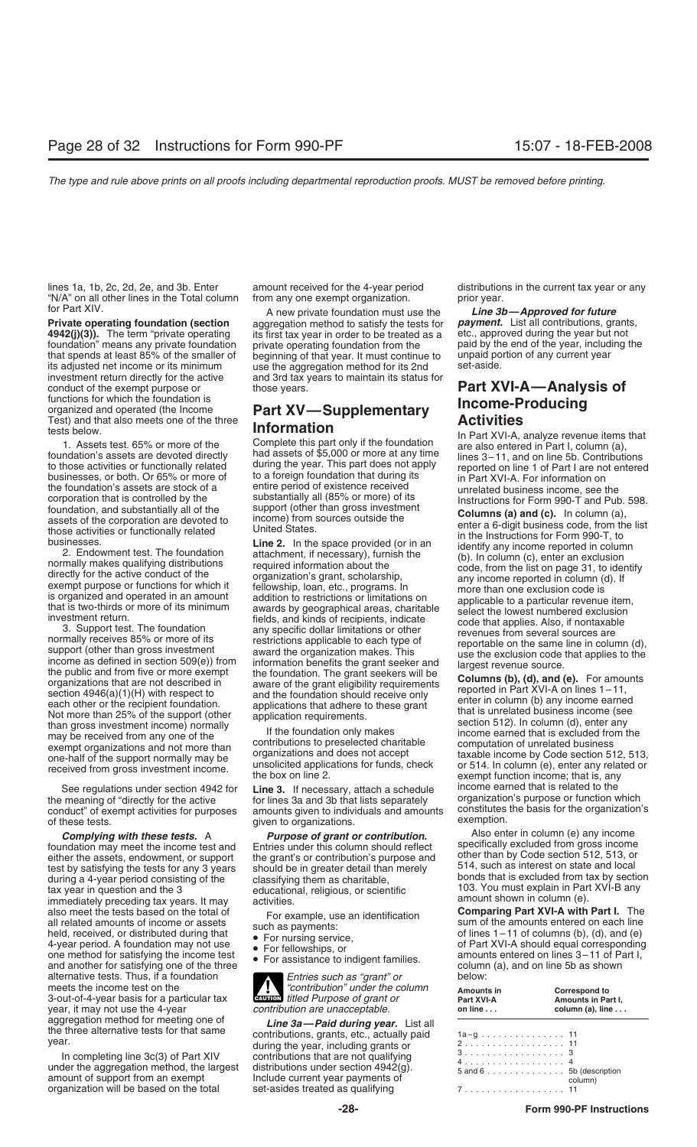lines 1a, 1b, 2c, 2d, 2e, and 3b. Enter amount received for the 4-year period distributions in the current tax year or any "N/A" on all other lines in the Total column from any one exempt organization. prior year.

**4942(j)(3)).** The term "private operating its first tax year in order to be treated as a etc., approved during the year but not foundation" means any private foundation private operating foundation from the paid by the en foundation" means any private foundation private operating foundation from the paid by the end of the year, including that spends at least 85% of the smaller of beginning of that year. It must continue to unpaid portion of that spends at least 85% of the smaller of beginning of that year. It must continue to unpaid portion its adjusted net income or its minimum use the agaregation method for its 2nd set-aside. its adjusted net income or its minimum use the aggregation method for its 2nd investment return directly for the active and 3rd tax years to maintain its status conduct of the exempt purpose or those years. **Part XVI-A—Analysis of Part AVI-A—Analysis of** functions for which the foundation is Functions for which the foundation is<br>
organized and operated (the Income<br>
Test) and that also meets one of the three **Information**<br> **Information** 

than gross investment income) normally<br>
may be received from any one of the If the foundation only makes<br>
exempt organizations and not more than<br>  $\frac{1}{2}$  contributions to preselected charitable<br>  $\frac{1}{2}$  computation of

See regulations under section 4942 for **Line 3.** If necessary, attach a schedule income earned that is related to the the meaning of "directly for the active for lines 3a and 3b that lists separately organization's purpose the meaning of "directly for the active for lines 3a and 3b that lists separately organization's purpose or function which<br>conduct" of exempt activities for purposes amounts given to individuals and amounts constitutes the of these tests.  $q$  iven to organizations.

foundation may meet the income test and Entries under this column should reflect specifically excluded from gross income either the assets, endowment, or support the grant's or contribution's purpose and other than by Code during a 4-year period consisting of the classifying them as charitable,<br>tax year in question and the 3 educational, religious, or scientific<br>immediately preceding tax years. It may activities.<br>also meet the tests based on alternative tests. Thus, if a foundation *Entries such as "grant" or* below:<br> **Entries such as "grant" or** below:<br> **A mount** 3-out-of-4-year basis for a particular tax *diviorial titled Purpose of grant* year, it may not use the 4-year *COUTION* year, it may not use the 4-year<br>*aggregation method for meeting one of* aggregation method for meeting one of **Line 3a—Paid during year.** List all the three alternative tests for that same contributions, grants, etc., actually paid year.

In completing line 3c(3) of Part XIV contributions that are not qualifying under the aggregation method, the largest distributions under section 4942(g).<br>amount of support from an exempt linclude current year payments of t organization will be based on the total set-asides treated as qualifying

aggregation method to satisfy the tests for **payment.** List all contributions, grants<br>its first tax year in order to be treated as a etc., approved during the year but not and 3rd tax years to maintain its status for

corporation that is controlla by the substantially all of the support (other than gross investment<br>
foundation, and substantially all of the support (other than gross investment<br>
ansets of the corporation are devoted to<br>
t

amounts given to individuals and amounts constitutes<br>given to organizations constitutes exemption.

- 
- 

meets the income test on the *"contribution" under the column* **Amounts in Correspond to CAU** 

during the year, including grants or

for Part XIV.<br>**Private operating foundation (section** aggregation method to satisfy the tests for **payment.** List all contributions, grants,

tests below.<br>
1. Assets test. 65% or more of the<br>
foundation's assets are devoted directly<br>
to those activities or functionally related<br>
to those activities or functionally related<br>
to those activities or functionally rela to those activities or functionally related<br>businesses, or both. Or 65% or more of to a foreign foundation that during its<br>the foundation's assets are stock of a<br>the foundation's assets are stock of a<br>the foundation's asse the foundation's assets are stock of a entire period of existence received unrelated business income, see the<br>corporation that is controlled by the substantially all (85% or more) of its Instructions for Form 990-T and Pub

example of the support normally may be of the contributions to preselected charitable<br>one-half of the support normally may be a unsolicited applications for funds, check<br>received from gross investment income.<br>The box on li

**Complying with these tests.** A *Purpose of grant or contribution.* **Also enter in column (e) any income that income test and Fortries under this column should reflect specifically excluded from gross income** test by satisfying the tests for any 3 years<br>distribution of the classifying the consisting of the classifying them as charitable<br>during a 4-year period consisting of the classifying them as charitable<br>bonds that is exclud

also meet the tests based on the total of<br>
all related amounts of income or assets<br>
held, received, or distributed during that<br>
4-year period. A foundation may not use<br>
of lines 1-11 of columns (b), (d), and (e)<br>
one metho

| Amounts in<br>Part XVI-A<br>on line $\ldots$ | Correspond to<br>Amounts in Part I,<br>column (a), $line \ldots$ |
|----------------------------------------------|------------------------------------------------------------------|
|                                              |                                                                  |
|                                              |                                                                  |
| 2. 11                                        |                                                                  |
| 3. 3                                         |                                                                  |
| 4. 4                                         |                                                                  |
| $5$ and $6$ 5b (description                  |                                                                  |
|                                              | column)                                                          |
|                                              |                                                                  |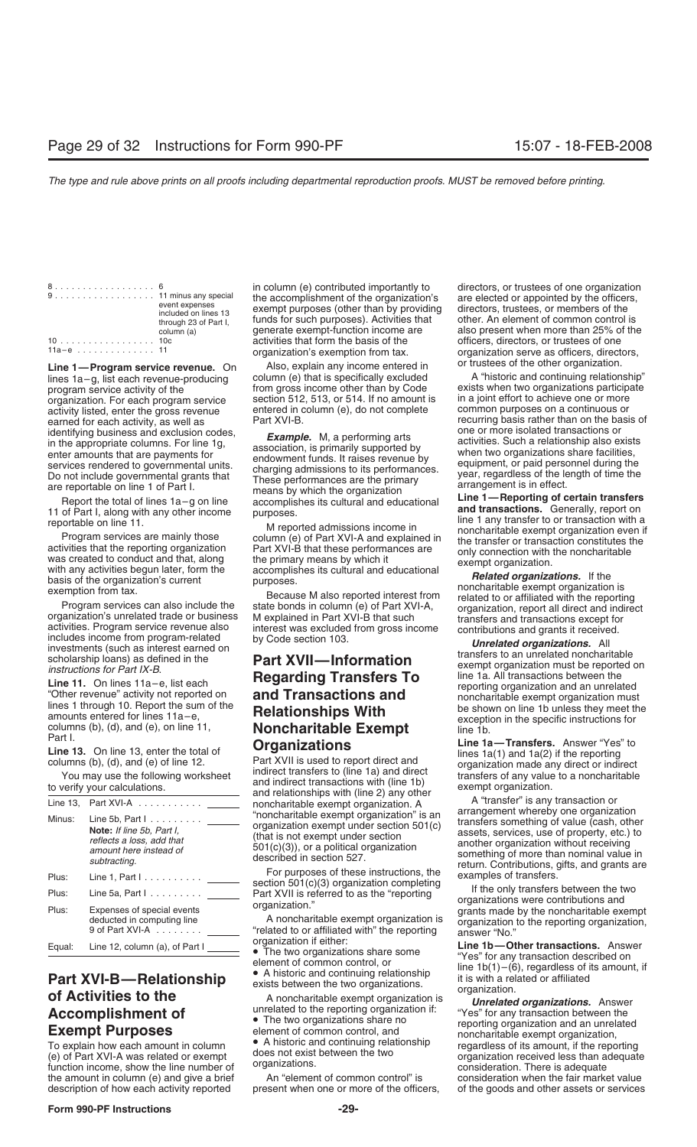| 8. 6   |                       |
|--------|-----------------------|
|        |                       |
|        | event expenses        |
|        | included on lines 13  |
|        | through 23 of Part I, |
|        | column (a)            |
| 10 10c |                       |
| 112n   |                       |

Line 1—Program service revenue. On Also, explain any income entered in a service of the other organization.<br>Lines 1a–g, list each revenue-producing column (e) that is specifically excluded A "historic and continuing relati program service activity of the from gross income other than by Code exists when two organizations participations organizations participations organizations participations organization. For each program service section 512 organization. For each program service section 512, 513, or 514. If no amount is in a joint effort to achieve one or more<br>activity listed, enter the gross revenue entered in column (e), do not complete common purposes on a earned for each activity, as well as Part XVI-B.<br>
identifying business and exclusion codes,<br> **Example M** a performing arts one or more isolated transactions or identifying business and exclusion codes,<br>
in the appropriate columns. For line 1g,<br>
enter amounts that are payments for<br>
Do not include governmental grants that<br>
These performances are the primary<br>
are reportable on line

| Line 13. | Part XVI-A $\ldots \ldots \ldots$                                                                                                     | noncharitable exempt organization. A                                                                                                                                                                 | A "transfer" is any transaction or<br>arrangement whereby one organization                                                                                                                                                    |
|----------|---------------------------------------------------------------------------------------------------------------------------------------|------------------------------------------------------------------------------------------------------------------------------------------------------------------------------------------------------|-------------------------------------------------------------------------------------------------------------------------------------------------------------------------------------------------------------------------------|
| Minus:   | Line 5b, Part $1, \ldots, \ldots$<br>Note: If line 5b, Part I,<br>reflects a loss, add that<br>amount here instead of<br>subtracting. | "noncharitable exempt organization" is an<br>organization exempt under section 501(c)<br>(that is not exempt under section<br>$501(c)(3)$ , or a political organization<br>described in section 527. | transfers something of value (cash, other<br>assets, services, use of property, etc.) to<br>another organization without receiving<br>something of more than nominal value in<br>return. Contributions, gifts, and grants are |
| Plus:    | Line 1, Part $1, \ldots, \ldots, \ldots$                                                                                              | For purposes of these instructions, the<br>section $501(c)(3)$ organization completing                                                                                                               | examples of transfers.                                                                                                                                                                                                        |
| Plus:    | Line 5a, Part $1, \ldots, \ldots, \underline{\hspace{2cm}}$                                                                           | Part XVII is referred to as the "reporting"                                                                                                                                                          | If the only transfers between the two<br>organizations were contributions and                                                                                                                                                 |
| Plus:    | Expenses of special events<br>deducted in computing line<br>9 of Part XVI-A                                                           | organization."<br>A noncharitable exempt organization is<br>"related to or affiliated with" the reporting                                                                                            | grants made by the noncharitable exempt<br>organization to the reporting organization.<br>answer "No."                                                                                                                        |
| Equal:   | Line 12, column (a), of Part I                                                                                                        | organization if either:<br>$\bullet$ The two expeniestions above come                                                                                                                                | Line 1b-Other transactions. Answer                                                                                                                                                                                            |

the amount in column (e) and give a brief An "element of common control" is consideration when the fair market value description of how each activity reported present when one or more of the officers, of the goods and othe

8.................. 6 in column (e) contributed importantly to directors, or trustees of one organization 9 . . . . . . . . . . . . . . . . . . 11 minus any special the accomplishment of the organization's are elected or appointed by the officers, event expenses exempt purposes (other than by providing directors, trustees, or members of the included on lines 13 funds for such purposes). Activities that other. An element of common control is<br>generate exempt-function income are also present when more than 25% of the generate exempt-function income are activities that form the basis of the

entered in column (e), do not complete<br>Part XVI-B.

# columns (b), (d), and (e), on line 11,<br>
Part I. **Contagrets Contagrigers Contagrigers Contagrigers Contagrigers Contagrigers Contagrigers Contagrigers Contagrigers Contagrigers Contagrigers Contagrige**

officers, directors, or trustees of one 11a – e . . . . . . . . . . . . . . 11 organization's exemption from tax. organization serve as officers, directors,  $\frac{1}{2}$  or trustees of the other organization.

column (e) that is specifically excluded A "historic and continuing relationship"<br>
from gross income other than by Code exists when two organizations participate

Report the total of lines 1a-g on line accomplishes its cultural and educational<br>
and transparent and complishes its cultural and educational<br>
The Tark, along with any there incomes purposes.<br>
The fark is cultural and edu

Line 11. On lines  $11a-e$ , list each **and Transactions and** reporting organization and an unrelated<br>
"Other revenue" activity not reported on **and Transactions and** moncharitable exempt organization must<br>
lines 1 through 1

**Line 13.** On line 13, enter the total of<br>
columns (b), (d), and (e) of line 12.<br>
You may use the following worksheet<br>
to verify your calculations.<br>
and relationships with (line 12) any other<br>
and relationships with (line

Equal: Line 12, column (a), of Part  $I = \begin{bmatrix} 1 & 0 & 0 \\ 0 & 1 & 0 \\ 0 & 0 & 0 \\ 0 & 0 & 0 \\ 0 & 0 & 0 \\ 0 & 0 & 0 \\ 0 & 0 & 0 \\ 0 & 0 & 0 \\ 0 & 0 & 0 \\ 0 & 0 & 0 \\ 0 & 0 & 0 \\ 0 & 0 & 0 \\ 0 & 0 & 0 \\ 0 & 0 & 0 \\ 0 & 0 & 0 \\ 0 & 0 & 0 \\ 0 & 0 & 0 \\ 0 & 0 & 0 \\ 0 & 0 & 0 \\ 0 & 0$ of the goods and other assets or services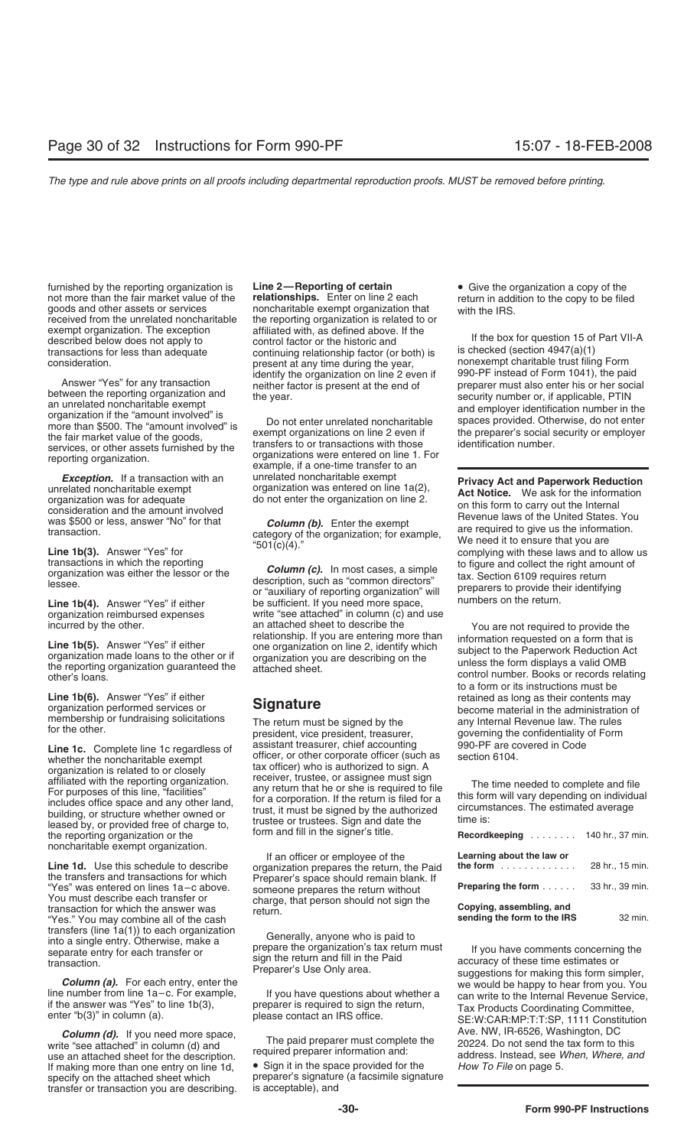furnished by the reporting organization is **Line 2—Reporting of certain** • Give the organization a copy of the not more than the fair market value of the **relationships.** Enter on line 2 each return in addition to the copy not more than the fair market value of the **relationships.** Enter on line 2 each return in addition to the copy to be filed goods and other assets or services noncharitable exempt organization that with the IRS goods and other assets or services noncharitable exempt organization that with the IRS.<br>received from the unrelated noncharitable the reporting organization is related to or exempt organization. The exception affiliated with, as defined above. If the described below does not apply to control factor or the historic and<br>transactions for less than adequate continuing relationship factor (or both) is is checked (section 4947(a)(1) transactions for less than adequate continuing relationship factor (or both) is<br>consideration. considerations for example of the vear consideration.

Answer "Yes" for any transaction<br>
between the reporting organization and<br>
an unrelated noncharitable exempt<br>
organization if the "amount involved" is<br>
on the text of the goods,<br>
the fair market value of the goods,<br>
ecurity

**Line 1b(6).** Answer "Yes" if either **Signature** retained as long as their contents may organization performed services or **Signature** become material in the administration organization organization

the reporting organization or the form and fill in the signer's title. noncharitable exempt organization.

the transfers and transactions for which energy of Preparer's space should remain blank. If<br>
"Yes" was entered on lines 1a-c above. Someone prepares the return without<br>
You must describe each transfer or charge, that perso

write "see attached" in column (d) and The paid preparer must completive use an attached sheet for the description. If making more than one entry on line 1d, <br> **•** Sign it in the space provided for the<br>
preparer's signature (a facsimile signa transfer or transaction you are describing.

the reporting organization is related to or present at any time during the year,  $\sim$  nonexempt charitable trust filing Form<br>identify the organization on line 2 even if 990-PF instead of Form 1041), the paid

transactions in which the reporting<br>organization was either the lessor or the<br>lessee.<br>**Line 1b(4).** Answer "Yes" if either the setter the setter or "auxiliary of reporting organization" will<br>**Line 1b(4).** Answer "Yes" if e **Line 1b(4).** Answer "Yes" if either be sufficient. If you need more space, organization reimbursed expenses write "see attached" in column (c) and use incurred by the other. <br>an attached sheet to describe the

membership or fundraising solicitations The return must be signed by the any Internal Revenue law. The rules for the other. president, vice president, treasurer, governing the confidentiality of Form **Line 1c.** Complete line 1c regardless of assistant treasurer, chief accounting 990-PF are covered in Code officer, or other corporate officer (such as section 6104. whether the noncharitable exempt officer, or other corporate officer (such as section 6104. organization is related to or closely<br>affiliated with the reporting organization.<br>For purposes of this line, "facilities" any return that he or she is required to file<br>includes office space and any other land, for a corpor

If an officer or employee of the **Line 1d.** Use this schedule to describe organization prepares the return, the Paid the transfers and transactions for which Preparer's space should remain blank. If

preparer's signature (a facsimile signature<br>is acceptable), and

**Exception.** If a transaction with an unrelated noncharitable exempt<br>unrelated noncharitable exempt<br>organization was for adequate do not enter the organization on line  $1a(2)$ ,<br>consideration and the amount involved<br>was \$5

incurred by the other. an attached sheet to describe the<br> **Line 1b(5).** Answer "Yes" if either ore organization on line 2, identify which<br>
organization made loans to the other or if organization you are describing on the<br> to a form or its instructions must be organization performed services or **Signature** become material in the administration of<br>membership or fundraising solicitations and the signature he signature of the same internal Bevenue law. The rules

| Recordkeeping  140 hr., 37 min.                                      |                 |
|----------------------------------------------------------------------|-----------------|
| Learning about the law or<br>the form $\ldots$ , $\ldots$ , $\ldots$ | 28 hr., 15 min. |
| <b>Preparing the form </b> 33 hr., 39 min.                           |                 |
| Copying, assembling, and<br>sending the form to the IRS              | 32 min.         |

transfers (line 1a(1)) to each organization<br>into a single entry. Otherwise, make a<br>separate entry for each transfer or<br>transaction.<br>transaction.<br>**Column (a).** For each entry, enter the<br>intenumber is use Only area.<br>**Column Column (d).** If you need more space,<br>Le "see attached" in column (d) and **Aveland Strateger in the paid preparer must** complete the 20224. Do not send the tax form to this address. Instead, see When, Where, and<br>How To File on page 5.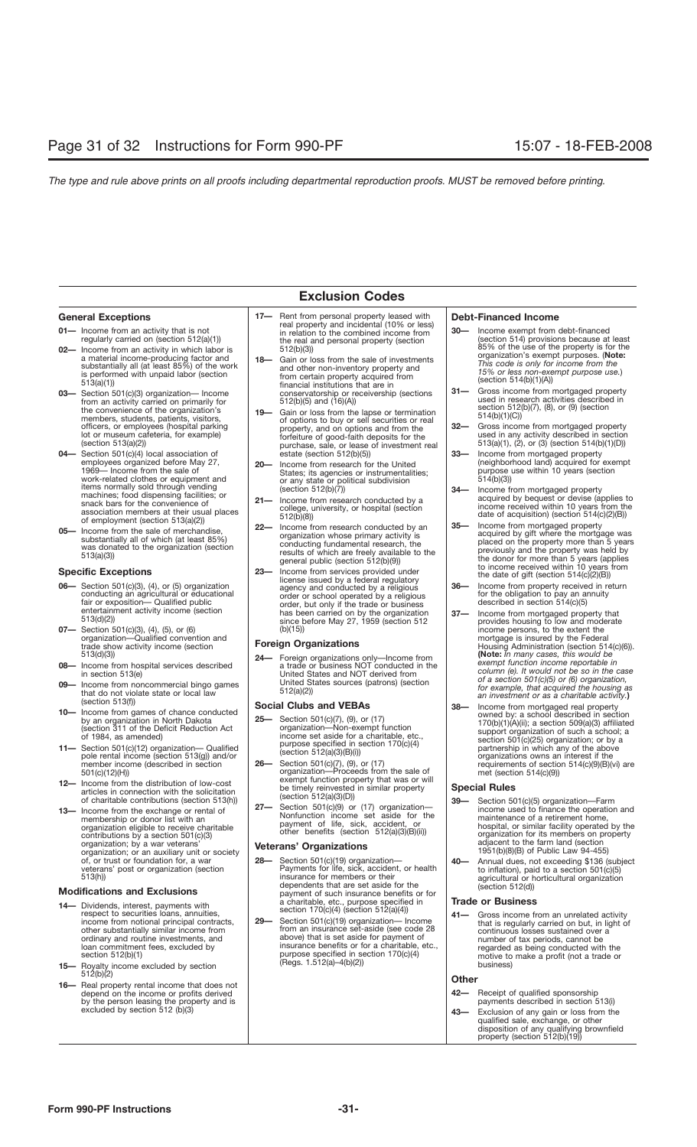# **Exclusion Codes**

- 
- **02—** Income from an activity in which labor is a material income-producing factor and substantially all (at least 85%) of the work is performed with unpaid labor (section 513(a)(1))
- the convenience of the organization's members, students, patients, visitors, officers, or employees (hospital parking lot or museum cafeteria, for example) (section 513(a)(2))
- 04— Section 501(c)(4) local association of estate (section 512(b)(5)) **33— Income from mortgaged property**<br>employees organized before May 27, **20—** Income from research for the United (neighborhood land) acquired for 1969— Income from the sale of work-related clothes or equipment and items normally sold through vending machines; food dispensing facilities; or snack bars for the convenience of association members at their usual places of employment (section 513(a)(2))
- 05- Income from the sale of merchandise substantially all of which (at least 85%) was donated to the organization (section 513(a)(3))

# **Specific Exceptions**

- Section 501(c)(3), (4), or (5) organization conducting an agricultural or educational fair or exposition— Qualified public entertainment activity income (section 513(d)(2))
- **07** Section 501(c)(3), (4), (5), or (6)<br>organization—Qualified convention and trade show activity income (section 513(d)(3))
- 08- Income from hospital services described in section 513(e)
- 09- Income from noncommercial bingo games that do not violate state or local law (section 513(f))
- Income from games of chance conducted<br>by an organization in North Dakota<br>(section 311 of the Deficit Reduction Act of 1984, as amended)
- 11- Section 501(c)(12) organization-Qualified pole rental income (section 513(g)) and/or member income (described in section 501(c)(12)(H))
- 12- Income from the distribution of low-cost articles in connection with the solicitation of charitable contributions (section 513(h))
- 13- Income from the exchange or rental of membership or donor list with an organization eligible to receive charitable contributions by a section 501(c)(3) organization; by a war veterans' organization; or an auxiliary unit or society of, or trust or foundation for, a war veterans' post or organization (section 513(h))

## **Modifications and Exclusions**

- Dividends, interest, payments with respect to securities loans, annuities, income from notional principal contracts, other substantially similar income from ordinary and routine investments, and loan commitment fees, excluded by section 512(b)(1) **14—**
- 15- Royalty income excluded by section  $512(b)(2)$
- 16- Real property rental income that does not depend on the income or profits derived by the person leasing the property and is excluded by section 512 (b)(3)
- General Exceptions<br> **17** Rent from personal property leased with **Debt-Financed Income**<br>
in relation to the combined income from  $\begin{array}{|l|l|}\n\hline\n\text{0}=10\% \text{ or } \text{0}=100\% \text{ or } \text{0}=100\% \text{ or } \text{0}=100\% \text{ or } \text{0}=100\% \text{ or } \text$ **11**— Income from an activity that is not<br>
regularly carried on (section 512(a)(1)) **12 12 12 13 130 130**—<br> **130 1512(a)(1) 1512(a)(1) 1512(a)(1) 1512(a) 1512(a) 1512(a) 1512(a) 1512(a) 1512(a)** the real and personal property (section 512(b)(3))
- **03** Section 501(c)(3) organization— Income **31—** conservatorship or receivership (sections  $\begin{array}{|l} 31 \text{---} \\ \text{from an activity carried on primarily for} \end{array}$ **18—** Gain or loss from the sale of investments and other non-inventory property and from certain property acquired from financial institutions that are in conservatorship or receivership (sections 512(b)(5) and (16)(A))
	- **19—** Gain or loss from the lapse or termination of options to buy or sell securities or real property, and on options and from the forfeiture of good-faith deposits for the purchase, sale, or lease of investment real estate (section 512(b)(5))
	- **20—** Income from research for the United States; its agencies or instrumentalities; or any state or political subdivision (section 512(b)(7))
	- Income from research conducted by a college, university, or hospital (section 512(b)(8))
- **22—** Income from research conducted by an **35—** Income from mortgaged property<br>**05—** Income from the sale of merchandise, **22—** Income from research conducted by an acquired by gift where the mortga organization whose primary activity is conducting fundamental research, the results of which are freely available to the general public (section 512(b)(9))
- **23—** Income from services provided under license issued by a federal regulatory agency and conducted by a religious order or school operated by a religious order, but only if the trade or business has been carried on by the organization since before May 27, 1959 (section 512 (b)(15)) **06—** Income from property received in return

## **Foreign Organizations**

Foreign organizations only—Income from **24** a trade or business NOT conducted in the United States and NOT derived from United States sources (patrons) (section 512(a)(2))

## **Social Clubs and VEBAs**

- 25- Section 501(c)(7), (9), or (17) organization—Non-exempt function income set aside for a charitable, etc., purpose specified in section 170(c)(4) (section 512(a)(3)(B)(i))
- Section 501(c)(7), (9), or (17) organization—Proceeds from the sale of exempt function property that was or will be timely reinvested in similar property (section 512(a)(3)(D)) **26—**
- Section 501(c)(9) or (17) organization-Nonfunction income set aside for the payment of life, sick, accident, or other benefits (section 512(a)(3)(B)(ii)) **27—**

## **Veterans' Organizations**

- Section 501(c)(19) organization— Payments for life, sick, accident, or health insurance for members or their dependents that are set aside for the payment of such insurance benefits or for a charitable, etc., purpose specified in section 170(c)(4) (section 512(a)(4)) **28—**
- Section 501(c)(19) organization— Income from an insurance set-aside (see code 28 above) that is set aside for payment of insurance benefits or for a charitable, etc., purpose specified in section 170(c)(4) (Regs. 1.512(a)–4(b)(2)) **29—**

- Income exempt from debt-financed (section 514) provisions because at least 85% of the use of the property is for the organization's exempt purposes. (**Note:** *This code is only for income from the 15% or less non-exempt purpose use.*) (section 514(b)(1)(A))
- Gross income from mortgaged property used in research activities described in section 512(b)(7), (8), or (9) (section 514(b)(1)(C))
- Gross income from mortgaged property used in any activity described in section 513(a)(1), (2), or (3) (section 514(b)(1)(D)) **32—**
- (neighborhood land) acquired for exempt purpose use within 10 years (section 514(b)(3)) **33—**
- Income from mortgaged property acquired by bequest or devise (applies to income received within 10 years from the date of acquisition) (section 514(c)(2)(B)) **34—**
- acquired by gift where the mortgage was placed on the property more than 5 years previously and the property was held by the donor for more than 5 years (applies to income received within 10 years from the date of gift (section 514(c)(2)(B)) **35—**
- for the obligation to pay an annuity described in section 514(c)(5) **36—**
- Income from mortgaged property that provides housing to low and moderate income persons, to the extent the mortgage is insured by the Federal Housing Administration (section 514(c)(6)). **(Note:** *In many cases, this would be exempt function income reportable in column (e). It would not be so in the case of a section 501(c)(5) or (6) organization, for example, that acquired the housing as an investment or as a charitable activity.***) 37—**
- **10—** Income from games of chance conducted **Social Clubs and VEBAs 10—** Income from mortgaged real property<br>10— Income from games of chance conducted  $\begin{bmatrix} 1 & 1 & 1 \\ 1 & 1 & 1 \\ 1 & 1 & 1 \end{bmatrix}$ owned by: a school described in section 170(b)(1)(A)(ii); a section 509(a)(3) affiliated support organization of such a school; a section 501(c)(25) organization; or by a partnership in which any of the above organizations owns an interest if the requirements of section 514(c)(9)(B)(vi) are met (section 514(c)(9)) **38—**

## **Special Rules**

- Section 501(c)(5) organization—Farm **39** income used to finance the operation and maintenance of a retirement home, hospital, or similar facility operated by the organization for its members on property adjacent to the farm land (section 1951(b)(8)(B) of Public Law 94-455)
- Annual dues, not exceeding \$136 (subject to inflation), paid to a section 501(c)(5) agricultural or horticultural organization (section 512(d)) **40—**

## **Trade or Business**

Gross income from an unrelated activity that is regularly carried on but, in light of continuous losses sustained over a number of tax periods, cannot be regarded as being conducted with the motive to make a profit (not a trade or business)

# **Other**

- 42- Receipt of qualified sponsorship payments described in section 513(i)
- Exclusion of any gain or loss from the qualified sale, exchange, or other disposition of any qualifying brownfield property (section 512(b)(19)) **43—**